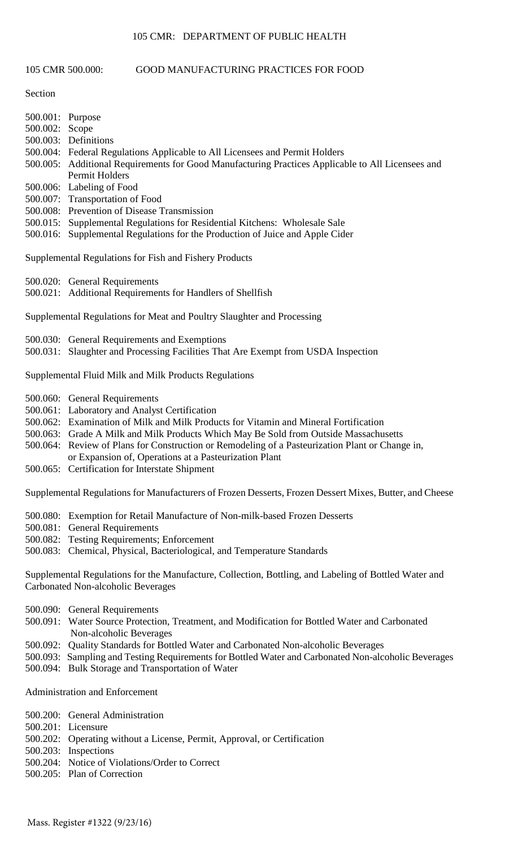# 105 CMR: DEPARTMENT OF PUBLIC HEALTH

## 105 CMR 500.000: GOOD MANUFACTURING PRACTICES FOR FOOD

Section

| 500.001: Purpose |                                                                                                   |
|------------------|---------------------------------------------------------------------------------------------------|
| 500.002: Scope   |                                                                                                   |
|                  | 500.003: Definitions                                                                              |
|                  | 500.004: Federal Regulations Applicable to All Licensees and Permit Holders                       |
|                  | 500.005: Additional Requirements for Good Manufacturing Practices Applicable to All Licensees and |
|                  | Permit Holders                                                                                    |
|                  | 500.006: Labeling of Food                                                                         |
|                  | 500.007: Transportation of Food                                                                   |
|                  | 500.008: Prevention of Disease Transmission                                                       |
|                  | 500.015: Supplemental Regulations for Residential Kitchens: Wholesale Sale                        |
|                  | 500.016: Supplemental Regulations for the Production of Juice and Apple Cider                     |

Supplemental Regulations for Fish and Fishery Products

500.020: General Requirements

500.021: Additional Requirements for Handlers of Shellfish

Supplemental Regulations for Meat and Poultry Slaughter and Processing

- 500.030: General Requirements and Exemptions
- 500.031: Slaughter and Processing Facilities That Are Exempt from USDA Inspection

Supplemental Fluid Milk and Milk Products Regulations

- 500.060: General Requirements
- 500.061: Laboratory and Analyst Certification
- 500.062: Examination of Milk and Milk Products for Vitamin and Mineral Fortification
- 500.063: Grade A Milk and Milk Products Which May Be Sold from Outside Massachusetts
- 500.064: Review of Plans for Construction or Remodeling of a Pasteurization Plant or Change in,
- or Expansion of, Operations at a Pasteurization Plant
- 500.065: Certification for Interstate Shipment

Supplemental Regulations for Manufacturers of Frozen Desserts, Frozen Dessert Mixes, Butter, and Cheese

- 500.080: Exemption for Retail Manufacture of Non-milk-based Frozen Desserts
- 500.081: General Requirements
- 500.082: Testing Requirements; Enforcement
- 500.083: Chemical, Physical, Bacteriological, and Temperature Standards

Supplemental Regulations for the Manufacture, Collection, Bottling, and Labeling of Bottled Water and Carbonated Non-alcoholic Beverages

- 500.090: General Requirements
- 500.091: Water Source Protection, Treatment, and Modification for Bottled Water and Carbonated Non-alcoholic Beverages
- 500.092: Quality Standards for Bottled Water and Carbonated Non-alcoholic Beverages
- 500.093: Sampling and Testing Requirements for Bottled Water and Carbonated Non-alcoholic Beverages
- 500.094: Bulk Storage and Transportation of Water

Administration and Enforcement

- 500.200: General Administration
- 500.201: Licensure
- 500.202: Operating without a License, Permit, Approval, or Certification
- 500.203: Inspections
- 500.204: Notice of Violations/Order to Correct
- 500.205: Plan of Correction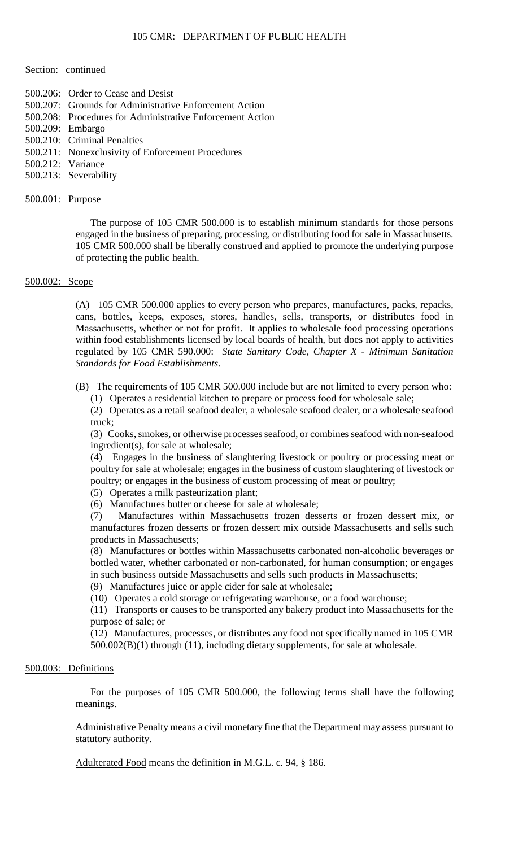#### Section: continued

- 500.206: Order to Cease and Desist
- 500.207: Grounds for Administrative Enforcement Action
- 500.208: Procedures for Administrative Enforcement Action
- 500.209: Embargo
- 500.210: Criminal Penalties
- 500.211: Nonexclusivity of Enforcement Procedures
- 500.212: Variance
- 500.213: Severability

#### 500.001: Purpose

 105 CMR 500.000 shall be liberally construed and applied to promote the underlying purpose The purpose of 105 CMR 500.000 is to establish minimum standards for those persons engaged in the business of preparing, processing, or distributing food for sale in Massachusetts. of protecting the public health.

# 500.002: Scope

 within food establishments licensed by local boards of health, but does not apply to activities (A) 105 CMR 500.000 applies to every person who prepares, manufactures, packs, repacks, cans, bottles, keeps, exposes, stores, handles, sells, transports, or distributes food in Massachusetts, whether or not for profit. It applies to wholesale food processing operations regulated by 105 CMR 590.000: *State Sanitary Code, Chapter X - Minimum Sanitation Standards for Food Establishments*.

(B) The requirements of 105 CMR 500.000 include but are not limited to every person who: (1) Operates a residential kitchen to prepare or process food for wholesale sale;

(2) Operates as a retail seafood dealer, a wholesale seafood dealer, or a wholesale seafood truck;

(3) Cooks, smokes, or otherwise processes seafood, or combines seafood with non-seafood ingredient(s), for sale at wholesale;

(4) Engages in the business of slaughtering livestock or poultry or processing meat or poultry for sale at wholesale; engages in the business of custom slaughtering of livestock or poultry; or engages in the business of custom processing of meat or poultry;

(5) Operates a milk pasteurization plant;

(6) Manufactures butter or cheese for sale at wholesale;

 manufactures frozen desserts or frozen dessert mix outside Massachusetts and sells such (7) Manufactures within Massachusetts frozen desserts or frozen dessert mix, or products in Massachusetts;

(8) Manufactures or bottles within Massachusetts carbonated non-alcoholic beverages or bottled water, whether carbonated or non-carbonated, for human consumption; or engages in such business outside Massachusetts and sells such products in Massachusetts;

(9) Manufactures juice or apple cider for sale at wholesale;

(10) Operates a cold storage or refrigerating warehouse, or a food warehouse;

(11) Transports or causes to be transported any bakery product into Massachusetts for the purpose of sale; or

 (12) Manufactures, processes, or distributes any food not specifically named in 105 CMR 500.002(B)(1) through (11), including dietary supplements, for sale at wholesale.

## 500.003: Definitions

For the purposes of 105 CMR 500.000, the following terms shall have the following meanings.

Administrative Penalty means a civil monetary fine that the Department may assess pursuant to statutory authority.

Adulterated Food means the definition in M.G.L. c. 94, § 186.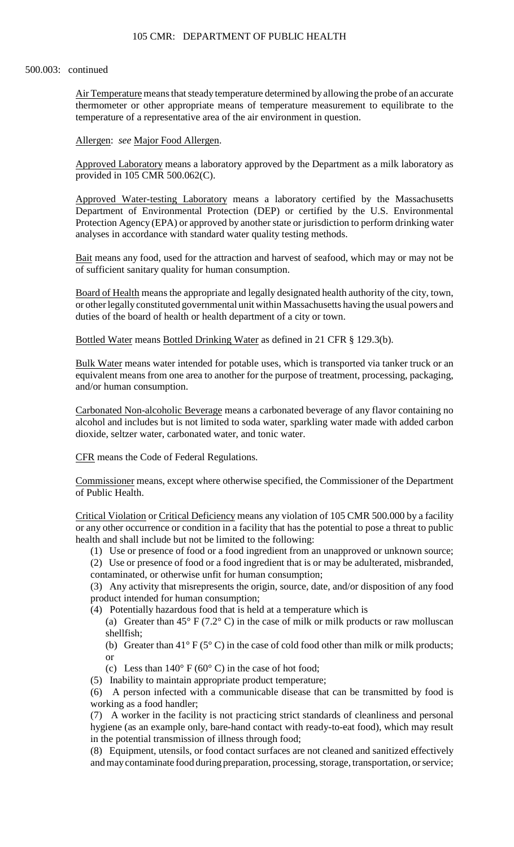thermometer or other appropriate means of temperature measurement to equilibrate to the Air Temperature means that steady temperature determined by allowing the probe of an accurate temperature of a representative area of the air environment in question.

#### Allergen: *see* Major Food Allergen.

Approved Laboratory means a laboratory approved by the Department as a milk laboratory as provided in 105 CMR 500.062(C).

Approved Water-testing Laboratory means a laboratory certified by the Massachusetts Department of Environmental Protection (DEP) or certified by the U.S. Environmental Protection Agency (EPA) or approved by another state or jurisdiction to perform drinking water analyses in accordance with standard water quality testing methods.

Bait means any food, used for the attraction and harvest of seafood, which may or may not be of sufficient sanitary quality for human consumption.

Board of Health means the appropriate and legally designated health authority of the city, town, or other legally constituted governmental unit within Massachusetts having the usual powers and duties of the board of health or health department of a city or town.

Bottled Water means Bottled Drinking Water as defined in 21 CFR § 129.3(b).

 equivalent means from one area to another for the purpose of treatment, processing, packaging, Bulk Water means water intended for potable uses, which is transported via tanker truck or an and/or human consumption.

Carbonated Non-alcoholic Beverage means a carbonated beverage of any flavor containing no alcohol and includes but is not limited to soda water, sparkling water made with added carbon dioxide, seltzer water, carbonated water, and tonic water.

CFR means the Code of Federal Regulations.

Commissioner means, except where otherwise specified, the Commissioner of the Department of Public Health.

 Critical Violation or Critical Deficiency means any violation of 105 CMR 500.000 by a facility or any other occurrence or condition in a facility that has the potential to pose a threat to public health and shall include but not be limited to the following:

(1) Use or presence of food or a food ingredient from an unapproved or unknown source;

(2) Use or presence of food or a food ingredient that is or may be adulterated, misbranded, contaminated, or otherwise unfit for human consumption;

(3) Any activity that misrepresents the origin, source, date, and/or disposition of any food product intended for human consumption;

(4) Potentially hazardous food that is held at a temperature which is

(a) Greater than  $45^{\circ}$  F (7.2° C) in the case of milk or milk products or raw molluscan shellfish;

(b) Greater than  $41^{\circ}$  F (5° C) in the case of cold food other than milk or milk products; or

(c) Less than  $140^{\circ}$  F (60° C) in the case of hot food;

(5) Inability to maintain appropriate product temperature;

(6) A person infected with a communicable disease that can be transmitted by food is working as a food handler;

 (7) A worker in the facility is not practicing strict standards of cleanliness and personal hygiene (as an example only, bare-hand contact with ready-to-eat food), which may result in the potential transmission of illness through food;

 (8) Equipment, utensils, or food contact surfaces are not cleaned and sanitized effectively and may contaminate food during preparation, processing, storage, transportation, or service;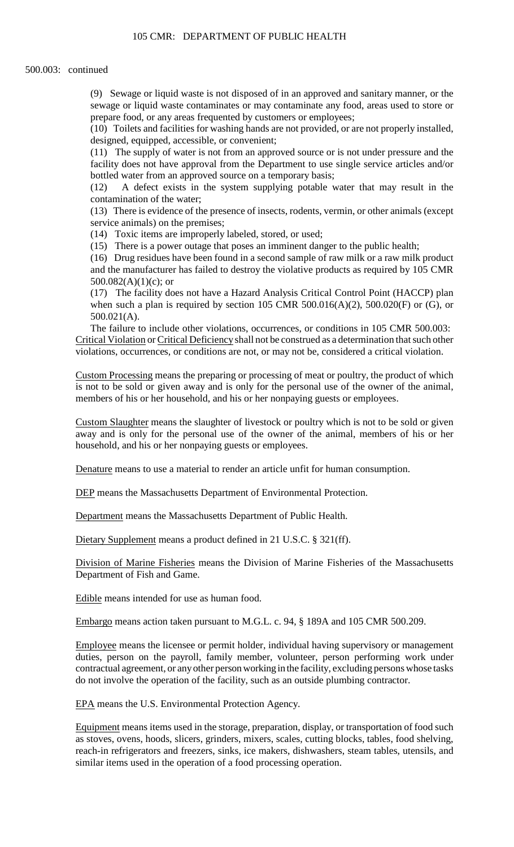(9) Sewage or liquid waste is not disposed of in an approved and sanitary manner, or the sewage or liquid waste contaminates or may contaminate any food, areas used to store or prepare food, or any areas frequented by customers or employees;

 (10) Toilets and facilities for washing hands are not provided, or are not properly installed, designed, equipped, accessible, or convenient;

(11) The supply of water is not from an approved source or is not under pressure and the facility does not have approval from the Department to use single service articles and/or bottled water from an approved source on a temporary basis;

(12) A defect exists in the system supplying potable water that may result in the contamination of the water;

 (13) There is evidence of the presence of insects, rodents, vermin, or other animals (except service animals) on the premises;

(14) Toxic items are improperly labeled, stored, or used;

(15) There is a power outage that poses an imminent danger to the public health;

 and the manufacturer has failed to destroy the violative products as required by 105 CMR (16) Drug residues have been found in a second sample of raw milk or a raw milk product 500.082(A)(1)(c); or

(17) The facility does not have a Hazard Analysis Critical Control Point (HACCP) plan when such a plan is required by section 105 CMR  $500.016(A)(2)$ ,  $500.020(F)$  or (G), or 500.021(A).

The failure to include other violations, occurrences, or conditions in 105 CMR 500.003: Critical Violation or Critical Deficiency shall not be construed as a determination that such other violations, occurrences, or conditions are not, or may not be, considered a critical violation.

 is not to be sold or given away and is only for the personal use of the owner of the animal, Custom Processing means the preparing or processing of meat or poultry, the product of which members of his or her household, and his or her nonpaying guests or employees.

Custom Slaughter means the slaughter of livestock or poultry which is not to be sold or given away and is only for the personal use of the owner of the animal, members of his or her household, and his or her nonpaying guests or employees.

Denature means to use a material to render an article unfit for human consumption.

DEP means the Massachusetts Department of Environmental Protection.

Department means the Massachusetts Department of Public Health.

Dietary Supplement means a product defined in 21 U.S.C. § 321(ff).

Division of Marine Fisheries means the Division of Marine Fisheries of the Massachusetts Department of Fish and Game.

Edible means intended for use as human food.

Embargo means action taken pursuant to M.G.L. c. 94, § 189A and 105 CMR 500.209.

Employee means the licensee or permit holder, individual having supervisory or management duties, person on the payroll, family member, volunteer, person performing work under contractual agreement, or any other person working in the facility, excluding persons whose tasks do not involve the operation of the facility, such as an outside plumbing contractor.

EPA means the U.S. Environmental Protection Agency.

Equipment means items used in the storage, preparation, display, or transportation of food such as stoves, ovens, hoods, slicers, grinders, mixers, scales, cutting blocks, tables, food shelving, reach-in refrigerators and freezers, sinks, ice makers, dishwashers, steam tables, utensils, and similar items used in the operation of a food processing operation.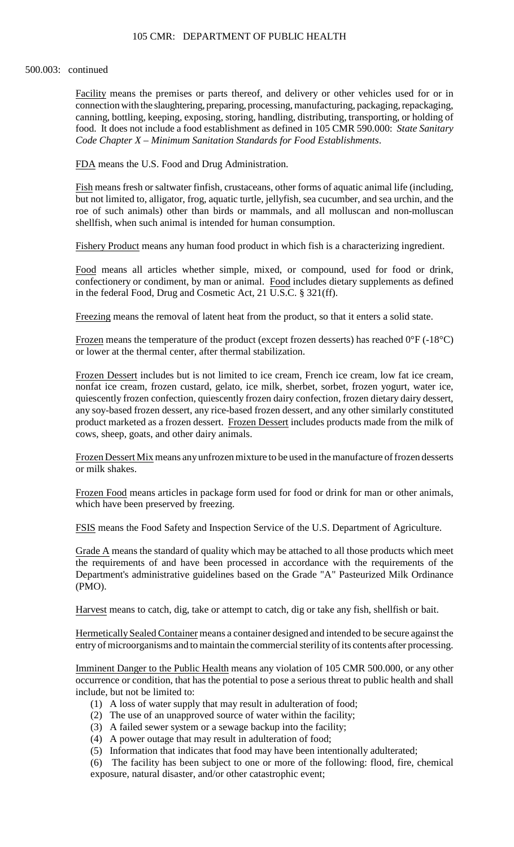## 105 CMR: DEPARTMENT OF PUBLIC HEALTH

#### 500.003: continued

Facility means the premises or parts thereof, and delivery or other vehicles used for or in connection with the slaughtering, preparing, processing, manufacturing, packaging, repackaging, canning, bottling, keeping, exposing, storing, handling, distributing, transporting, or holding of food. It does not include a food establishment as defined in 105 CMR 590.000: *State Sanitary Code Chapter X – Minimum Sanitation Standards for Food Establishments*.

FDA means the U.S. Food and Drug Administration.

Fish means fresh or saltwater finfish, crustaceans, other forms of aquatic animal life (including, but not limited to, alligator, frog, aquatic turtle, jellyfish, sea cucumber, and sea urchin, and the roe of such animals) other than birds or mammals, and all molluscan and non-molluscan shellfish, when such animal is intended for human consumption.

Fishery Product means any human food product in which fish is a characterizing ingredient.

Food means all articles whether simple, mixed, or compound, used for food or drink, confectionery or condiment, by man or animal. Food includes dietary supplements as defined in the federal Food, Drug and Cosmetic Act, 21 U.S.C. § 321(ff).

Freezing means the removal of latent heat from the product, so that it enters a solid state.

Frozen means the temperature of the product (except frozen desserts) has reached  $0^{\circ}F$  (-18 $^{\circ}C$ ) or lower at the thermal center, after thermal stabilization.

Frozen Dessert includes but is not limited to ice cream, French ice cream, low fat ice cream, nonfat ice cream, frozen custard, gelato, ice milk, sherbet, sorbet, frozen yogurt, water ice, quiescently frozen confection, quiescently frozen dairy confection, frozen dietary dairy dessert, any soy-based frozen dessert, any rice-based frozen dessert, and any other similarly constituted product marketed as a frozen dessert. Frozen Dessert includes products made from the milk of cows, sheep, goats, and other dairy animals.

Frozen Dessert Mix means any unfrozen mixture to be used in the manufacture of frozen desserts or milk shakes.

Frozen Food means articles in package form used for food or drink for man or other animals, which have been preserved by freezing.

FSIS means the Food Safety and Inspection Service of the U.S. Department of Agriculture.

Grade A means the standard of quality which may be attached to all those products which meet the requirements of and have been processed in accordance with the requirements of the Department's administrative guidelines based on the Grade "A" Pasteurized Milk Ordinance (PMO).

Harvest means to catch, dig, take or attempt to catch, dig or take any fish, shellfish or bait.

Hermetically Sealed Container means a container designed and intended to be secure against the entry of microorganisms and to maintain the commercial sterility of its contents after processing.

Imminent Danger to the Public Health means any violation of 105 CMR 500.000, or any other occurrence or condition, that has the potential to pose a serious threat to public health and shall include, but not be limited to:

- (1) A loss of water supply that may result in adulteration of food;
- (2) The use of an unapproved source of water within the facility;
- (3) A failed sewer system or a sewage backup into the facility;
- (4) A power outage that may result in adulteration of food;
- (5) Information that indicates that food may have been intentionally adulterated;

 (6) The facility has been subject to one or more of the following: flood, fire, chemical exposure, natural disaster, and/or other catastrophic event;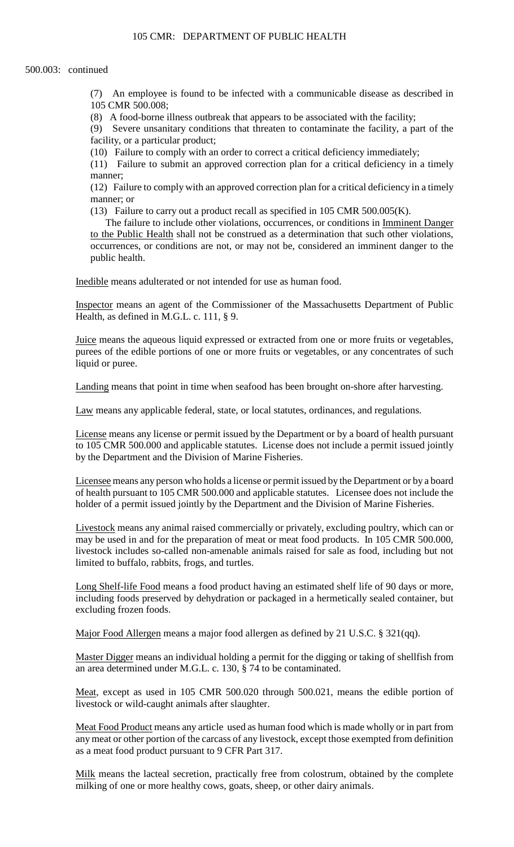(7) An employee is found to be infected with a communicable disease as described in 105 CMR 500.008;

(8) A food-borne illness outbreak that appears to be associated with the facility;

(9) Severe unsanitary conditions that threaten to contaminate the facility, a part of the facility, or a particular product;

(10) Failure to comply with an order to correct a critical deficiency immediately;

(11) Failure to submit an approved correction plan for a critical deficiency in a timely manner;

(12) Failure to comply with an approved correction plan for a critical deficiency in a timely manner; or

(13) Failure to carry out a product recall as specified in 105 CMR 500.005(K).

The failure to include other violations, occurrences, or conditions in Imminent Danger to the Public Health shall not be construed as a determination that such other violations, occurrences, or conditions are not, or may not be, considered an imminent danger to the public health.

Inedible means adulterated or not intended for use as human food.

Inspector means an agent of the Commissioner of the Massachusetts Department of Public Health, as defined in M.G.L. c. 111, § 9.

Juice means the aqueous liquid expressed or extracted from one or more fruits or vegetables, purees of the edible portions of one or more fruits or vegetables, or any concentrates of such liquid or puree.

Landing means that point in time when seafood has been brought on-shore after harvesting.

Law means any applicable federal, state, or local statutes, ordinances, and regulations.

 to 105 CMR 500.000 and applicable statutes. License does not include a permit issued jointly License means any license or permit issued by the Department or by a board of health pursuant by the Department and the Division of Marine Fisheries.

Licensee means any person who holds a license or permit issued by the Department or by a board of health pursuant to 105 CMR 500.000 and applicable statutes. Licensee does not include the holder of a permit issued jointly by the Department and the Division of Marine Fisheries.

 may be used in and for the preparation of meat or meat food products. In 105 CMR 500.000, Livestock means any animal raised commercially or privately, excluding poultry, which can or livestock includes so-called non-amenable animals raised for sale as food, including but not limited to buffalo, rabbits, frogs, and turtles.

 including foods preserved by dehydration or packaged in a hermetically sealed container, but Long Shelf-life Food means a food product having an estimated shelf life of 90 days or more, excluding frozen foods.

Major Food Allergen means a major food allergen as defined by 21 U.S.C. § 321(qq).

Master Digger means an individual holding a permit for the digging or taking of shellfish from an area determined under M.G.L. c. 130, § 74 to be contaminated.

Meat, except as used in 105 CMR 500.020 through 500.021, means the edible portion of livestock or wild-caught animals after slaughter.

 Meat Food Product means any article used as human food which is made wholly or in part from any meat or other portion of the carcass of any livestock, except those exempted from definition as a meat food product pursuant to 9 CFR Part 317.

Milk means the lacteal secretion, practically free from colostrum, obtained by the complete milking of one or more healthy cows, goats, sheep, or other dairy animals.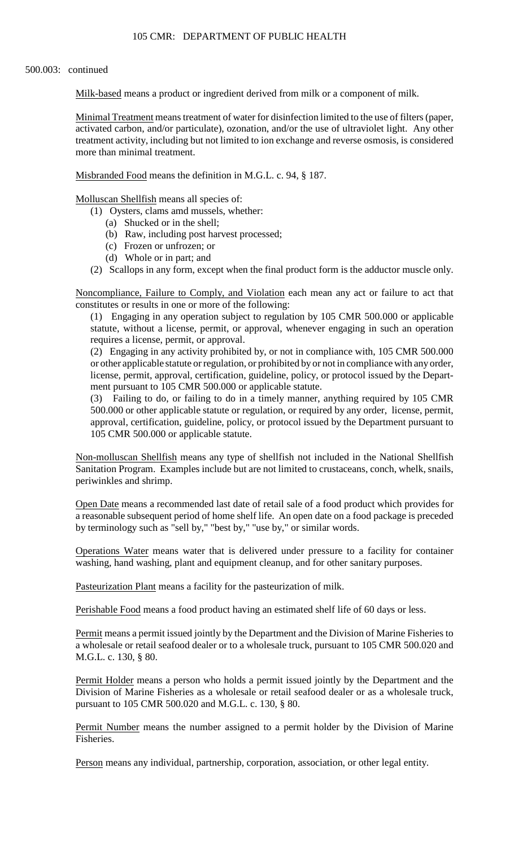Milk-based means a product or ingredient derived from milk or a component of milk.

Minimal Treatment means treatment of water for disinfection limited to the use of filters (paper, activated carbon, and/or particulate), ozonation, and/or the use of ultraviolet light. Any other treatment activity, including but not limited to ion exchange and reverse osmosis, is considered more than minimal treatment.

Misbranded Food means the definition in M.G.L. c. 94, § 187.

Molluscan Shellfish means all species of:

- (1) Oysters, clams amd mussels, whether:
	- (a) Shucked or in the shell;
	- (b) Raw, including post harvest processed;
	- (c) Frozen or unfrozen; or
	- (d) Whole or in part; and
- (2) Scallops in any form, except when the final product form is the adductor muscle only.

Noncompliance, Failure to Comply, and Violation each mean any act or failure to act that constitutes or results in one or more of the following:

(1) Engaging in any operation subject to regulation by 105 CMR 500.000 or applicable statute, without a license, permit, or approval, whenever engaging in such an operation requires a license, permit, or approval.

(2) Engaging in any activity prohibited by, or not in compliance with, 105 CMR 500.000 or other applicable statute or regulation, or prohibited by or not in compliance with any order, license, permit, approval, certification, guideline, policy, or protocol issued by the Department pursuant to 105 CMR 500.000 or applicable statute.

 500.000 or other applicable statute or regulation, or required by any order, license, permit, (3) Failing to do, or failing to do in a timely manner, anything required by 105 CMR approval, certification, guideline, policy, or protocol issued by the Department pursuant to 105 CMR 500.000 or applicable statute.

 Sanitation Program. Examples include but are not limited to crustaceans, conch, whelk, snails, Non-molluscan Shellfish means any type of shellfish not included in the National Shellfish periwinkles and shrimp.

Open Date means a recommended last date of retail sale of a food product which provides for a reasonable subsequent period of home shelf life. An open date on a food package is preceded by terminology such as "sell by," "best by," "use by," or similar words.

Operations Water means water that is delivered under pressure to a facility for container washing, hand washing, plant and equipment cleanup, and for other sanitary purposes.

Pasteurization Plant means a facility for the pasteurization of milk.

Perishable Food means a food product having an estimated shelf life of 60 days or less.

Permit means a permit issued jointly by the Department and the Division of Marine Fisheries to a wholesale or retail seafood dealer or to a wholesale truck, pursuant to 105 CMR 500.020 and M.G.L. c. 130, § 80.

Permit Holder means a person who holds a permit issued jointly by the Department and the Division of Marine Fisheries as a wholesale or retail seafood dealer or as a wholesale truck, pursuant to 105 CMR 500.020 and M.G.L. c. 130, § 80.

Permit Number means the number assigned to a permit holder by the Division of Marine Fisheries.

Person means any individual, partnership, corporation, association, or other legal entity.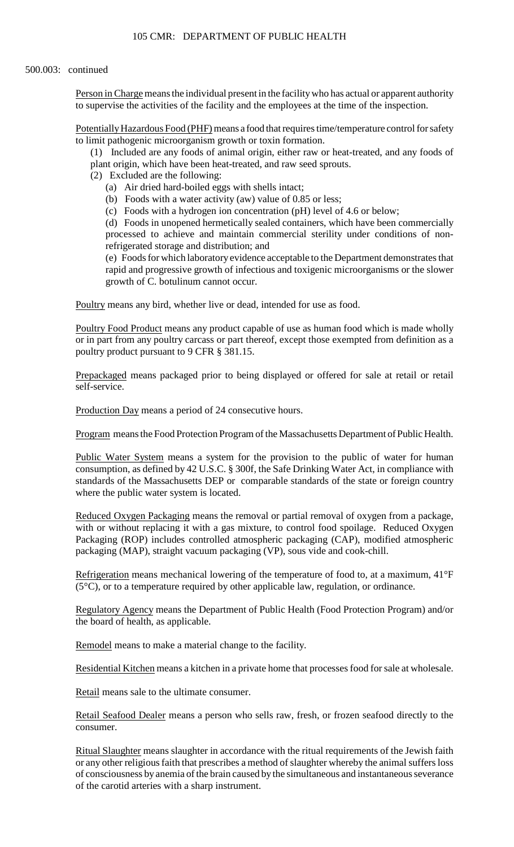Person in Charge means the individual present in the facility who has actual or apparent authority to supervise the activities of the facility and the employees at the time of the inspection.

Potentially Hazardous Food (PHF) means a food that requires time/temperature control for safety to limit pathogenic microorganism growth or toxin formation.

(1) Included are any foods of animal origin, either raw or heat-treated, and any foods of plant origin, which have been heat-treated, and raw seed sprouts.

- (2) Excluded are the following:
	- (a) Air dried hard-boiled eggs with shells intact;
	- (b) Foods with a water activity (aw) value of 0.85 or less;
	- (c) Foods with a hydrogen ion concentration (pH) level of 4.6 or below;

 (d) Foods in unopened hermetically sealed containers, which have been commercially processed to achieve and maintain commercial sterility under conditions of nonrefrigerated storage and distribution; and

 (e) Foods for which laboratory evidence acceptable to the Department demonstrates that rapid and progressive growth of infectious and toxigenic microorganisms or the slower growth of C. botulinum cannot occur.

Poultry means any bird, whether live or dead, intended for use as food.

 or in part from any poultry carcass or part thereof, except those exempted from definition as a Poultry Food Product means any product capable of use as human food which is made wholly poultry product pursuant to 9 CFR § 381.15.

Prepackaged means packaged prior to being displayed or offered for sale at retail or retail self-service.

Production Day means a period of 24 consecutive hours.

Program means the Food Protection Program of the Massachusetts Department of Public Health.

Public Water System means a system for the provision to the public of water for human consumption, as defined by 42 U.S.C. § 300f, the Safe Drinking Water Act, in compliance with standards of the Massachusetts DEP or comparable standards of the state or foreign country where the public water system is located.

Reduced Oxygen Packaging means the removal or partial removal of oxygen from a package, with or without replacing it with a gas mixture, to control food spoilage. Reduced Oxygen Packaging (ROP) includes controlled atmospheric packaging (CAP), modified atmospheric packaging (MAP), straight vacuum packaging (VP), sous vide and cook-chill.

Refrigeration means mechanical lowering of the temperature of food to, at a maximum, 41°F  $(5^{\circ}C)$ , or to a temperature required by other applicable law, regulation, or ordinance.

Regulatory Agency means the Department of Public Health (Food Protection Program) and/or the board of health, as applicable.

Remodel means to make a material change to the facility.

Residential Kitchen means a kitchen in a private home that processes food for sale at wholesale.

Retail means sale to the ultimate consumer.

Retail Seafood Dealer means a person who sells raw, fresh, or frozen seafood directly to the consumer.

Ritual Slaughter means slaughter in accordance with the ritual requirements of the Jewish faith or any other religious faith that prescribes a method of slaughter whereby the animal suffers loss of consciousness by anemia of the brain caused by the simultaneous and instantaneous severance of the carotid arteries with a sharp instrument.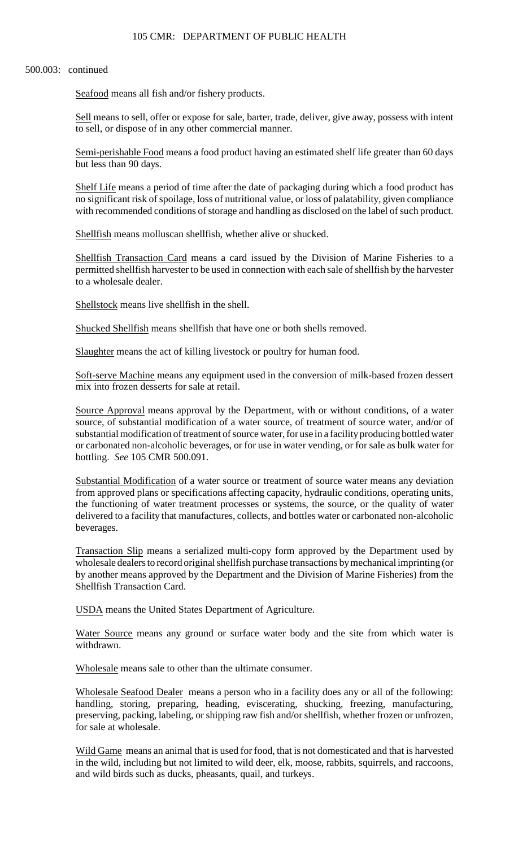Seafood means all fish and/or fishery products.

Sell means to sell, offer or expose for sale, barter, trade, deliver, give away, possess with intent to sell, or dispose of in any other commercial manner.

Semi-perishable Food means a food product having an estimated shelf life greater than 60 days but less than 90 days.

 with recommended conditions of storage and handling as disclosed on the label of such product. Shelf Life means a period of time after the date of packaging during which a food product has no significant risk of spoilage, loss of nutritional value, or loss of palatability, given compliance

Shellfish means molluscan shellfish, whether alive or shucked.

Shellfish Transaction Card means a card issued by the Division of Marine Fisheries to a permitted shellfish harvester to be used in connection with each sale of shellfish by the harvester to a wholesale dealer.

Shellstock means live shellfish in the shell.

Shucked Shellfish means shellfish that have one or both shells removed.

Slaughter means the act of killing livestock or poultry for human food.

Soft-serve Machine means any equipment used in the conversion of milk-based frozen dessert mix into frozen desserts for sale at retail.

Source Approval means approval by the Department, with or without conditions, of a water source, of substantial modification of a water source, of treatment of source water, and/or of substantial modification of treatment of source water, for use in a facility producing bottled water or carbonated non-alcoholic beverages, or for use in water vending, or for sale as bulk water for bottling. *See* 105 CMR 500.091.

 from approved plans or specifications affecting capacity, hydraulic conditions, operating units, delivered to a facility that manufactures, collects, and bottles water or carbonated non-alcoholic Substantial Modification of a water source or treatment of source water means any deviation the functioning of water treatment processes or systems, the source, or the quality of water beverages.

 by another means approved by the Department and the Division of Marine Fisheries) from the Transaction Slip means a serialized multi-copy form approved by the Department used by wholesale dealers to record original shellfish purchase transactions by mechanical imprinting (or Shellfish Transaction Card.

USDA means the United States Department of Agriculture.

Water Source means any ground or surface water body and the site from which water is withdrawn.

Wholesale means sale to other than the ultimate consumer.

Wholesale Seafood Dealer means a person who in a facility does any or all of the following: handling, storing, preparing, heading, eviscerating, shucking, freezing, manufacturing, preserving, packing, labeling, or shipping raw fish and/or shellfish, whether frozen or unfrozen, for sale at wholesale.

Wild Game means an animal that is used for food, that is not domesticated and that is harvested in the wild, including but not limited to wild deer, elk, moose, rabbits, squirrels, and raccoons, and wild birds such as ducks, pheasants, quail, and turkeys.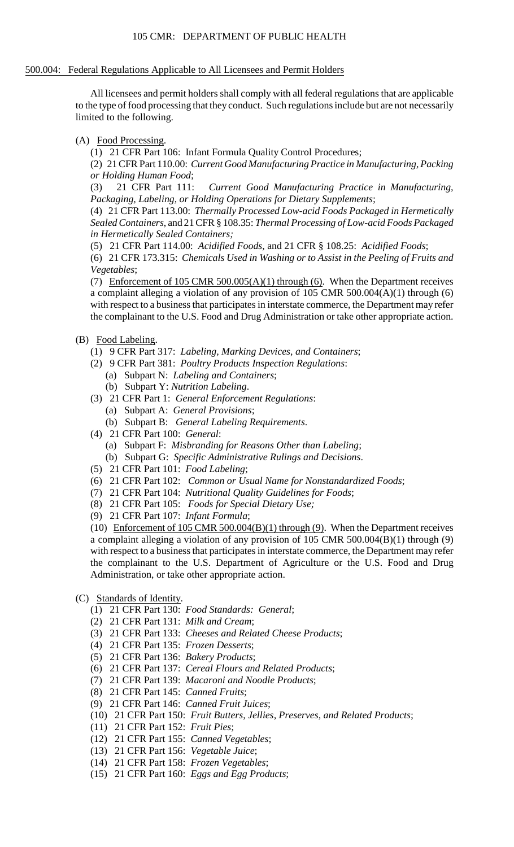#### 500.004: Federal Regulations Applicable to All Licensees and Permit Holders

All licensees and permit holders shall comply with all federal regulations that are applicable to the type of food processing that they conduct. Such regulations include but are not necessarily limited to the following.

(A) Food Processing.

(1) 21 CFR Part 106: Infant Formula Quality Control Procedures;

(2) 21 CFR Part 110.00: *Current Good Manufacturing Practice in Manufacturing, Packing or Holding Human Food*;

(3) 21 CFR Part 111: *Current Good Manufacturing Practice in Manufacturing, Packaging, Labeling, or Holding Operations for Dietary Supplements*;

(4) 21 CFR Part 113.00: *Thermally Processed Low-acid Foods Packaged in Hermetically Sealed Containers*, and 21 CFR § 108.35: *Thermal Processing of Low-acid Foods Packaged in Hermetically Sealed Containers;* 

(5) 21 CFR Part 114.00: *Acidified Foods*, and 21 CFR § 108.25: *Acidified Foods*;

(6) 21 CFR 173.315: *Chemicals Used in Washing or to Assist in the Peeling of Fruits and Vegetables*;

 a complaint alleging a violation of any provision of 105 CMR 500.004(A)(1) through (6) (7) Enforcement of 105 CMR 500.005(A)(1) through (6). When the Department receives with respect to a business that participates in interstate commerce, the Department may refer the complainant to the U.S. Food and Drug Administration or take other appropriate action.

- (B) Food Labeling.
	- (1) 9 CFR Part 317: *Labeling, Marking Devices, and Containers*;
	- (2) 9 CFR Part 381: *Poultry Products Inspection Regulations*:
		- (a) Subpart N: *Labeling and Containers*;
		- (b) Subpart Y: *Nutrition Labeling*.
	- (3) 21 CFR Part 1: *General Enforcement Regulations*:
		- (a) Subpart A: *General Provisions*;
		- (b) Subpart B: *General Labeling Requirements*.
	- (4) 21 CFR Part 100: *General*:
		- (a) Subpart F: *Misbranding for Reasons Other than Labeling*;
		- (b) Subpart G: *Specific Administrative Rulings and Decisions*.
	- (5) 21 CFR Part 101: *Food Labeling*;
	- (6) 21 CFR Part 102: *Common or Usual Name for Nonstandardized Foods*;
	- (7) 21 CFR Part 104: *Nutritional Quality Guidelines for Foods*;
	- (8) 21 CFR Part 105: *Foods for Special Dietary Use;*
	- (9) 21 CFR Part 107: *Infant Formula*;

(10) Enforcement of 105 CMR 500.004(B)(1) through (9). When the Department receives a complaint alleging a violation of any provision of 105 CMR 500.004(B)(1) through (9) with respect to a business that participates in interstate commerce, the Department may refer the complainant to the U.S. Department of Agriculture or the U.S. Food and Drug Administration, or take other appropriate action.

- (C) Standards of Identity.
	- (1) 21 CFR Part 130: *Food Standards: General*;
	- (2) 21 CFR Part 131: *Milk and Cream*;
	- (3) 21 CFR Part 133: *Cheeses and Related Cheese Products*;
	- (4) 21 CFR Part 135: *Frozen Desserts*;
	- (5) 21 CFR Part 136: *Bakery Products*;
	- (6) 21 CFR Part 137: *Cereal Flours and Related Products*;
	- (7) 21 CFR Part 139: *Macaroni and Noodle Products*;
	- (8) 21 CFR Part 145: *Canned Fruits*;
	- (9) 21 CFR Part 146: *Canned Fruit Juices*;
	- (10) 21 CFR Part 150: *Fruit Butters, Jellies, Preserves, and Related Products*;
	- (11) 21 CFR Part 152: *Fruit Pies*;
	- (12) 21 CFR Part 155: *Canned Vegetables*;
	- (13) 21 CFR Part 156: *Vegetable Juice*;
	- (14) 21 CFR Part 158: *Frozen Vegetables*;
	- (15) 21 CFR Part 160: *Eggs and Egg Products*;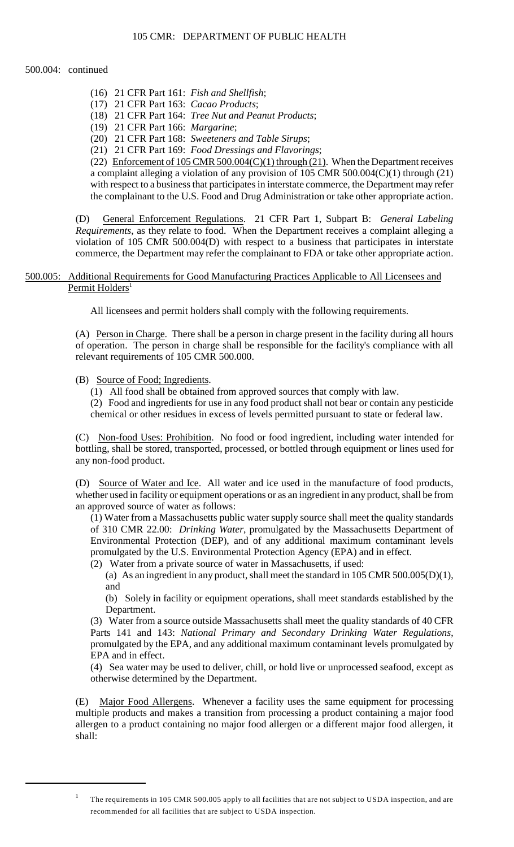- (16) 21 CFR Part 161: *Fish and Shellfish*;
- (17) 21 CFR Part 163: *Cacao Products*;
- (18) 21 CFR Part 164: *Tree Nut and Peanut Products*;
- (19) 21 CFR Part 166: *Margarine*;
- (20) 21 CFR Part 168: *Sweeteners and Table Sirups*;
- (21) 21 CFR Part 169: *Food Dressings and Flavorings*;

(22) Enforcement of 105 CMR 500.004(C)(1) through (21). When the Department receives a complaint alleging a violation of any provision of 105 CMR 500.004(C)(1) through (21) with respect to a business that participates in interstate commerce, the Department may refer the complainant to the U.S. Food and Drug Administration or take other appropriate action.

(D) General Enforcement Regulations. 21 CFR Part 1, Subpart B: *General Labeling Requirements*, as they relate to food. When the Department receives a complaint alleging a violation of 105 CMR 500.004(D) with respect to a business that participates in interstate commerce, the Department may refer the complainant to FDA or take other appropriate action.

# 500.005: Additional Requirements for Good Manufacturing Practices Applicable to All Licensees and Permit Holders<sup>1</sup>

All licensees and permit holders shall comply with the following requirements.

(A) Person in Charge. There shall be a person in charge present in the facility during all hours of operation. The person in charge shall be responsible for the facility's compliance with all relevant requirements of 105 CMR 500.000.

- (B) Source of Food; Ingredients.
	- (1) All food shall be obtained from approved sources that comply with law.

(2) Food and ingredients for use in any food product shall not bear or contain any pesticide chemical or other residues in excess of levels permitted pursuant to state or federal law.

(C) Non-food Uses: Prohibition. No food or food ingredient, including water intended for bottling, shall be stored, transported, processed, or bottled through equipment or lines used for any non-food product.

(D) Source of Water and Ice. All water and ice used in the manufacture of food products, whether used in facility or equipment operations or as an ingredient in any product, shall be from an approved source of water as follows:

(1) Water from a Massachusetts public water supply source shall meet the quality standards of 310 CMR 22.00: *Drinking Water*, promulgated by the Massachusetts Department of Environmental Protection (DEP), and of any additional maximum contaminant levels promulgated by the U.S. Environmental Protection Agency (EPA) and in effect.

- (2) Water from a private source of water in Massachusetts, if used:
	- (a) As an ingredient in any product, shall meet the standard in  $105$  CMR  $500.005(D)(1)$ , and

 (b) Solely in facility or equipment operations, shall meet standards established by the Department.

 (3) Water from a source outside Massachusetts shall meet the quality standards of 40 CFR Parts 141 and 143: *National Primary and Secondary Drinking Water Regulations*, promulgated by the EPA, and any additional maximum contaminant levels promulgated by EPA and in effect.

 (4) Sea water may be used to deliver, chill, or hold live or unprocessed seafood, except as otherwise determined by the Department.

(E) Major Food Allergens. Whenever a facility uses the same equipment for processing multiple products and makes a transition from processing a product containing a major food allergen to a product containing no major food allergen or a different major food allergen, it shall:

<sup>1</sup> The requirements in 105 CMR 500.005 apply to all facilities that are not subject to USDA inspection, and are recommended for all facilities that are subject to USDA inspection.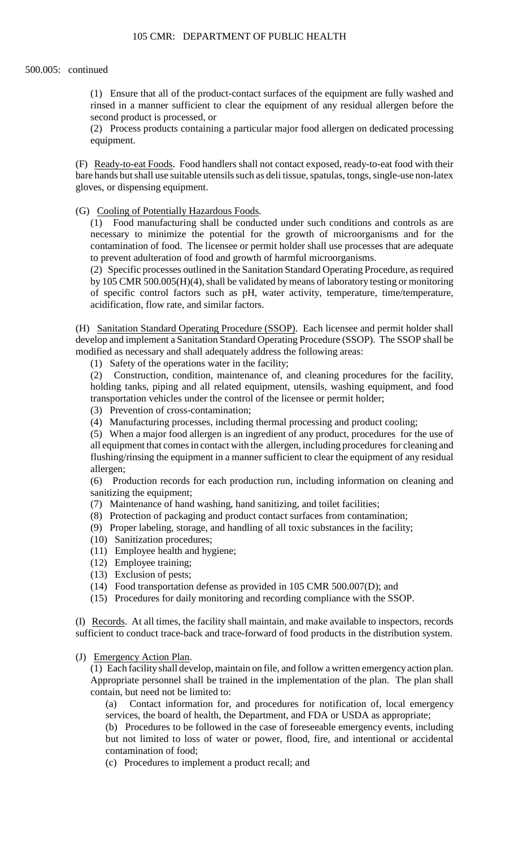(1) Ensure that all of the product-contact surfaces of the equipment are fully washed and rinsed in a manner sufficient to clear the equipment of any residual allergen before the second product is processed, or

(2) Process products containing a particular major food allergen on dedicated processing equipment.

(F) Ready-to-eat Foods. Food handlers shall not contact exposed, ready-to-eat food with their bare hands but shall use suitable utensils such as deli tissue, spatulas, tongs, single-use non-latex gloves, or dispensing equipment.

(G) Cooling of Potentially Hazardous Foods.

(1) Food manufacturing shall be conducted under such conditions and controls as are necessary to minimize the potential for the growth of microorganisms and for the contamination of food. The licensee or permit holder shall use processes that are adequate to prevent adulteration of food and growth of harmful microorganisms.

(2) Specific processes outlined in the Sanitation Standard Operating Procedure, as required by 105 CMR 500.005(H)(4), shall be validated by means of laboratory testing or monitoring of specific control factors such as pH, water activity, temperature, time/temperature, acidification, flow rate, and similar factors.

(H) Sanitation Standard Operating Procedure (SSOP). Each licensee and permit holder shall develop and implement a Sanitation Standard Operating Procedure (SSOP). The SSOP shall be modified as necessary and shall adequately address the following areas:

(1) Safety of the operations water in the facility;

(2) Construction, condition, maintenance of, and cleaning procedures for the facility, holding tanks, piping and all related equipment, utensils, washing equipment, and food transportation vehicles under the control of the licensee or permit holder;

(3) Prevention of cross-contamination;

(4) Manufacturing processes, including thermal processing and product cooling;

(5) When a major food allergen is an ingredient of any product, procedures for the use of all equipment that comes in contact with the allergen, including procedures for cleaning and flushing/rinsing the equipment in a manner sufficient to clear the equipment of any residual allergen;

 $(6)$ Production records for each production run, including information on cleaning and sanitizing the equipment;

- (7) Maintenance of hand washing, hand sanitizing, and toilet facilities;
- (8) Protection of packaging and product contact surfaces from contamination;
- (9) Proper labeling, storage, and handling of all toxic substances in the facility;
- (10) Sanitization procedures;
- (11) Employee health and hygiene;
- (12) Employee training;
- (13) Exclusion of pests;
- (14) Food transportation defense as provided in 105 CMR 500.007(D); and
- (15) Procedures for daily monitoring and recording compliance with the SSOP.

(I) Records. At all times, the facility shall maintain, and make available to inspectors, records sufficient to conduct trace-back and trace-forward of food products in the distribution system.

### (J) Emergency Action Plan.

(1) Each facility shall develop, maintain on file, and follow a written emergency action plan. Appropriate personnel shall be trained in the implementation of the plan. The plan shall contain, but need not be limited to:

(a) Contact information for, and procedures for notification of, local emergency services, the board of health, the Department, and FDA or USDA as appropriate;

(b) Procedures to be followed in the case of foreseeable emergency events, including but not limited to loss of water or power, flood, fire, and intentional or accidental contamination of food;

(c) Procedures to implement a product recall; and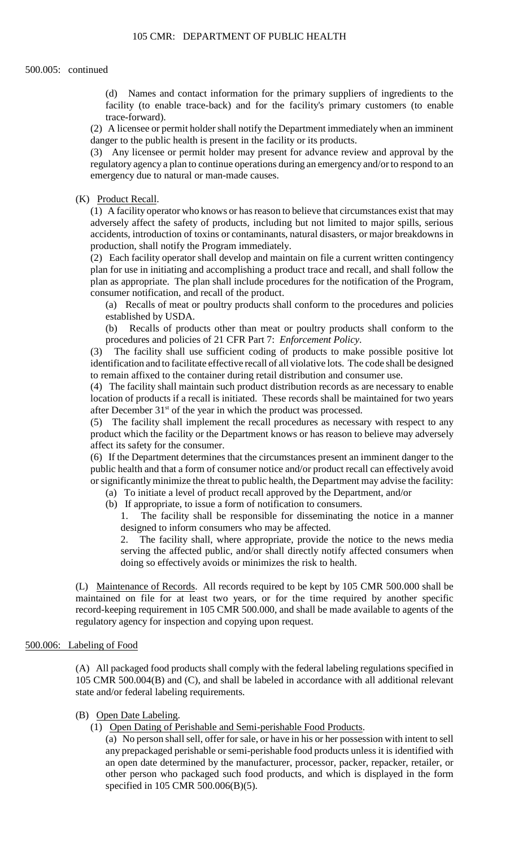(d) Names and contact information for the primary suppliers of ingredients to the facility (to enable trace-back) and for the facility's primary customers (to enable trace-forward).

(2) A licensee or permit holder shall notify the Department immediately when an imminent danger to the public health is present in the facility or its products.

(3) Any licensee or permit holder may present for advance review and approval by the regulatory agency a plan to continue operations during an emergency and/or to respond to an emergency due to natural or man-made causes.

(K) Product Recall.

 accidents, introduction of toxins or contaminants, natural disasters, or major breakdowns in (1) A facility operator who knows or has reason to believe that circumstances exist that may adversely affect the safety of products, including but not limited to major spills, serious production, shall notify the Program immediately.

(2) Each facility operator shall develop and maintain on file a current written contingency plan for use in initiating and accomplishing a product trace and recall, and shall follow the plan as appropriate. The plan shall include procedures for the notification of the Program, consumer notification, and recall of the product.

(a) Recalls of meat or poultry products shall conform to the procedures and policies established by USDA.

(b) Recalls of products other than meat or poultry products shall conform to the procedures and policies of 21 CFR Part 7: *Enforcement Policy*.

(3) The facility shall use sufficient coding of products to make possible positive lot identification and to facilitate effective recall of all violative lots. The code shall be designed to remain affixed to the container during retail distribution and consumer use.

(4) The facility shall maintain such product distribution records as are necessary to enable location of products if a recall is initiated. These records shall be maintained for two years after December  $31<sup>st</sup>$  of the year in which the product was processed.

 (5) The facility shall implement the recall procedures as necessary with respect to any product which the facility or the Department knows or has reason to believe may adversely affect its safety for the consumer.

 public health and that a form of consumer notice and/or product recall can effectively avoid or significantly minimize the threat to public health, the Department may advise the facility: (6) If the Department determines that the circumstances present an imminent danger to the

- (a) To initiate a level of product recall approved by the Department, and/or
- (b) If appropriate, to issue a form of notification to consumers.

1. The facility shall be responsible for disseminating the notice in a manner designed to inform consumers who may be affected.

2. The facility shall, where appropriate, provide the notice to the news media serving the affected public, and/or shall directly notify affected consumers when doing so effectively avoids or minimizes the risk to health.

 (L) Maintenance of Records. All records required to be kept by 105 CMR 500.000 shall be maintained on file for at least two years, or for the time required by another specific record-keeping requirement in 105 CMR 500.000, and shall be made available to agents of the regulatory agency for inspection and copying upon request.

## 500.006: Labeling of Food

 (A) All packaged food products shall comply with the federal labeling regulations specified in 105 CMR 500.004(B) and (C), and shall be labeled in accordance with all additional relevant state and/or federal labeling requirements.

## (B) Open Date Labeling.

(1) Open Dating of Perishable and Semi-perishable Food Products.

 any prepackaged perishable or semi-perishable food products unless it is identified with (a) No person shall sell, offer for sale, or have in his or her possession with intent to sell an open date determined by the manufacturer, processor, packer, repacker, retailer, or other person who packaged such food products, and which is displayed in the form specified in 105 CMR 500.006(B)(5).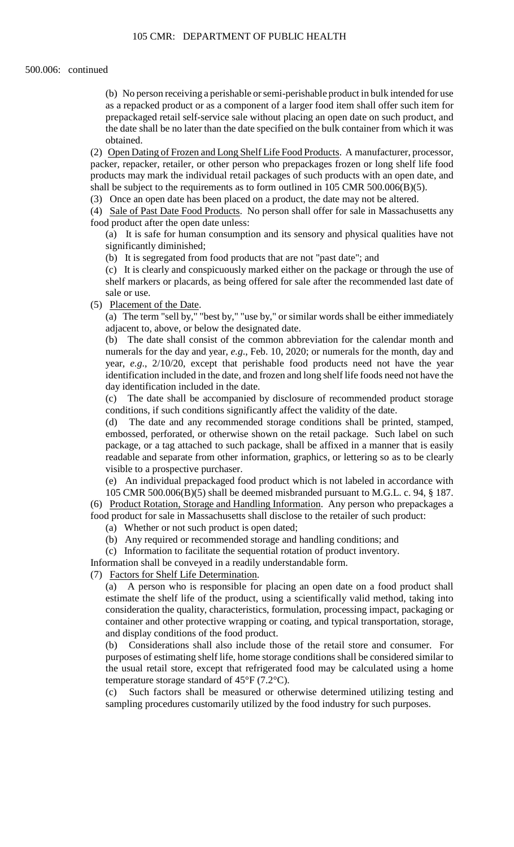(b) No person receiving a perishable or semi-perishable product in bulk intended for use as a repacked product or as a component of a larger food item shall offer such item for prepackaged retail self-service sale without placing an open date on such product, and the date shall be no later than the date specified on the bulk container from which it was obtained.

(2) Open Dating of Frozen and Long Shelf Life Food Products. A manufacturer, processor, packer, repacker, retailer, or other person who prepackages frozen or long shelf life food products may mark the individual retail packages of such products with an open date, and shall be subject to the requirements as to form outlined in 105 CMR 500.006(B)(5).

(3) Once an open date has been placed on a product, the date may not be altered.

(4) Sale of Past Date Food Products. No person shall offer for sale in Massachusetts any food product after the open date unless:

(a) It is safe for human consumption and its sensory and physical qualities have not significantly diminished;

(b) It is segregated from food products that are not "past date"; and

(c) It is clearly and conspicuously marked either on the package or through the use of shelf markers or placards, as being offered for sale after the recommended last date of sale or use.

(5) Placement of the Date.

 (a) The term "sell by," "best by," "use by," or similar words shall be either immediately adjacent to, above, or below the designated date.

(b) The date shall consist of the common abbreviation for the calendar month and numerals for the day and year, *e.g*., Feb. 10, 2020; or numerals for the month, day and year, *e.g*., 2/10/20, except that perishable food products need not have the year identification included in the date, and frozen and long shelf life foods need not have the day identification included in the date.

 (c) The date shall be accompanied by disclosure of recommended product storage conditions, if such conditions significantly affect the validity of the date.

 embossed, perforated, or otherwise shown on the retail package. Such label on such readable and separate from other information, graphics, or lettering so as to be clearly (d) The date and any recommended storage conditions shall be printed, stamped, package, or a tag attached to such package, shall be affixed in a manner that is easily visible to a prospective purchaser.

(e) An individual prepackaged food product which is not labeled in accordance with 105 CMR 500.006(B)(5) shall be deemed misbranded pursuant to M.G.L. c. 94, § 187.

 (6) Product Rotation, Storage and Handling Information. Any person who prepackages a food product for sale in Massachusetts shall disclose to the retailer of such product:

(a) Whether or not such product is open dated;

(b) Any required or recommended storage and handling conditions; and

(c) Information to facilitate the sequential rotation of product inventory.

Information shall be conveyed in a readily understandable form.

(7) Factors for Shelf Life Determination.

(a) A person who is responsible for placing an open date on a food product shall estimate the shelf life of the product, using a scientifically valid method, taking into consideration the quality, characteristics, formulation, processing impact, packaging or container and other protective wrapping or coating, and typical transportation, storage, and display conditions of the food product.

 purposes of estimating shelf life, home storage conditions shall be considered similar to (b) Considerations shall also include those of the retail store and consumer. For the usual retail store, except that refrigerated food may be calculated using a home temperature storage standard of 45°F (7.2°C).

(c) Such factors shall be measured or otherwise determined utilizing testing and sampling procedures customarily utilized by the food industry for such purposes.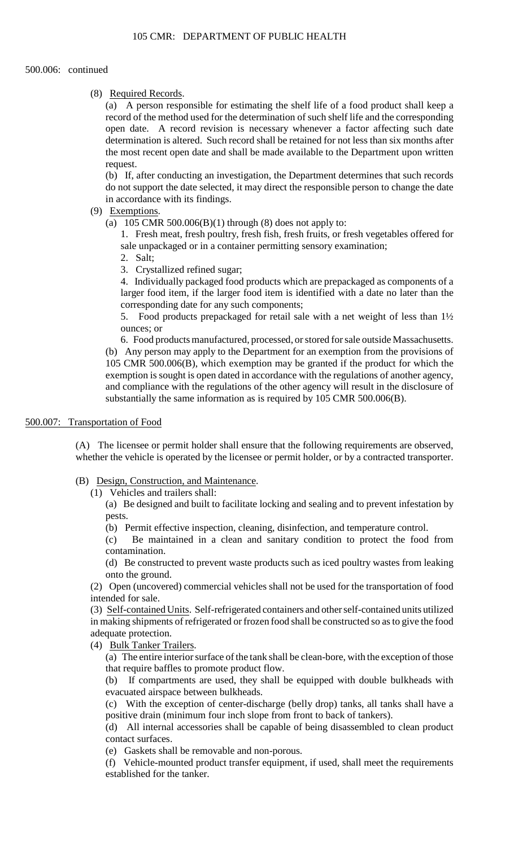## (8) Required Records.

(a) A person responsible for estimating the shelf life of a food product shall keep a record of the method used for the determination of such shelf life and the corresponding open date. A record revision is necessary whenever a factor affecting such date determination is altered. Such record shall be retained for not less than six months after the most recent open date and shall be made available to the Department upon written request.

 do not support the date selected, it may direct the responsible person to change the date (b) If, after conducting an investigation, the Department determines that such records in accordance with its findings.

# (9) Exemptions.

(a)  $105$  CMR 500.006(B)(1) through (8) does not apply to:

1. Fresh meat, fresh poultry, fresh fish, fresh fruits, or fresh vegetables offered for sale unpackaged or in a container permitting sensory examination;

- 2. Salt;
- 3. Crystallized refined sugar;

4. Individually packaged food products which are prepackaged as components of a larger food item, if the larger food item is identified with a date no later than the corresponding date for any such components;

5. Food products prepackaged for retail sale with a net weight of less than 1½ ounces; or

 6. Food products manufactured, processed, or stored for sale outside Massachusetts. (b) Any person may apply to the Department for an exemption from the provisions of exemption is sought is open dated in accordance with the regulations of another agency, and compliance with the regulations of the other agency will result in the disclosure of 105 CMR 500.006(B), which exemption may be granted if the product for which the substantially the same information as is required by 105 CMR 500.006(B).

# 500.007: Transportation of Food

(A) The licensee or permit holder shall ensure that the following requirements are observed, whether the vehicle is operated by the licensee or permit holder, or by a contracted transporter.

- (B) Design, Construction, and Maintenance.
	- (1) Vehicles and trailers shall:

 (a) Be designed and built to facilitate locking and sealing and to prevent infestation by pests.

(b) Permit effective inspection, cleaning, disinfection, and temperature control.

(c) Be maintained in a clean and sanitary condition to protect the food from contamination.

(d) Be constructed to prevent waste products such as iced poultry wastes from leaking onto the ground.

(2) Open (uncovered) commercial vehicles shall not be used for the transportation of food intended for sale.

(3) Self-contained Units. Self-refrigerated containers and other self-contained units utilized in making shipments of refrigerated or frozen food shall be constructed so as to give the food adequate protection.

(4) Bulk Tanker Trailers.

(a) The entire interior surface of the tank shall be clean-bore, with the exception of those that require baffles to promote product flow.

(b) If compartments are used, they shall be equipped with double bulkheads with evacuated airspace between bulkheads.

(c) With the exception of center-discharge (belly drop) tanks, all tanks shall have a positive drain (minimum four inch slope from front to back of tankers).

(d) All internal accessories shall be capable of being disassembled to clean product contact surfaces.

(e) Gaskets shall be removable and non-porous.

(f) Vehicle-mounted product transfer equipment, if used, shall meet the requirements established for the tanker.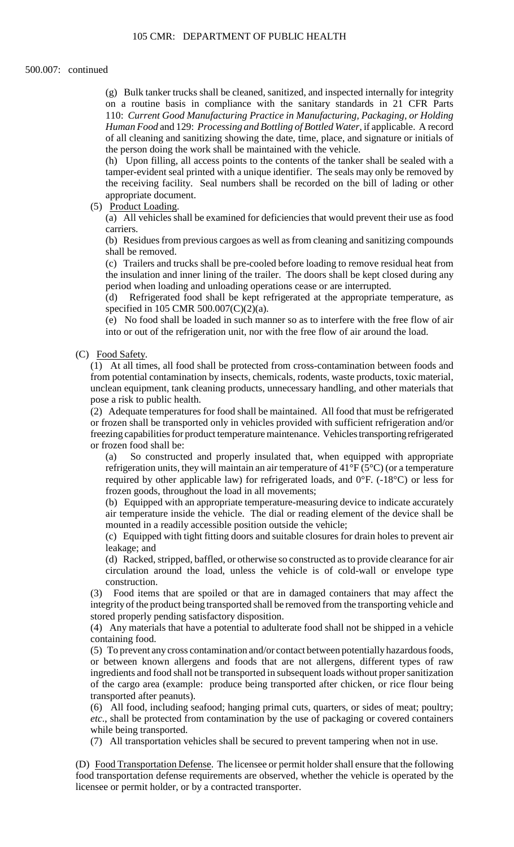(g) Bulk tanker trucks shall be cleaned, sanitized, and inspected internally for integrity on a routine basis in compliance with the sanitary standards in 21 CFR Parts 110: *Current Good Manufacturing Practice in Manufacturing, Packaging, or Holding Human Food* and 129: *Processing and Bottling of Bottled Water*, if applicable. A record of all cleaning and sanitizing showing the date, time, place, and signature or initials of the person doing the work shall be maintained with the vehicle.

 tamper-evident seal printed with a unique identifier. The seals may only be removed by (h) Upon filling, all access points to the contents of the tanker shall be sealed with a the receiving facility. Seal numbers shall be recorded on the bill of lading or other appropriate document.

(5) Product Loading.

(a) All vehicles shall be examined for deficiencies that would prevent their use as food carriers.

(b) Residues from previous cargoes as well as from cleaning and sanitizing compounds shall be removed.

(c) Trailers and trucks shall be pre-cooled before loading to remove residual heat from the insulation and inner lining of the trailer. The doors shall be kept closed during any period when loading and unloading operations cease or are interrupted.

 (d) Refrigerated food shall be kept refrigerated at the appropriate temperature, as specified in 105 CMR 500.007(C)(2)(a).

(e) No food shall be loaded in such manner so as to interfere with the free flow of air into or out of the refrigeration unit, nor with the free flow of air around the load.

(C) Food Safety.

(1) At all times, all food shall be protected from cross-contamination between foods and from potential contamination by insects, chemicals, rodents, waste products, toxic material, unclean equipment, tank cleaning products, unnecessary handling, and other materials that pose a risk to public health.

(2) Adequate temperatures for food shall be maintained. All food that must be refrigerated or frozen shall be transported only in vehicles provided with sufficient refrigeration and/or freezing capabilities for product temperature maintenance. Vehicles transporting refrigerated or frozen food shall be:

(a) So constructed and properly insulated that, when equipped with appropriate refrigeration units, they will maintain an air temperature of  $41^{\circ}F(5^{\circ}C)$  (or a temperature required by other applicable law) for refrigerated loads, and 0°F. (-18°C) or less for frozen goods, throughout the load in all movements;

 air temperature inside the vehicle. The dial or reading element of the device shall be (b) Equipped with an appropriate temperature-measuring device to indicate accurately mounted in a readily accessible position outside the vehicle;

(c) Equipped with tight fitting doors and suitable closures for drain holes to prevent air leakage; and

 (d) Racked, stripped, baffled, or otherwise so constructed as to provide clearance for air circulation around the load, unless the vehicle is of cold-wall or envelope type construction.

(3) Food items that are spoiled or that are in damaged containers that may affect the integrity of the product being transported shall be removed from the transporting vehicle and stored properly pending satisfactory disposition.

(4) Any materials that have a potential to adulterate food shall not be shipped in a vehicle containing food.

(5) To prevent any cross contamination and/or contact between potentially hazardous foods, or between known allergens and foods that are not allergens, different types of raw ingredients and food shall not be transported in subsequent loads without proper sanitization of the cargo area (example: produce being transported after chicken, or rice flour being transported after peanuts).

(6) All food, including seafood; hanging primal cuts, quarters, or sides of meat; poultry; *etc*., shall be protected from contamination by the use of packaging or covered containers while being transported.

(7) All transportation vehicles shall be secured to prevent tampering when not in use.

(D) Food Transportation Defense. The licensee or permit holder shall ensure that the following food transportation defense requirements are observed, whether the vehicle is operated by the licensee or permit holder, or by a contracted transporter.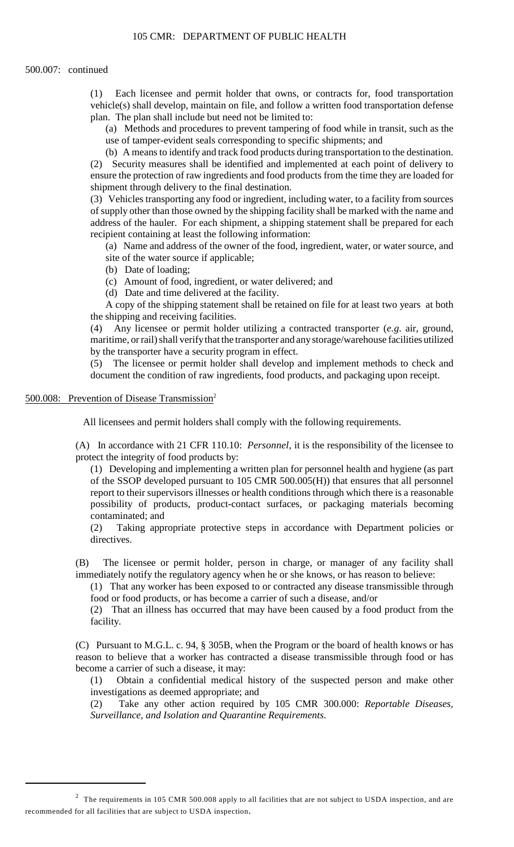vehicle(s) shall develop, maintain on file, and follow a written food transportation defense (1) Each licensee and permit holder that owns, or contracts for, food transportation plan. The plan shall include but need not be limited to:

(a) Methods and procedures to prevent tampering of food while in transit, such as the use of tamper-evident seals corresponding to specific shipments; and

(b) A means to identify and track food products during transportation to the destination.

(2) Security measures shall be identified and implemented at each point of delivery to ensure the protection of raw ingredients and food products from the time they are loaded for shipment through delivery to the final destination.

(3) Vehicles transporting any food or ingredient, including water, to a facility from sources of supply other than those owned by the shipping facility shall be marked with the name and address of the hauler. For each shipment, a shipping statement shall be prepared for each recipient containing at least the following information:

 (a) Name and address of the owner of the food, ingredient, water, or water source, and site of the water source if applicable;

(b) Date of loading;

(c) Amount of food, ingredient, or water delivered; and

(d) Date and time delivered at the facility.

 A copy of the shipping statement shall be retained on file for at least two years at both the shipping and receiving facilities.

 $(4)$ (4) Any licensee or permit holder utilizing a contracted transporter (*e.g*. air, ground, maritime, or rail) shall verify that the transporter and any storage/warehouse facilities utilized by the transporter have a security program in effect.

(5) The licensee or permit holder shall develop and implement methods to check and document the condition of raw ingredients, food products, and packaging upon receipt.

## 500.008: Prevention of Disease Transmission<sup>2</sup>

All licensees and permit holders shall comply with the following requirements.

(A) In accordance with 21 CFR 110.10: *Personnel*, it is the responsibility of the licensee to protect the integrity of food products by:

 report to their supervisors illnesses or health conditions through which there is a reasonable (1) Developing and implementing a written plan for personnel health and hygiene (as part of the SSOP developed pursuant to 105 CMR 500.005(H)) that ensures that all personnel possibility of products, product-contact surfaces, or packaging materials becoming contaminated; and

(2) Taking appropriate protective steps in accordance with Department policies or directives.

 (B) The licensee or permit holder, person in charge, or manager of any facility shall immediately notify the regulatory agency when he or she knows, or has reason to believe:

 (1) That any worker has been exposed to or contracted any disease transmissible through food or food products, or has become a carrier of such a disease, and/or

(2) That an illness has occurred that may have been caused by a food product from the facility.

 reason to believe that a worker has contracted a disease transmissible through food or has (C) Pursuant to M.G.L. c. 94, § 305B, when the Program or the board of health knows or has become a carrier of such a disease, it may:

(1) Obtain a confidential medical history of the suspected person and make other investigations as deemed appropriate; and

(2) Take any other action required by 105 CMR 300.000: *Reportable Diseases, Surveillance, and Isolation and Quarantine Requirements*.

<sup>&</sup>lt;sup>2</sup> The requirements in 105 CMR 500.008 apply to all facilities that are not subject to USDA inspection, and are recommended for all facilities that are subject to USDA inspection.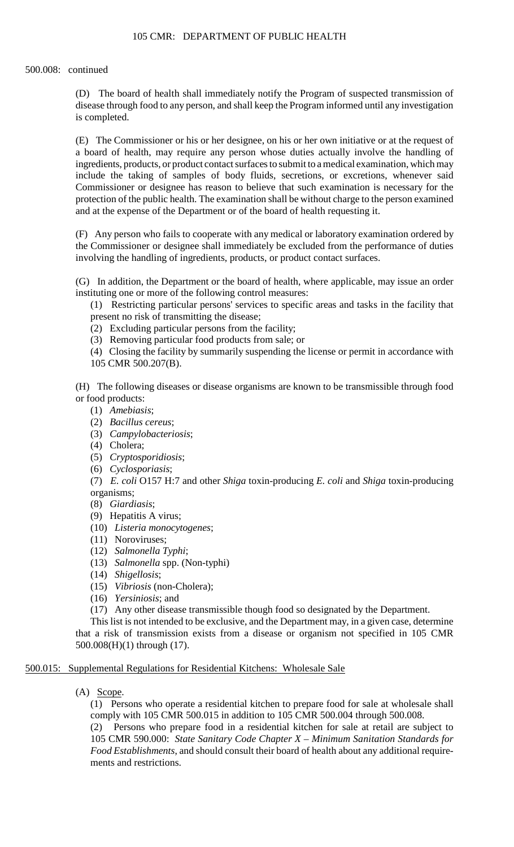(D) The board of health shall immediately notify the Program of suspected transmission of disease through food to any person, and shall keep the Program informed until any investigation is completed.

(E) The Commissioner or his or her designee, on his or her own initiative or at the request of a board of health, may require any person whose duties actually involve the handling of ingredients, products, or product contact surfaces to submit to a medical examination, which may include the taking of samples of body fluids, secretions, or excretions, whenever said Commissioner or designee has reason to believe that such examination is necessary for the protection of the public health. The examination shall be without charge to the person examined and at the expense of the Department or of the board of health requesting it.

(F) Any person who fails to cooperate with any medical or laboratory examination ordered by the Commissioner or designee shall immediately be excluded from the performance of duties involving the handling of ingredients, products, or product contact surfaces.

(G) In addition, the Department or the board of health, where applicable, may issue an order instituting one or more of the following control measures:

(1) Restricting particular persons' services to specific areas and tasks in the facility that present no risk of transmitting the disease;

(2) Excluding particular persons from the facility;

(3) Removing particular food products from sale; or

 (4) Closing the facility by summarily suspending the license or permit in accordance with 105 CMR 500.207(B).

(H) The following diseases or disease organisms are known to be transmissible through food or food products:

- (1) *Amebiasis*;
- (2) *Bacillus cereus*;
- (3) *Campylobacteriosis*;
- (4) Cholera;
- (5) *Cryptosporidiosis*;
- (6) *Cyclosporiasis*;

(7) *E. coli* O157 H:7 and other *Shiga* toxin-producing *E. coli* and *Shiga* toxin-producing organisms;

- (8) *Giardiasis*;
- (9) Hepatitis A virus;
- (10) *Listeria monocytogenes*;
- (11) Noroviruses;
- (12) *Salmonella Typhi*;
- (13) *Salmonella* spp. (Non-typhi)
- (14) *Shigellosis*;
- (15) *Vibriosis* (non-Cholera);
- (16) *Yersiniosis*; and
- (17) Any other disease transmissible though food so designated by the Department.

This list is not intended to be exclusive, and the Department may, in a given case, determine that a risk of transmission exists from a disease or organism not specified in 105 CMR 500.008(H)(1) through (17).

# 500.015: Supplemental Regulations for Residential Kitchens: Wholesale Sale

(A) Scope.

(1) Persons who operate a residential kitchen to prepare food for sale at wholesale shall comply with 105 CMR 500.015 in addition to 105 CMR 500.004 through 500.008.

(2) Persons who prepare food in a residential kitchen for sale at retail are subject to 105 CMR 590.000: *State Sanitary Code Chapter X – Minimum Sanitation Standards for Food Establishments*, and should consult their board of health about any additional requirements and restrictions.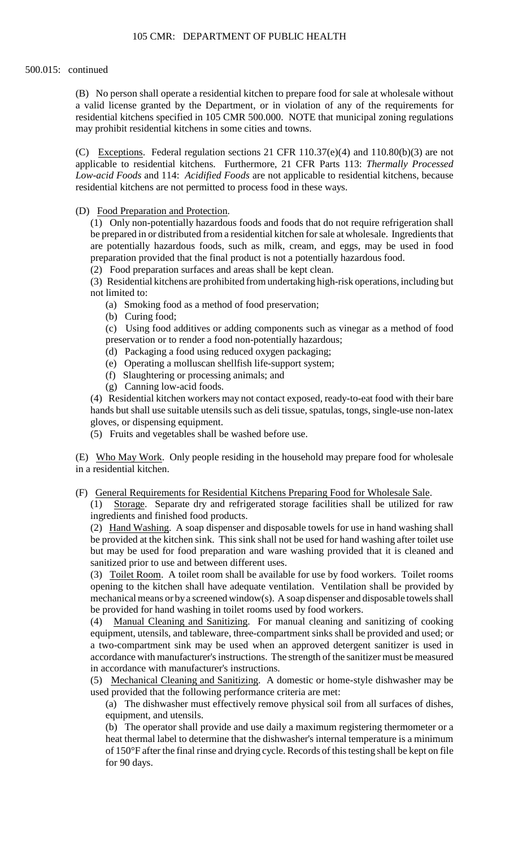(B) No person shall operate a residential kitchen to prepare food for sale at wholesale without a valid license granted by the Department, or in violation of any of the requirements for residential kitchens specified in 105 CMR 500.000. NOTE that municipal zoning regulations may prohibit residential kitchens in some cities and towns.

(C) Exceptions. Federal regulation sections 21 CFR  $110.37(e)(4)$  and  $110.80(b)(3)$  are not applicable to residential kitchens. Furthermore, 21 CFR Parts 113: *Thermally Processed Low-acid Foods* and 114: *Acidified Foods* are not applicable to residential kitchens, because residential kitchens are not permitted to process food in these ways.

(D) Food Preparation and Protection.

 (1) Only non-potentially hazardous foods and foods that do not require refrigeration shall be prepared in or distributed from a residential kitchen for sale at wholesale. Ingredients that are potentially hazardous foods, such as milk, cream, and eggs, may be used in food preparation provided that the final product is not a potentially hazardous food.

(2) Food preparation surfaces and areas shall be kept clean.

(3) Residential kitchens are prohibited from undertaking high-risk operations, including but not limited to:

- (a) Smoking food as a method of food preservation;
- (b) Curing food;

(c) Using food additives or adding components such as vinegar as a method of food preservation or to render a food non-potentially hazardous;

- (d) Packaging a food using reduced oxygen packaging;
- (e) Operating a molluscan shellfish life-support system;
- (f) Slaughtering or processing animals; and
- (g) Canning low-acid foods.

(4) Residential kitchen workers may not contact exposed, ready-to-eat food with their bare hands but shall use suitable utensils such as deli tissue, spatulas, tongs, single-use non-latex gloves, or dispensing equipment.

(5) Fruits and vegetables shall be washed before use.

 (E) Who May Work. Only people residing in the household may prepare food for wholesale in a residential kitchen.

(F) General Requirements for Residential Kitchens Preparing Food for Wholesale Sale.

 (1) Storage. Separate dry and refrigerated storage facilities shall be utilized for raw ingredients and finished food products.

 be provided at the kitchen sink. This sink shall not be used for hand washing after toilet use (2) Hand Washing. A soap dispenser and disposable towels for use in hand washing shall but may be used for food preparation and ware washing provided that it is cleaned and sanitized prior to use and between different uses.

 (3) Toilet Room. A toilet room shall be available for use by food workers. Toilet rooms mechanical means or by a screened window(s). A soap dispenser and disposable towels shall opening to the kitchen shall have adequate ventilation. Ventilation shall be provided by be provided for hand washing in toilet rooms used by food workers.

(4) Manual Cleaning and Sanitizing. For manual cleaning and sanitizing of cooking equipment, utensils, and tableware, three-compartment sinks shall be provided and used; or a two-compartment sink may be used when an approved detergent sanitizer is used in accordance with manufacturer's instructions. The strength of the sanitizer must be measured in accordance with manufacturer's instructions.

(5) Mechanical Cleaning and Sanitizing. A domestic or home-style dishwasher may be used provided that the following performance criteria are met:

(a) The dishwasher must effectively remove physical soil from all surfaces of dishes, equipment, and utensils.

 of 150°F after the final rinse and drying cycle. Records of this testing shall be kept on file (b) The operator shall provide and use daily a maximum registering thermometer or a heat thermal label to determine that the dishwasher's internal temperature is a minimum for 90 days.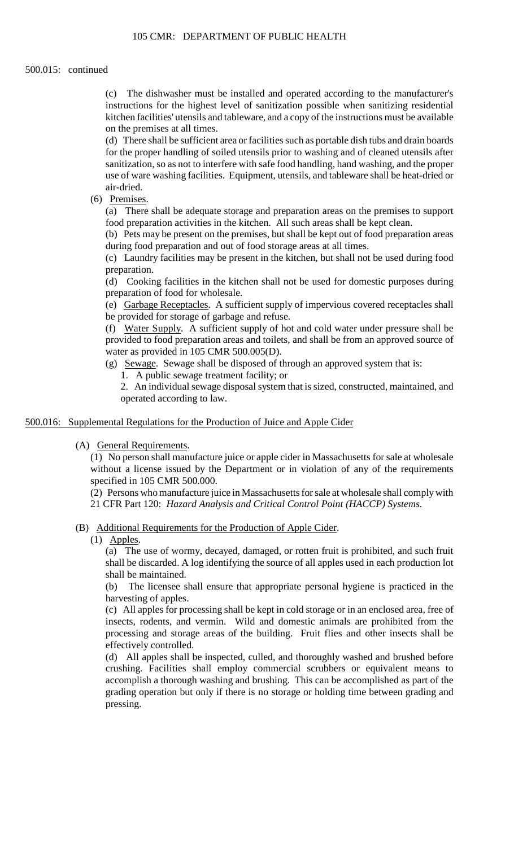## 500.015: continued

(c) The dishwasher must be installed and operated according to the manufacturer's instructions for the highest level of sanitization possible when sanitizing residential kitchen facilities' utensils and tableware, and a copy of the instructions must be available on the premises at all times.

(d) There shall be sufficient area or facilities such as portable dish tubs and drain boards for the proper handling of soiled utensils prior to washing and of cleaned utensils after sanitization, so as not to interfere with safe food handling, hand washing, and the proper use of ware washing facilities. Equipment, utensils, and tableware shall be heat-dried or air-dried.

(6) Premises.

(a) There shall be adequate storage and preparation areas on the premises to support food preparation activities in the kitchen. All such areas shall be kept clean.

(b) Pets may be present on the premises, but shall be kept out of food preparation areas during food preparation and out of food storage areas at all times.

 (c) Laundry facilities may be present in the kitchen, but shall not be used during food preparation.

(d) Cooking facilities in the kitchen shall not be used for domestic purposes during preparation of food for wholesale.

(e) Garbage Receptacles. A sufficient supply of impervious covered receptacles shall be provided for storage of garbage and refuse.

(f) Water Supply. A sufficient supply of hot and cold water under pressure shall be provided to food preparation areas and toilets, and shall be from an approved source of water as provided in 105 CMR 500.005(D).

(g) Sewage. Sewage shall be disposed of through an approved system that is:

1. A public sewage treatment facility; or

2. An individual sewage disposal system that is sized, constructed, maintained, and operated according to law.

500.016: Supplemental Regulations for the Production of Juice and Apple Cider

(A) General Requirements.

(1) No person shall manufacture juice or apple cider in Massachusetts for sale at wholesale without a license issued by the Department or in violation of any of the requirements specified in 105 CMR 500.000.

 (2) Persons who manufacture juice in Massachusetts for sale at wholesale shall comply with 21 CFR Part 120: *Hazard Analysis and Critical Control Point (HACCP) Systems*.

- (B) Additional Requirements for the Production of Apple Cider.
	- (1) Apples.

(a) The use of wormy, decayed, damaged, or rotten fruit is prohibited, and such fruit shall be discarded. A log identifying the source of all apples used in each production lot shall be maintained.

(b) The licensee shall ensure that appropriate personal hygiene is practiced in the harvesting of apples.

 (c) All apples for processing shall be kept in cold storage or in an enclosed area, free of processing and storage areas of the building. Fruit flies and other insects shall be insects, rodents, and vermin. Wild and domestic animals are prohibited from the effectively controlled.

(d) All apples shall be inspected, culled, and thoroughly washed and brushed before crushing. Facilities shall employ commercial scrubbers or equivalent means to accomplish a thorough washing and brushing. This can be accomplished as part of the grading operation but only if there is no storage or holding time between grading and pressing.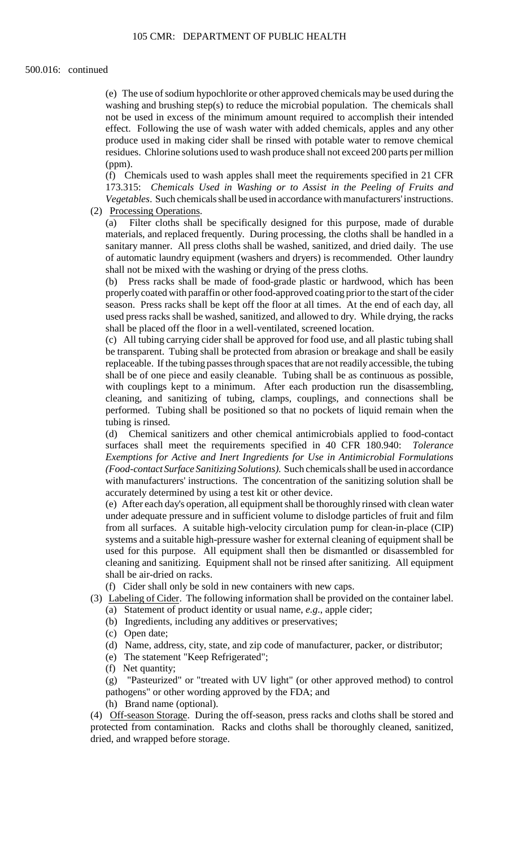washing and brushing step(s) to reduce the microbial population. The chemicals shall produce used in making cider shall be rinsed with potable water to remove chemical (e) The use of sodium hypochlorite or other approved chemicals may be used during the not be used in excess of the minimum amount required to accomplish their intended effect. Following the use of wash water with added chemicals, apples and any other residues. Chlorine solutions used to wash produce shall not exceed 200 parts per million (ppm).

(f) Chemicals used to wash apples shall meet the requirements specified in 21 CFR 173.315: *Chemicals Used in Washing or to Assist in the Peeling of Fruits and Vegetables*. Such chemicals shall be used in accordance with manufacturers' instructions.

(2) Processing Operations.

 materials, and replaced frequently. During processing, the cloths shall be handled in a sanitary manner. All press cloths shall be washed, sanitized, and dried daily. The use (a) Filter cloths shall be specifically designed for this purpose, made of durable of automatic laundry equipment (washers and dryers) is recommended. Other laundry shall not be mixed with the washing or drying of the press cloths.

 (b) Press racks shall be made of food-grade plastic or hardwood, which has been properly coated with paraffin or other food-approved coating prior to the start of the cider season. Press racks shall be kept off the floor at all times. At the end of each day, all used press racks shall be washed, sanitized, and allowed to dry. While drying, the racks shall be placed off the floor in a well-ventilated, screened location.

 be transparent. Tubing shall be protected from abrasion or breakage and shall be easily replaceable. If the tubing passes through spaces that are not readily accessible, the tubing cleaning, and sanitizing of tubing, clamps, couplings, and connections shall be (c) All tubing carrying cider shall be approved for food use, and all plastic tubing shall shall be of one piece and easily cleanable. Tubing shall be as continuous as possible, with couplings kept to a minimum. After each production run the disassembling, performed. Tubing shall be positioned so that no pockets of liquid remain when the tubing is rinsed.

(d) Chemical sanitizers and other chemical antimicrobials applied to food-contact surfaces shall meet the requirements specified in 40 CFR 180.940: *Tolerance Exemptions for Active and Inert Ingredients for Use in Antimicrobial Formulations (Food-contact Surface Sanitizing Solutions)*. Such chemicals shall be used in accordance with manufacturers' instructions. The concentration of the sanitizing solution shall be accurately determined by using a test kit or other device.

 (e) After each day's operation, all equipment shall be thoroughly rinsed with clean water under adequate pressure and in sufficient volume to dislodge particles of fruit and film from all surfaces. A suitable high-velocity circulation pump for clean-in-place (CIP) systems and a suitable high-pressure washer for external cleaning of equipment shall be used for this purpose. All equipment shall then be dismantled or disassembled for cleaning and sanitizing. Equipment shall not be rinsed after sanitizing. All equipment shall be air-dried on racks.

(f) Cider shall only be sold in new containers with new caps.

- (3) Labeling of Cider. The following information shall be provided on the container label. (a) Statement of product identity or usual name, *e.g*., apple cider;
	- (b) Ingredients, including any additives or preservatives;
	- (c) Open date;
	- (d) Name, address, city, state, and zip code of manufacturer, packer, or distributor;
	- (e) The statement "Keep Refrigerated";
	- (f) Net quantity;

(g) "Pasteurized" or "treated with UV light" (or other approved method) to control pathogens" or other wording approved by the FDA; and

(h) Brand name (optional).

(4) Off-season Storage. During the off-season, press racks and cloths shall be stored and protected from contamination. Racks and cloths shall be thoroughly cleaned, sanitized, dried, and wrapped before storage.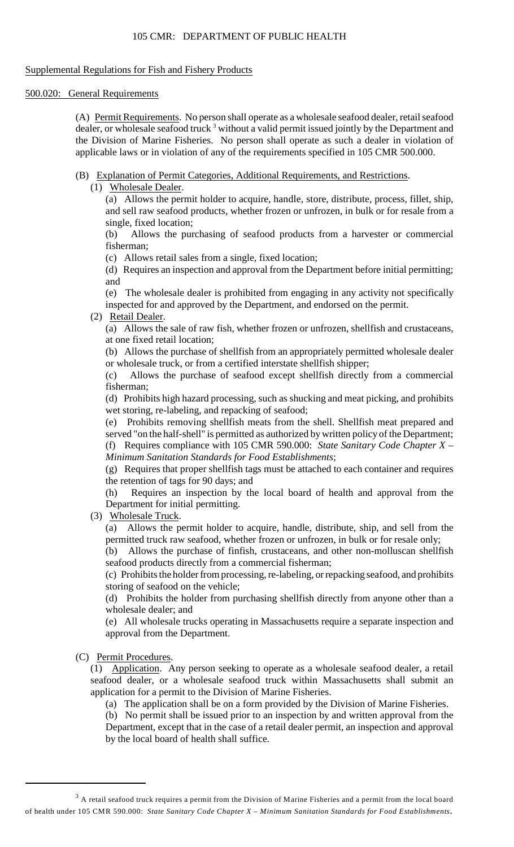# 105 CMR: DEPARTMENT OF PUBLIC HEALTH

# Supplemental Regulations for Fish and Fishery Products

# 500.020: General Requirements

(A) Permit Requirements. No person shall operate as a wholesale seafood dealer, retail seafood dealer, or wholesale seafood truck<sup>3</sup> without a valid permit issued jointly by the Department and the Division of Marine Fisheries. No person shall operate as such a dealer in violation of applicable laws or in violation of any of the requirements specified in 105 CMR 500.000.

- (B) Explanation of Permit Categories, Additional Requirements, and Restrictions.
	- (1) Wholesale Dealer.

(a) Allows the permit holder to acquire, handle, store, distribute, process, fillet, ship, and sell raw seafood products, whether frozen or unfrozen, in bulk or for resale from a single, fixed location;

(b) Allows the purchasing of seafood products from a harvester or commercial fisherman;

(c) Allows retail sales from a single, fixed location;

 (d) Requires an inspection and approval from the Department before initial permitting; and

(e) The wholesale dealer is prohibited from engaging in any activity not specifically inspected for and approved by the Department, and endorsed on the permit.

(2) Retail Dealer.

 (a) Allows the sale of raw fish, whether frozen or unfrozen, shellfish and crustaceans, at one fixed retail location;

(b) Allows the purchase of shellfish from an appropriately permitted wholesale dealer or wholesale truck, or from a certified interstate shellfish shipper;

(c) Allows the purchase of seafood except shellfish directly from a commercial fisherman;

(d) Prohibits high hazard processing, such as shucking and meat picking, and prohibits wet storing, re-labeling, and repacking of seafood;

 served "on the half-shell" is permitted as authorized by written policy of the Department; (e) Prohibits removing shellfish meats from the shell. Shellfish meat prepared and (f) Requires compliance with 105 CMR 590.000: *State Sanitary Code Chapter X – Minimum Sanitation Standards for Food Establishments*;

(g) Requires that proper shellfish tags must be attached to each container and requires the retention of tags for 90 days; and

(h) Requires an inspection by the local board of health and approval from the Department for initial permitting.

(3) Wholesale Truck.

(a) Allows the permit holder to acquire, handle, distribute, ship, and sell from the permitted truck raw seafood, whether frozen or unfrozen, in bulk or for resale only;

(b) Allows the purchase of finfish, crustaceans, and other non-molluscan shellfish seafood products directly from a commercial fisherman;

(c) Prohibits the holder from processing, re-labeling, or repacking seafood, and prohibits storing of seafood on the vehicle;

(d) Prohibits the holder from purchasing shellfish directly from anyone other than a wholesale dealer; and

(e) All wholesale trucks operating in Massachusetts require a separate inspection and approval from the Department.

# (C) Permit Procedures.

(1) Application. Any person seeking to operate as a wholesale seafood dealer, a retail seafood dealer, or a wholesale seafood truck within Massachusetts shall submit an application for a permit to the Division of Marine Fisheries.

(a) The application shall be on a form provided by the Division of Marine Fisheries.

(b) No permit shall be issued prior to an inspection by and written approval from the Department, except that in the case of a retail dealer permit, an inspection and approval by the local board of health shall suffice.

 $3$  A retail seafood truck requires a permit from the Division of Marine Fisheries and a permit from the local board of health under 105 CMR 590.000: *State Sanitary Code Chapter X – Minimum Sanitation Standards for Food Establishments*.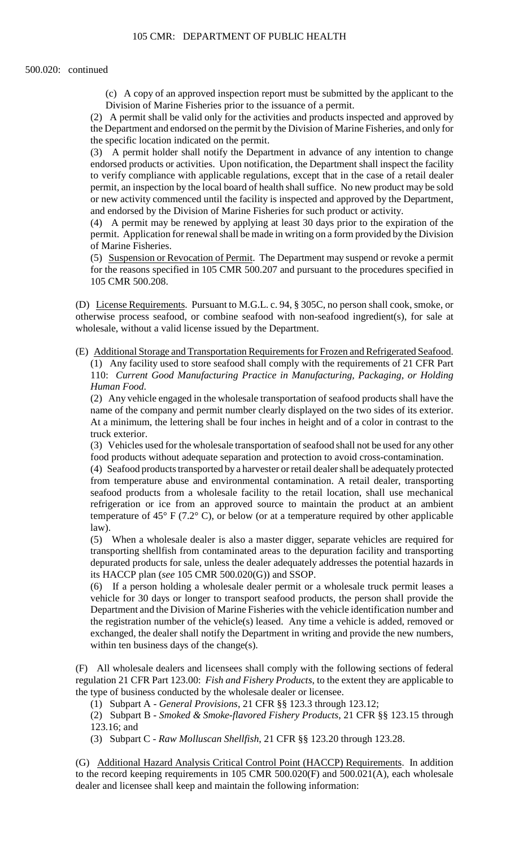(c) A copy of an approved inspection report must be submitted by the applicant to the Division of Marine Fisheries prior to the issuance of a permit.

(2) A permit shall be valid only for the activities and products inspected and approved by the Department and endorsed on the permit by the Division of Marine Fisheries, and only for the specific location indicated on the permit.

 (3) A permit holder shall notify the Department in advance of any intention to change endorsed products or activities. Upon notification, the Department shall inspect the facility or new activity commenced until the facility is inspected and approved by the Department, to verify compliance with applicable regulations, except that in the case of a retail dealer permit, an inspection by the local board of health shall suffice. No new product may be sold and endorsed by the Division of Marine Fisheries for such product or activity.

(4) A permit may be renewed by applying at least 30 days prior to the expiration of the permit. Application for renewal shall be made in writing on a form provided by the Division of Marine Fisheries.

 (5) Suspension or Revocation of Permit. The Department may suspend or revoke a permit for the reasons specified in 105 CMR 500.207 and pursuant to the procedures specified in 105 CMR 500.208.

(D) License Requirements. Pursuant to M.G.L. c. 94, § 305C, no person shall cook, smoke, or otherwise process seafood, or combine seafood with non-seafood ingredient(s), for sale at wholesale, without a valid license issued by the Department.

(E) Additional Storage and Transportation Requirements for Frozen and Refrigerated Seafood. (1) Any facility used to store seafood shall comply with the requirements of 21 CFR Part 110: *Current Good Manufacturing Practice in Manufacturing, Packaging, or Holding Human Food*.

(2) Any vehicle engaged in the wholesale transportation of seafood products shall have the name of the company and permit number clearly displayed on the two sides of its exterior. At a minimum, the lettering shall be four inches in height and of a color in contrast to the truck exterior.

(3) Vehicles used for the wholesale transportation of seafood shall not be used for any other food products without adequate separation and protection to avoid cross-contamination.

 (4) Seafood products transported by a harvester or retail dealer shall be adequately protected seafood products from a wholesale facility to the retail location, shall use mechanical refrigeration or ice from an approved source to maintain the product at an ambient from temperature abuse and environmental contamination. A retail dealer, transporting temperature of 45° F (7.2° C), or below (or at a temperature required by other applicable law).

 (5) When a wholesale dealer is also a master digger, separate vehicles are required for transporting shellfish from contaminated areas to the depuration facility and transporting depurated products for sale, unless the dealer adequately addresses the potential hazards in its HACCP plan (*see* 105 CMR 500.020(G)) and SSOP.

 exchanged, the dealer shall notify the Department in writing and provide the new numbers, (6) If a person holding a wholesale dealer permit or a wholesale truck permit leases a vehicle for 30 days or longer to transport seafood products, the person shall provide the Department and the Division of Marine Fisheries with the vehicle identification number and the registration number of the vehicle(s) leased. Any time a vehicle is added, removed or within ten business days of the change(s).

(F) All wholesale dealers and licensees shall comply with the following sections of federal regulation 21 CFR Part 123.00: *Fish and Fishery Products*, to the extent they are applicable to the type of business conducted by the wholesale dealer or licensee.

(1) Subpart A - *General Provisions*, 21 CFR §§ 123.3 through 123.12;

 (2) Subpart B - *Smoked & Smoke-flavored Fishery Products*, 21 CFR §§ 123.15 through 123.16; and

(3) Subpart C - *Raw Molluscan Shellfish*, 21 CFR §§ 123.20 through 123.28.

(G) Additional Hazard Analysis Critical Control Point (HACCP) Requirements. In addition to the record keeping requirements in 105 CMR 500.020(F) and 500.021(A), each wholesale dealer and licensee shall keep and maintain the following information: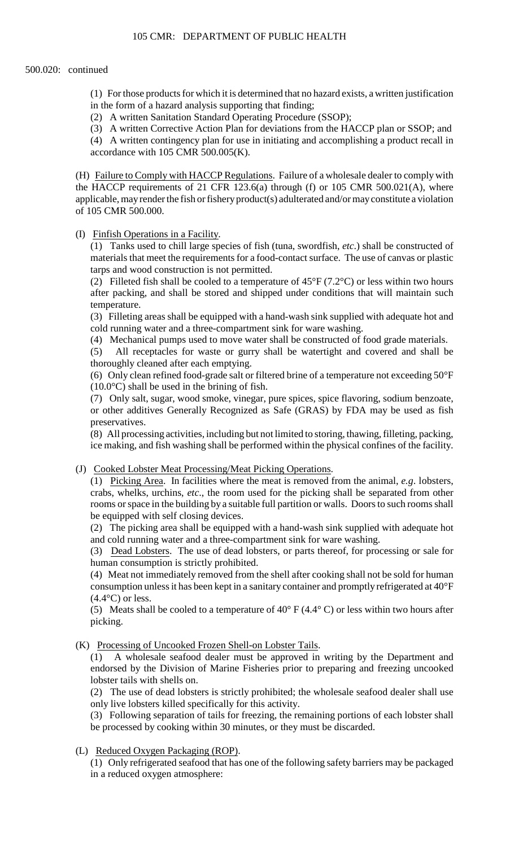(1) For those products for which it is determined that no hazard exists, a written justification in the form of a hazard analysis supporting that finding;

(2) A written Sanitation Standard Operating Procedure (SSOP);

(3) A written Corrective Action Plan for deviations from the HACCP plan or SSOP; and

(4) A written contingency plan for use in initiating and accomplishing a product recall in accordance with  $105$  CMR  $500.005$ (K).

(H) Failure to Comply with HACCP Regulations. Failure of a wholesale dealer to comply with applicable, may render the fish or fishery product(s) adulterated and/or may constitute a violation the HACCP requirements of 21 CFR 123.6(a) through (f) or 105 CMR 500.021(A), where of 105 CMR 500.000.

(I) Finfish Operations in a Facility.

(1) Tanks used to chill large species of fish (tuna, swordfish, *etc*.) shall be constructed of materials that meet the requirements for a food-contact surface. The use of canvas or plastic tarps and wood construction is not permitted.

(2) Filleted fish shall be cooled to a temperature of  $45^{\circ}F(7.2^{\circ}C)$  or less within two hours after packing, and shall be stored and shipped under conditions that will maintain such temperature.

(3) Filleting areas shall be equipped with a hand-wash sink supplied with adequate hot and cold running water and a three-compartment sink for ware washing.

(4) Mechanical pumps used to move water shall be constructed of food grade materials.

(5) All receptacles for waste or gurry shall be watertight and covered and shall be thoroughly cleaned after each emptying.

(6) Only clean refined food-grade salt or filtered brine of a temperature not exceeding 50°F  $(10.0\degree C)$  shall be used in the brining of fish.

(7) Only salt, sugar, wood smoke, vinegar, pure spices, spice flavoring, sodium benzoate, or other additives Generally Recognized as Safe (GRAS) by FDA may be used as fish preservatives.

 ice making, and fish washing shall be performed within the physical confines of the facility. (8) All processing activities, including but not limited to storing, thawing, filleting, packing,

(J) Cooked Lobster Meat Processing/Meat Picking Operations.

 rooms or space in the building by a suitable full partition or walls. Doors to such rooms shall (1) Picking Area. In facilities where the meat is removed from the animal, *e.g*. lobsters, crabs, whelks, urchins, *etc*., the room used for the picking shall be separated from other be equipped with self closing devices.

(2) The picking area shall be equipped with a hand-wash sink supplied with adequate hot and cold running water and a three-compartment sink for ware washing.

(3) Dead Lobsters. The use of dead lobsters, or parts thereof, for processing or sale for human consumption is strictly prohibited.

 consumption unless it has been kept in a sanitary container and promptly refrigerated at 40°F (4) Meat not immediately removed from the shell after cooking shall not be sold for human  $(4.4^{\circ}C)$  or less.

(5) Meats shall be cooled to a temperature of  $40^{\circ}$  F (4.4°C) or less within two hours after picking.

(K) Processing of Uncooked Frozen Shell-on Lobster Tails.

(1) A wholesale seafood dealer must be approved in writing by the Department and endorsed by the Division of Marine Fisheries prior to preparing and freezing uncooked lobster tails with shells on.

(2) The use of dead lobsters is strictly prohibited; the wholesale seafood dealer shall use only live lobsters killed specifically for this activity.

 (3) Following separation of tails for freezing, the remaining portions of each lobster shall be processed by cooking within 30 minutes, or they must be discarded.

(L) Reduced Oxygen Packaging (ROP).

(1) Only refrigerated seafood that has one of the following safety barriers may be packaged in a reduced oxygen atmosphere: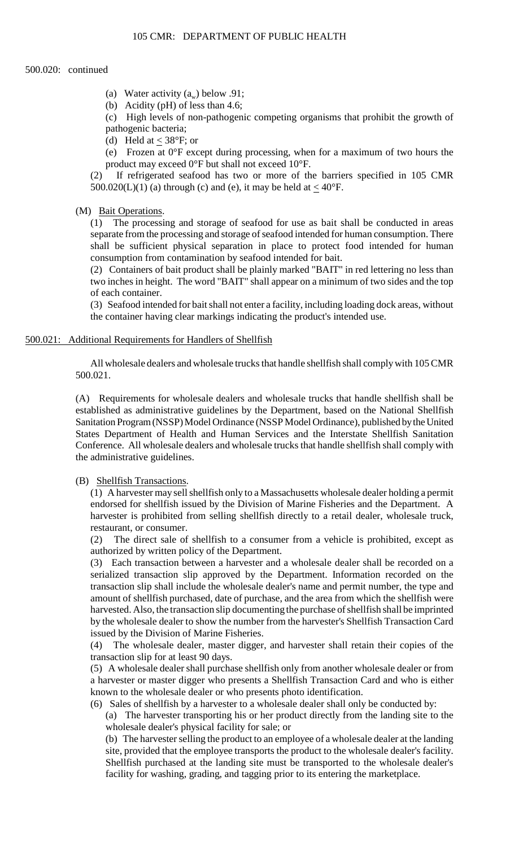- (a) Water activity  $(a_n)$  below .91;
- (b) Acidity (pH) of less than 4.6;

(c) High levels of non-pathogenic competing organisms that prohibit the growth of pathogenic bacteria;

(d) Held at  $<$  38°F; or

 (e) Frozen at 0°F except during processing, when for a maximum of two hours the product may exceed 0°F but shall not exceed 10°F.

(2) If refrigerated seafood has two or more of the barriers specified in 105 CMR 500.020(L)(1) (a) through (c) and (e), it may be held at  $<$  40 $\degree$ F.

#### (M) Bait Operations.

 (1) The processing and storage of seafood for use as bait shall be conducted in areas separate from the processing and storage of seafood intended for human consumption. There shall be sufficient physical separation in place to protect food intended for human consumption from contamination by seafood intended for bait.

(2) Containers of bait product shall be plainly marked "BAIT" in red lettering no less than two inches in height. The word "BAIT" shall appear on a minimum of two sides and the top of each container.

(3) Seafood intended for bait shall not enter a facility, including loading dock areas, without the container having clear markings indicating the product's intended use.

#### 500.021: Additional Requirements for Handlers of Shellfish

 All wholesale dealers and wholesale trucks that handle shellfish shall comply with 105 CMR 500.021.

 Conference. All wholesale dealers and wholesale trucks that handle shellfish shall comply with (A) Requirements for wholesale dealers and wholesale trucks that handle shellfish shall be established as administrative guidelines by the Department, based on the National Shellfish Sanitation Program (NSSP) Model Ordinance (NSSP Model Ordinance), published by the United States Department of Health and Human Services and the Interstate Shellfish Sanitation the administrative guidelines.

## (B) Shellfish Transactions.

(1) A harvester may sell shellfish only to a Massachusetts wholesale dealer holding a permit endorsed for shellfish issued by the Division of Marine Fisheries and the Department. A harvester is prohibited from selling shellfish directly to a retail dealer, wholesale truck, restaurant, or consumer.

(2) The direct sale of shellfish to a consumer from a vehicle is prohibited, except as authorized by written policy of the Department.

(3) Each transaction between a harvester and a wholesale dealer shall be recorded on a serialized transaction slip approved by the Department. Information recorded on the transaction slip shall include the wholesale dealer's name and permit number, the type and amount of shellfish purchased, date of purchase, and the area from which the shellfish were harvested. Also, the transaction slip documenting the purchase of shellfish shall be imprinted by the wholesale dealer to show the number from the harvester's Shellfish Transaction Card issued by the Division of Marine Fisheries.

(4) The wholesale dealer, master digger, and harvester shall retain their copies of the transaction slip for at least 90 days.

(5) A wholesale dealer shall purchase shellfish only from another wholesale dealer or from a harvester or master digger who presents a Shellfish Transaction Card and who is either known to the wholesale dealer or who presents photo identification.

(6) Sales of shellfish by a harvester to a wholesale dealer shall only be conducted by:

(a) The harvester transporting his or her product directly from the landing site to the wholesale dealer's physical facility for sale; or

(b) The harvester selling the product to an employee of a wholesale dealer at the landing site, provided that the employee transports the product to the wholesale dealer's facility. Shellfish purchased at the landing site must be transported to the wholesale dealer's facility for washing, grading, and tagging prior to its entering the marketplace.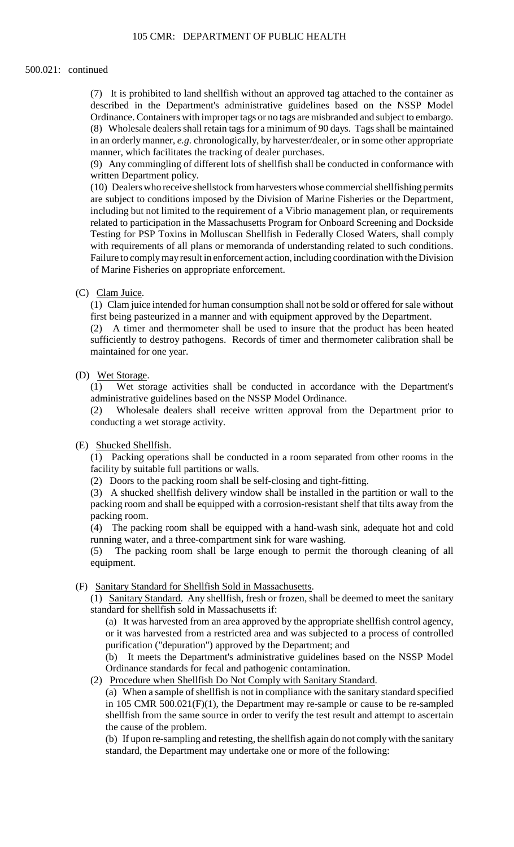## 500.021: continued

 (7) It is prohibited to land shellfish without an approved tag attached to the container as (8) Wholesale dealers shall retain tags for a minimum of 90 days. Tags shall be maintained described in the Department's administrative guidelines based on the NSSP Model Ordinance. Containers with improper tags or no tags are misbranded and subject to embargo. in an orderly manner, *e.g.* chronologically, by harvester/dealer, or in some other appropriate manner, which facilitates the tracking of dealer purchases.

 (9) Any commingling of different lots of shellfish shall be conducted in conformance with written Department policy.

 (10) Dealers who receive shellstock from harvesters whose commercial shellfishing permits are subject to conditions imposed by the Division of Marine Fisheries or the Department, including but not limited to the requirement of a Vibrio management plan, or requirements related to participation in the Massachusetts Program for Onboard Screening and Dockside Testing for PSP Toxins in Molluscan Shellfish in Federally Closed Waters, shall comply with requirements of all plans or memoranda of understanding related to such conditions. Failure to comply may result in enforcement action, including coordination with the Division of Marine Fisheries on appropriate enforcement.

#### (C) Clam Juice.

(1) Clam juice intended for human consumption shall not be sold or offered for sale without first being pasteurized in a manner and with equipment approved by the Department.

(2) A timer and thermometer shall be used to insure that the product has been heated sufficiently to destroy pathogens. Records of timer and thermometer calibration shall be maintained for one year.

# (D) Wet Storage.

(1) Wet storage activities shall be conducted in accordance with the Department's administrative guidelines based on the NSSP Model Ordinance.

(2) Wholesale dealers shall receive written approval from the Department prior to conducting a wet storage activity.

#### (E) Shucked Shellfish.

(1) Packing operations shall be conducted in a room separated from other rooms in the facility by suitable full partitions or walls.

(2) Doors to the packing room shall be self-closing and tight-fitting.

(3) A shucked shellfish delivery window shall be installed in the partition or wall to the packing room and shall be equipped with a corrosion-resistant shelf that tilts away from the packing room.

(4) The packing room shall be equipped with a hand-wash sink, adequate hot and cold running water, and a three-compartment sink for ware washing.

(5) The packing room shall be large enough to permit the thorough cleaning of all equipment.

# (F) Sanitary Standard for Shellfish Sold in Massachusetts.

 (1) Sanitary Standard. Any shellfish, fresh or frozen, shall be deemed to meet the sanitary standard for shellfish sold in Massachusetts if:

 (a) It was harvested from an area approved by the appropriate shellfish control agency, or it was harvested from a restricted area and was subjected to a process of controlled purification ("depuration") approved by the Department; and

 $(b)$ It meets the Department's administrative guidelines based on the NSSP Model Ordinance standards for fecal and pathogenic contamination.

(2) Procedure when Shellfish Do Not Comply with Sanitary Standard.

 (a) When a sample of shellfish is not in compliance with the sanitary standard specified shellfish from the same source in order to verify the test result and attempt to ascertain in 105 CMR 500.021(F)(1), the Department may re-sample or cause to be re-sampled the cause of the problem.

(b) If upon re-sampling and retesting, the shellfish again do not comply with the sanitary standard, the Department may undertake one or more of the following: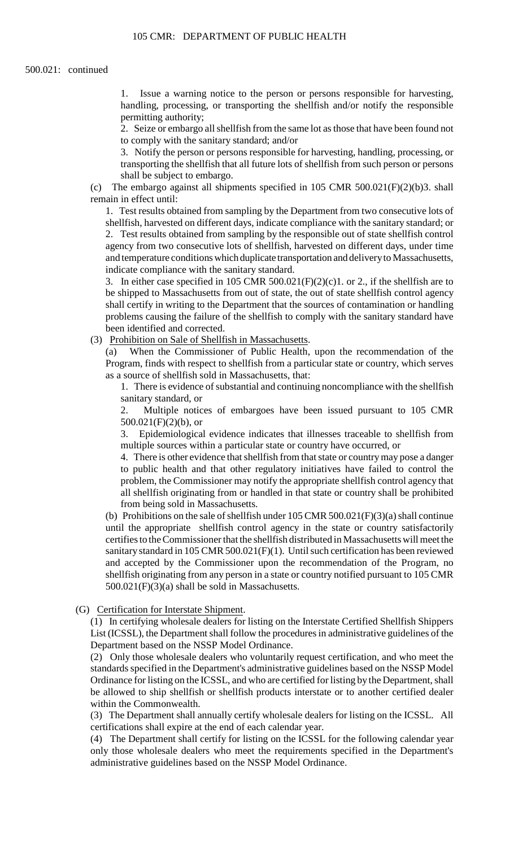1. Issue a warning notice to the person or persons responsible for harvesting, handling, processing, or transporting the shellfish and/or notify the responsible permitting authority;

2. Seize or embargo all shellfish from the same lot as those that have been found not to comply with the sanitary standard; and/or

3. Notify the person or persons responsible for harvesting, handling, processing, or transporting the shellfish that all future lots of shellfish from such person or persons shall be subject to embargo.

(c) The embargo against all shipments specified in 105 CMR 500.021(F)(2)(b)3. shall remain in effect until:

 agency from two consecutive lots of shellfish, harvested on different days, under time 1. Test results obtained from sampling by the Department from two consecutive lots of shellfish, harvested on different days, indicate compliance with the sanitary standard; or 2. Test results obtained from sampling by the responsible out of state shellfish control and temperature conditions which duplicate transportation and delivery to Massachusetts, indicate compliance with the sanitary standard.

3. In either case specified in 105 CMR 500.021(F)(2)(c)1. or 2., if the shellfish are to be shipped to Massachusetts from out of state, the out of state shellfish control agency shall certify in writing to the Department that the sources of contamination or handling problems causing the failure of the shellfish to comply with the sanitary standard have been identified and corrected.

(3) Prohibition on Sale of Shellfish in Massachusetts.

 (a) When the Commissioner of Public Health, upon the recommendation of the Program, finds with respect to shellfish from a particular state or country, which serves as a source of shellfish sold in Massachusetts, that:

 1. There is evidence of substantial and continuing noncompliance with the shellfish sanitary standard, or

2. Multiple notices of embargoes have been issued pursuant to 105 CMR  $500.021(F)(2)(b)$ , or

3. Epidemiological evidence indicates that illnesses traceable to shellfish from multiple sources within a particular state or country have occurred, or

4. There is other evidence that shellfish from that state or country may pose a danger to public health and that other regulatory initiatives have failed to control the problem, the Commissioner may notify the appropriate shellfish control agency that all shellfish originating from or handled in that state or country shall be prohibited from being sold in Massachusetts.

(b) Prohibitions on the sale of shell fish under  $105 \text{ CMR}$  500.021(F)(3)(a) shall continue until the appropriate shellfish control agency in the state or country satisfactorily certifies to the Commissioner that the shellfish distributed in Massachusetts will meet the sanitary standard in 105 CMR 500.021(F)(1). Until such certification has been reviewed and accepted by the Commissioner upon the recommendation of the Program, no shellfish originating from any person in a state or country notified pursuant to 105 CMR 500.021(F)(3)(a) shall be sold in Massachusetts.

# (G) Certification for Interstate Shipment.

(1) In certifying wholesale dealers for listing on the Interstate Certified Shellfish Shippers List (ICSSL), the Department shall follow the procedures in administrative guidelines of the Department based on the NSSP Model Ordinance.

 Ordinance for listing on the ICSSL, and who are certified for listing by the Department, shall be allowed to ship shellfish or shellfish products interstate or to another certified dealer (2) Only those wholesale dealers who voluntarily request certification, and who meet the standards specified in the Department's administrative guidelines based on the NSSP Model within the Commonwealth.

 (3) The Department shall annually certify wholesale dealers for listing on the ICSSL. All certifications shall expire at the end of each calendar year.

 only those wholesale dealers who meet the requirements specified in the Department's (4) The Department shall certify for listing on the ICSSL for the following calendar year administrative guidelines based on the NSSP Model Ordinance.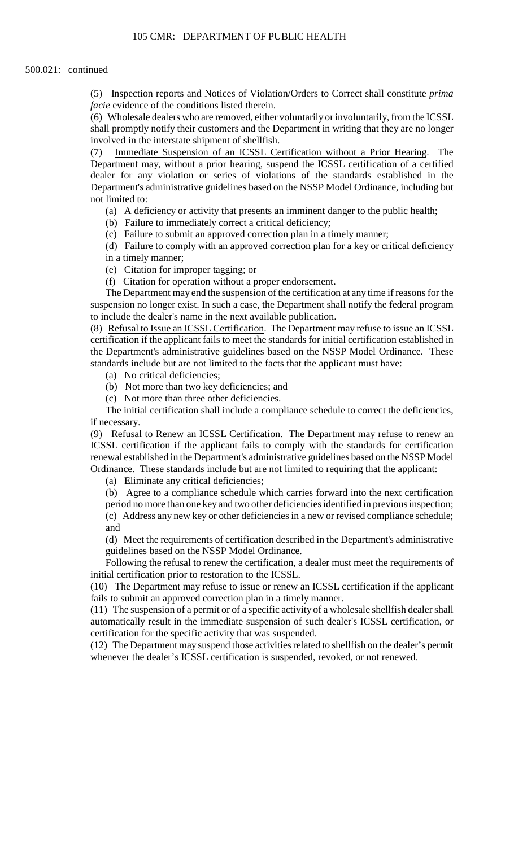(5) Inspection reports and Notices of Violation/Orders to Correct shall constitute *prima facie* evidence of the conditions listed therein.

 (6) Wholesale dealers who are removed, either voluntarily or involuntarily, from the ICSSL shall promptly notify their customers and the Department in writing that they are no longer involved in the interstate shipment of shellfish.

(7) Immediate Suspension of an ICSSL Certification without a Prior Hearing. The Department may, without a prior hearing, suspend the ICSSL certification of a certified dealer for any violation or series of violations of the standards established in the Department's administrative guidelines based on the NSSP Model Ordinance, including but not limited to:

- (a) A deficiency or activity that presents an imminent danger to the public health;
- (b) Failure to immediately correct a critical deficiency;
- (c) Failure to submit an approved correction plan in a timely manner;

(d) Failure to comply with an approved correction plan for a key or critical deficiency in a timely manner;

(e) Citation for improper tagging; or

(f) Citation for operation without a proper endorsement.

The Department may end the suspension of the certification at any time if reasons for the suspension no longer exist. In such a case, the Department shall notify the federal program to include the dealer's name in the next available publication.

 (8) Refusal to Issue an ICSSL Certification. The Department may refuse to issue an ICSSL certification if the applicant fails to meet the standards for initial certification established in the Department's administrative guidelines based on the NSSP Model Ordinance. These standards include but are not limited to the facts that the applicant must have:

(a) No critical deficiencies;

- (b) Not more than two key deficiencies; and
- (c) Not more than three other deficiencies.

 The initial certification shall include a compliance schedule to correct the deficiencies, if necessary.

(9) Refusal to Renew an ICSSL Certification. The Department may refuse to renew an ICSSL certification if the applicant fails to comply with the standards for certification renewal established in the Department's administrative guidelines based on the NSSP Model Ordinance. These standards include but are not limited to requiring that the applicant:

(a) Eliminate any critical deficiencies;

 (c) Address any new key or other deficiencies in a new or revised compliance schedule; (b) Agree to a compliance schedule which carries forward into the next certification period no more than one key and two other deficiencies identified in previous inspection; and

(d) Meet the requirements of certification described in the Department's administrative guidelines based on the NSSP Model Ordinance.

Following the refusal to renew the certification, a dealer must meet the requirements of initial certification prior to restoration to the ICSSL.

(10) The Department may refuse to issue or renew an ICSSL certification if the applicant fails to submit an approved correction plan in a timely manner.

 (11) The suspension of a permit or of a specific activity of a wholesale shellfish dealer shall automatically result in the immediate suspension of such dealer's ICSSL certification, or certification for the specific activity that was suspended.

 (12) The Department may suspend those activities related to shellfish on the dealer's permit whenever the dealer's ICSSL certification is suspended, revoked, or not renewed.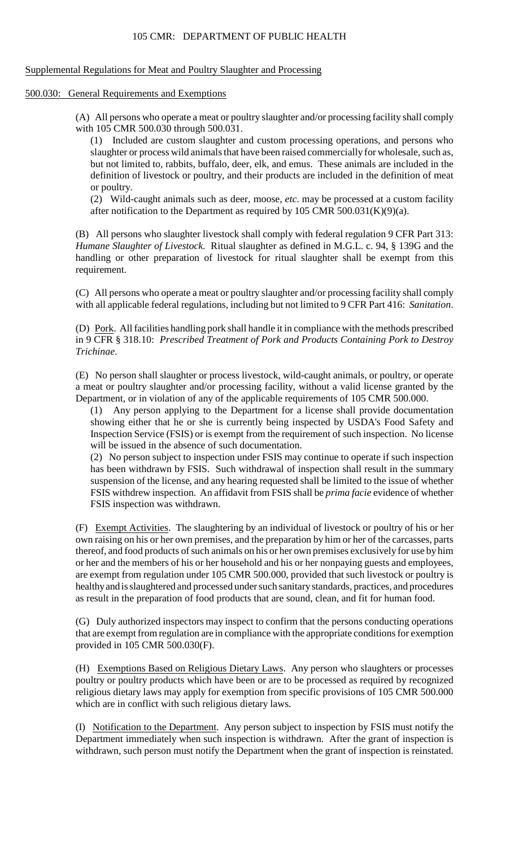## Supplemental Regulations for Meat and Poultry Slaughter and Processing

# 500.030: General Requirements and Exemptions

 (A) All persons who operate a meat or poultry slaughter and/or processing facility shall comply with 105 CMR 500.030 through 500.031.

 definition of livestock or poultry, and their products are included in the definition of meat (1) Included are custom slaughter and custom processing operations, and persons who slaughter or process wild animals that have been raised commercially for wholesale, such as, but not limited to, rabbits, buffalo, deer, elk, and emus. These animals are included in the or poultry.

 (2) Wild-caught animals such as deer, moose, *etc*. may be processed at a custom facility after notification to the Department as required by 105 CMR 500.031(K)(9)(a).

(B) All persons who slaughter livestock shall comply with federal regulation 9 CFR Part 313: *Humane Slaughter of Livestock*. Ritual slaughter as defined in M.G.L. c. 94, § 139G and the handling or other preparation of livestock for ritual slaughter shall be exempt from this requirement.

 (C) All persons who operate a meat or poultry slaughter and/or processing facility shall comply with all applicable federal regulations, including but not limited to 9 CFR Part 416: *Sanitation*.

(D) Pork. All facilities handling pork shall handle it in compliance with the methods prescribed in 9 CFR § 318.10: *Prescribed Treatment of Pork and Products Containing Pork to Destroy Trichinae*.

(E) No person shall slaughter or process livestock, wild-caught animals, or poultry, or operate a meat or poultry slaughter and/or processing facility, without a valid license granted by the Department, or in violation of any of the applicable requirements of 105 CMR 500.000.

 showing either that he or she is currently being inspected by USDA's Food Safety and (1) Any person applying to the Department for a license shall provide documentation Inspection Service (FSIS) or is exempt from the requirement of such inspection. No license will be issued in the absence of such documentation.

(2) No person subject to inspection under FSIS may continue to operate if such inspection has been withdrawn by FSIS. Such withdrawal of inspection shall result in the summary suspension of the license, and any hearing requested shall be limited to the issue of whether FSIS withdrew inspection. An affidavit from FSIS shall be *prima facie* evidence of whether FSIS inspection was withdrawn.

 own raising on his or her own premises, and the preparation by him or her of the carcasses, parts thereof, and food products of such animals on his or her own premises exclusively for use by him (F) Exempt Activities. The slaughtering by an individual of livestock or poultry of his or her or her and the members of his or her household and his or her nonpaying guests and employees, are exempt from regulation under 105 CMR 500.000, provided that such livestock or poultry is healthy and is slaughtered and processed under such sanitary standards, practices, and procedures as result in the preparation of food products that are sound, clean, and fit for human food.

(G) Duly authorized inspectors may inspect to confirm that the persons conducting operations that are exempt from regulation are in compliance with the appropriate conditions for exemption provided in 105 CMR 500.030(F).

 poultry or poultry products which have been or are to be processed as required by recognized religious dietary laws may apply for exemption from specific provisions of 105 CMR 500.000 (H) Exemptions Based on Religious Dietary Laws. Any person who slaughters or processes which are in conflict with such religious dietary laws.

 withdrawn, such person must notify the Department when the grant of inspection is reinstated. (I) Notification to the Department. Any person subject to inspection by FSIS must notify the Department immediately when such inspection is withdrawn. After the grant of inspection is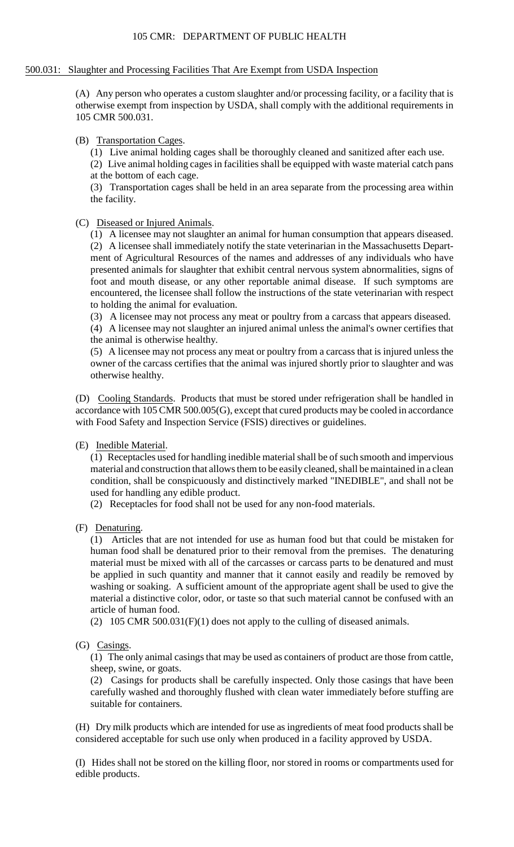## 500.031: Slaughter and Processing Facilities That Are Exempt from USDA Inspection

 otherwise exempt from inspection by USDA, shall comply with the additional requirements in (A) Any person who operates a custom slaughter and/or processing facility, or a facility that is 105 CMR 500.031.

(B) Transportation Cages.

(1) Live animal holding cages shall be thoroughly cleaned and sanitized after each use.

(2) Live animal holding cages in facilities shall be equipped with waste material catch pans at the bottom of each cage.

(3) Transportation cages shall be held in an area separate from the processing area within the facility.

# (C) Diseased or Injured Animals.

(1) A licensee may not slaughter an animal for human consumption that appears diseased. (2) A licensee shall immediately notify the state veterinarian in the Massachusetts Department of Agricultural Resources of the names and addresses of any individuals who have presented animals for slaughter that exhibit central nervous system abnormalities, signs of foot and mouth disease, or any other reportable animal disease. If such symptoms are encountered, the licensee shall follow the instructions of the state veterinarian with respect to holding the animal for evaluation.

(3) A licensee may not process any meat or poultry from a carcass that appears diseased.

 (4) A licensee may not slaughter an injured animal unless the animal's owner certifies that the animal is otherwise healthy.

(5) A licensee may not process any meat or poultry from a carcass that is injured unless the owner of the carcass certifies that the animal was injured shortly prior to slaughter and was otherwise healthy.

(D) Cooling Standards. Products that must be stored under refrigeration shall be handled in accordance with 105 CMR 500.005(G), except that cured products may be cooled in accordance with Food Safety and Inspection Service (FSIS) directives or guidelines.

# (E) Inedible Material.

(1) Receptacles used for handling inedible material shall be of such smooth and impervious material and construction that allows them to be easily cleaned, shall be maintained in a clean condition, shall be conspicuously and distinctively marked "INEDIBLE", and shall not be used for handling any edible product.

(2) Receptacles for food shall not be used for any non-food materials.

(F) Denaturing.

 (1) Articles that are not intended for use as human food but that could be mistaken for human food shall be denatured prior to their removal from the premises. The denaturing material must be mixed with all of the carcasses or carcass parts to be denatured and must be applied in such quantity and manner that it cannot easily and readily be removed by washing or soaking. A sufficient amount of the appropriate agent shall be used to give the material a distinctive color, odor, or taste so that such material cannot be confused with an article of human food.

(2) 105 CMR 500.031( $F$ )(1) does not apply to the culling of diseased animals.

# (G) Casings.

(1) The only animal casings that may be used as containers of product are those from cattle, sheep, swine, or goats.

(2) Casings for products shall be carefully inspected. Only those casings that have been carefully washed and thoroughly flushed with clean water immediately before stuffing are suitable for containers.

(H) Dry milk products which are intended for use as ingredients of meat food products shall be considered acceptable for such use only when produced in a facility approved by USDA.

(I) Hides shall not be stored on the killing floor, nor stored in rooms or compartments used for edible products.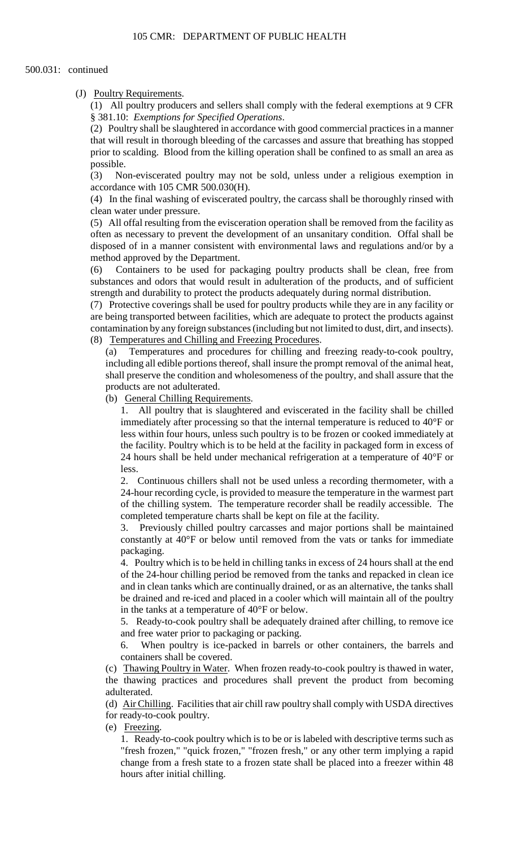# (J) Poultry Requirements.

 (1) All poultry producers and sellers shall comply with the federal exemptions at 9 CFR § 381.10: *Exemptions for Specified Operations*.

(2) Poultry shall be slaughtered in accordance with good commercial practices in a manner that will result in thorough bleeding of the carcasses and assure that breathing has stopped prior to scalding. Blood from the killing operation shall be confined to as small an area as possible.

(3) Non-eviscerated poultry may not be sold, unless under a religious exemption in accordance with 105 CMR 500.030(H).

 (4) In the final washing of eviscerated poultry, the carcass shall be thoroughly rinsed with clean water under pressure.

 disposed of in a manner consistent with environmental laws and regulations and/or by a (5) All offal resulting from the evisceration operation shall be removed from the facility as often as necessary to prevent the development of an unsanitary condition. Offal shall be method approved by the Department.

 substances and odors that would result in adulteration of the products, and of sufficient (6) Containers to be used for packaging poultry products shall be clean, free from strength and durability to protect the products adequately during normal distribution.

(7) Protective coverings shall be used for poultry products while they are in any facility or are being transported between facilities, which are adequate to protect the products against contamination by any foreign substances (including but not limited to dust, dirt, and insects). (8) Temperatures and Chilling and Freezing Procedures.

 including all edible portions thereof, shall insure the prompt removal of the animal heat, (a) Temperatures and procedures for chilling and freezing ready-to-cook poultry, shall preserve the condition and wholesomeness of the poultry, and shall assure that the products are not adulterated.

(b) General Chilling Requirements.

1. All poultry that is slaughtered and eviscerated in the facility shall be chilled immediately after processing so that the internal temperature is reduced to 40°F or less within four hours, unless such poultry is to be frozen or cooked immediately at the facility. Poultry which is to be held at the facility in packaged form in excess of 24 hours shall be held under mechanical refrigeration at a temperature of 40°F or less.

 2. Continuous chillers shall not be used unless a recording thermometer, with a 24-hour recording cycle, is provided to measure the temperature in the warmest part of the chilling system. The temperature recorder shall be readily accessible. The completed temperature charts shall be kept on file at the facility.

3. Previously chilled poultry carcasses and major portions shall be maintained constantly at 40°F or below until removed from the vats or tanks for immediate packaging.

4. Poultry which is to be held in chilling tanks in excess of 24 hours shall at the end of the 24-hour chilling period be removed from the tanks and repacked in clean ice and in clean tanks which are continually drained, or as an alternative, the tanks shall be drained and re-iced and placed in a cooler which will maintain all of the poultry in the tanks at a temperature of 40°F or below.

5. Ready-to-cook poultry shall be adequately drained after chilling, to remove ice and free water prior to packaging or packing.

6. When poultry is ice-packed in barrels or other containers, the barrels and containers shall be covered.

(c) Thawing Poultry in Water. When frozen ready-to-cook poultry is thawed in water, the thawing practices and procedures shall prevent the product from becoming adulterated.

 (d) Air Chilling. Facilities that air chill raw poultry shall comply with USDA directives for ready-to-cook poultry.

(e) Freezing.

 1. Ready-to-cook poultry which is to be or is labeled with descriptive terms such as "fresh frozen," "quick frozen," "frozen fresh," or any other term implying a rapid change from a fresh state to a frozen state shall be placed into a freezer within 48 hours after initial chilling.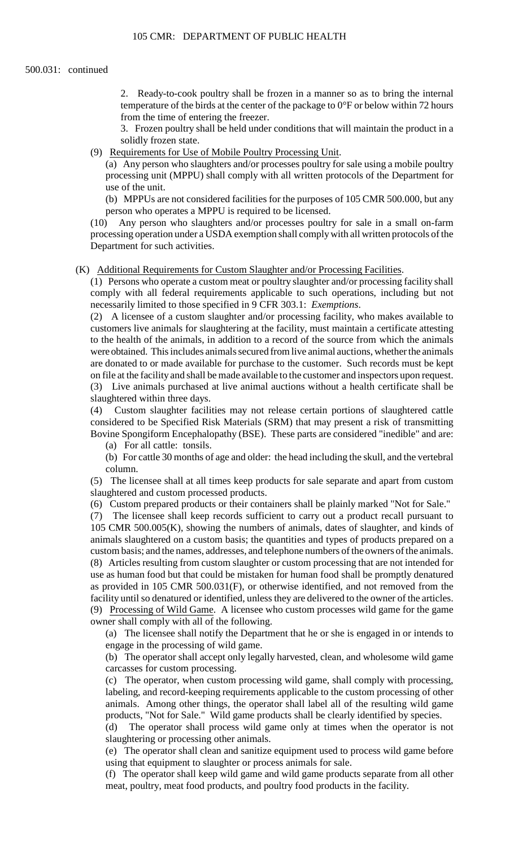2. Ready-to-cook poultry shall be frozen in a manner so as to bring the internal temperature of the birds at the center of the package to 0°F or below within 72 hours from the time of entering the freezer.

 3. Frozen poultry shall be held under conditions that will maintain the product in a solidly frozen state.

(9) Requirements for Use of Mobile Poultry Processing Unit.

(a) Any person who slaughters and/or processes poultry for sale using a mobile poultry processing unit (MPPU) shall comply with all written protocols of the Department for use of the unit.

 (b) MPPUs are not considered facilities for the purposes of 105 CMR 500.000, but any person who operates a MPPU is required to be licensed.

Any person who slaughters and/or processes poultry for sale in a small on-farm processing operation under a USDA exemption shall comply with all written protocols of the Department for such activities.

#### (K) Additional Requirements for Custom Slaughter and/or Processing Facilities.

(1) Persons who operate a custom meat or poultry slaughter and/or processing facility shall comply with all federal requirements applicable to such operations, including but not necessarily limited to those specified in 9 CFR 303.1: *Exemptions*.

 on file at the facility and shall be made available to the customer and inspectors upon request. (2) A licensee of a custom slaughter and/or processing facility, who makes available to customers live animals for slaughtering at the facility, must maintain a certificate attesting to the health of the animals, in addition to a record of the source from which the animals were obtained. This includes animals secured from live animal auctions, whether the animals are donated to or made available for purchase to the customer. Such records must be kept (3) Live animals purchased at live animal auctions without a health certificate shall be slaughtered within three days.

 considered to be Specified Risk Materials (SRM) that may present a risk of transmitting (4) Custom slaughter facilities may not release certain portions of slaughtered cattle Bovine Spongiform Encephalopathy (BSE). These parts are considered "inedible" and are:

(a) For all cattle: tonsils.

(b) For cattle 30 months of age and older: the head including the skull, and the vertebral column.

(5) The licensee shall at all times keep products for sale separate and apart from custom slaughtered and custom processed products.

(6) Custom prepared products or their containers shall be plainly marked "Not for Sale."

 $(7)$  animals slaughtered on a custom basis; the quantities and types of products prepared on a custom basis; and the names, addresses, and telephone numbers of the owners of the animals. The licensee shall keep records sufficient to carry out a product recall pursuant to 105 CMR 500.005(K), showing the numbers of animals, dates of slaughter, and kinds of (8) Articles resulting from custom slaughter or custom processing that are not intended for use as human food but that could be mistaken for human food shall be promptly denatured as provided in 105 CMR 500.031(F), or otherwise identified, and not removed from the facility until so denatured or identified, unless they are delivered to the owner of the articles. (9) Processing of Wild Game. A licensee who custom processes wild game for the game owner shall comply with all of the following.

 (a) The licensee shall notify the Department that he or she is engaged in or intends to engage in the processing of wild game.

 (b) The operator shall accept only legally harvested, clean, and wholesome wild game carcasses for custom processing.

(c) The operator, when custom processing wild game, shall comply with processing, labeling, and record-keeping requirements applicable to the custom processing of other animals. Among other things, the operator shall label all of the resulting wild game products, "Not for Sale." Wild game products shall be clearly identified by species.

 (d) The operator shall process wild game only at times when the operator is not slaughtering or processing other animals.

 (e) The operator shall clean and sanitize equipment used to process wild game before using that equipment to slaughter or process animals for sale.

 (f) The operator shall keep wild game and wild game products separate from all other meat, poultry, meat food products, and poultry food products in the facility.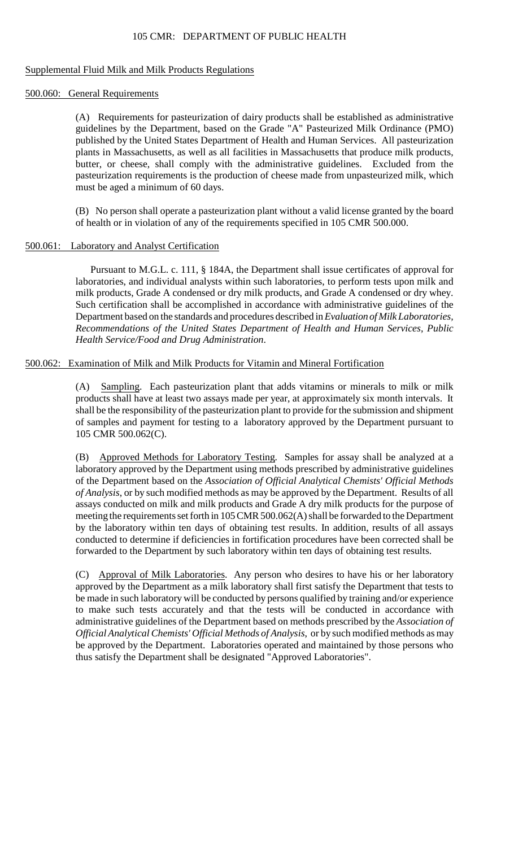# 105 CMR: DEPARTMENT OF PUBLIC HEALTH

### Supplemental Fluid Milk and Milk Products Regulations

#### 500.060: General Requirements

 butter, or cheese, shall comply with the administrative guidelines. Excluded from the (A) Requirements for pasteurization of dairy products shall be established as administrative guidelines by the Department, based on the Grade "A" Pasteurized Milk Ordinance (PMO) published by the United States Department of Health and Human Services. All pasteurization plants in Massachusetts, as well as all facilities in Massachusetts that produce milk products, pasteurization requirements is the production of cheese made from unpasteurized milk, which must be aged a minimum of 60 days.

(B) No person shall operate a pasteurization plant without a valid license granted by the board of health or in violation of any of the requirements specified in 105 CMR 500.000.

# 500.061: Laboratory and Analyst Certification

 laboratories, and individual analysts within such laboratories, to perform tests upon milk and milk products, Grade A condensed or dry milk products, and Grade A condensed or dry whey. Pursuant to M.G.L. c. 111, § 184A, the Department shall issue certificates of approval for Such certification shall be accomplished in accordance with administrative guidelines of the Department based on the standards and procedures described in *Evaluation of Milk Laboratories, Recommendations of the United States Department of Health and Human Services, Public Health Service/Food and Drug Administration*.

# 500.062: Examination of Milk and Milk Products for Vitamin and Mineral Fortification

 products shall have at least two assays made per year, at approximately six month intervals. It (A) Sampling. Each pasteurization plant that adds vitamins or minerals to milk or milk shall be the responsibility of the pasteurization plant to provide for the submission and shipment of samples and payment for testing to a laboratory approved by the Department pursuant to 105 CMR 500.062(C).

 (B) Approved Methods for Laboratory Testing. Samples for assay shall be analyzed at a by the laboratory within ten days of obtaining test results. In addition, results of all assays laboratory approved by the Department using methods prescribed by administrative guidelines of the Department based on the *Association of Official Analytical Chemists' Official Methods of Analysis*, or by such modified methods as may be approved by the Department. Results of all assays conducted on milk and milk products and Grade A dry milk products for the purpose of meeting the requirements set forth in 105 CMR 500.062(A) shall be forwarded to the Department conducted to determine if deficiencies in fortification procedures have been corrected shall be forwarded to the Department by such laboratory within ten days of obtaining test results.

(C) Approval of Milk Laboratories. Any person who desires to have his or her laboratory approved by the Department as a milk laboratory shall first satisfy the Department that tests to be made in such laboratory will be conducted by persons qualified by training and/or experience to make such tests accurately and that the tests will be conducted in accordance with administrative guidelines of the Department based on methods prescribed by the *Association of Official Analytical Chemists' Official Methods of Analysis*, or by such modified methods as may be approved by the Department. Laboratories operated and maintained by those persons who thus satisfy the Department shall be designated "Approved Laboratories".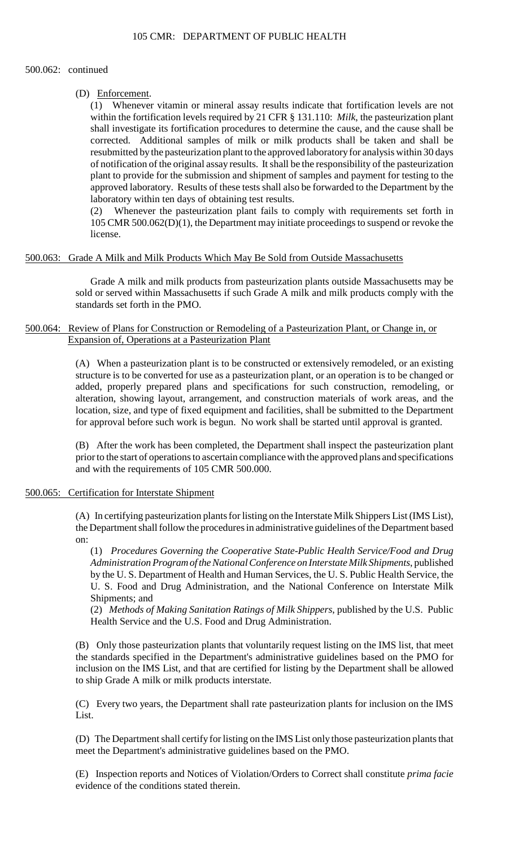#### 500.062: continued

## (D) Enforcement.

 corrected. Additional samples of milk or milk products shall be taken and shall be resubmitted by the pasteurization plant to the approved laboratory for analysis within 30 days of notification of the original assay results. It shall be the responsibility of the pasteurization (1) Whenever vitamin or mineral assay results indicate that fortification levels are not within the fortification levels required by 21 CFR § 131.110: *Milk*, the pasteurization plant shall investigate its fortification procedures to determine the cause, and the cause shall be plant to provide for the submission and shipment of samples and payment for testing to the approved laboratory. Results of these tests shall also be forwarded to the Department by the laboratory within ten days of obtaining test results.

(2) Whenever the pasteurization plant fails to comply with requirements set forth in 105 CMR 500.062(D)(1), the Department may initiate proceedings to suspend or revoke the license.

# 500.063: Grade A Milk and Milk Products Which May Be Sold from Outside Massachusetts

Grade A milk and milk products from pasteurization plants outside Massachusetts may be sold or served within Massachusetts if such Grade A milk and milk products comply with the standards set forth in the PMO.

# 500.064: Review of Plans for Construction or Remodeling of a Pasteurization Plant, or Change in, or Expansion of, Operations at a Pasteurization Plant

(A) When a pasteurization plant is to be constructed or extensively remodeled, or an existing structure is to be converted for use as a pasteurization plant, or an operation is to be changed or added, properly prepared plans and specifications for such construction, remodeling, or alteration, showing layout, arrangement, and construction materials of work areas, and the location, size, and type of fixed equipment and facilities, shall be submitted to the Department for approval before such work is begun. No work shall be started until approval is granted.

(B) After the work has been completed, the Department shall inspect the pasteurization plant prior to the start of operations to ascertain compliance with the approved plans and specifications and with the requirements of 105 CMR 500.000.

## 500.065: Certification for Interstate Shipment

(A) In certifying pasteurization plants for listing on the Interstate Milk Shippers List (IMS List), the Department shall follow the procedures in administrative guidelines of the Department based on:

(1) *Procedures Governing the Cooperative State-Public Health Service/Food and Drug Administration Program of the National Conference on Interstate Milk Shipments*, published by the U. S. Department of Health and Human Services, the U. S. Public Health Service, the U. S. Food and Drug Administration, and the National Conference on Interstate Milk Shipments; and

 (2) *Methods of Making Sanitation Ratings of Milk Shippers*, published by the U.S. Public Health Service and the U.S. Food and Drug Administration.

(B) Only those pasteurization plants that voluntarily request listing on the IMS list, that meet the standards specified in the Department's administrative guidelines based on the PMO for inclusion on the IMS List, and that are certified for listing by the Department shall be allowed to ship Grade A milk or milk products interstate.

(C) Every two years, the Department shall rate pasteurization plants for inclusion on the IMS List.

(D) The Department shall certify for listing on the IMS List only those pasteurization plants that meet the Department's administrative guidelines based on the PMO.

(E) Inspection reports and Notices of Violation/Orders to Correct shall constitute *prima facie*  evidence of the conditions stated therein.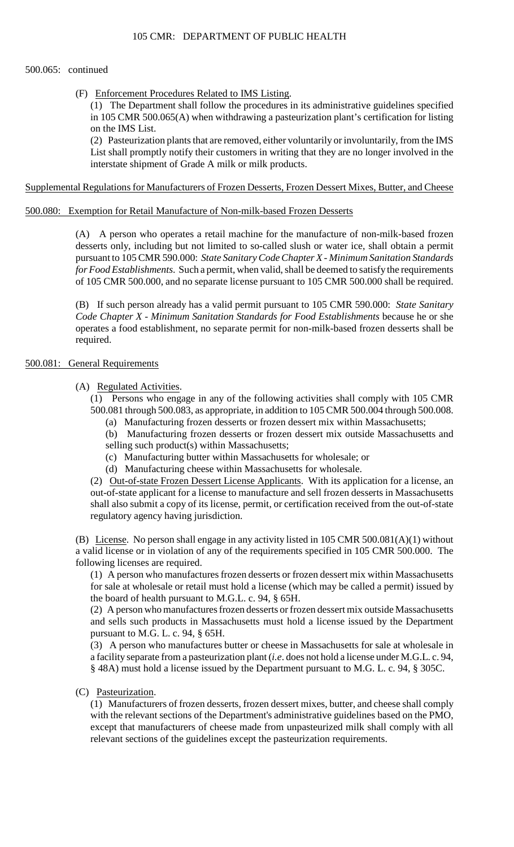# 500.065: continued

(F) Enforcement Procedures Related to IMS Listing.

(1) The Department shall follow the procedures in its administrative guidelines specified in 105 CMR 500.065(A) when withdrawing a pasteurization plant's certification for listing on the IMS List.

 (2) Pasteurization plants that are removed, either voluntarily or involuntarily, from the IMS List shall promptly notify their customers in writing that they are no longer involved in the interstate shipment of Grade A milk or milk products.

# Supplemental Regulations for Manufacturers of Frozen Desserts, Frozen Dessert Mixes, Butter, and Cheese

# 500.080: Exemption for Retail Manufacture of Non-milk-based Frozen Desserts

 *for Food Establishments*. Such a permit, when valid, shall be deemed to satisfy the requirements (A) A person who operates a retail machine for the manufacture of non-milk-based frozen desserts only, including but not limited to so-called slush or water ice, shall obtain a permit pursuant to 105 CMR 590.000: *State Sanitary Code Chapter X - Minimum Sanitation Standards*  of 105 CMR 500.000, and no separate license pursuant to 105 CMR 500.000 shall be required.

(B) If such person already has a valid permit pursuant to 105 CMR 590.000: *State Sanitary Code Chapter X - Minimum Sanitation Standards for Food Establishments* because he or she operates a food establishment, no separate permit for non-milk-based frozen desserts shall be required.

# 500.081: General Requirements

# (A) Regulated Activities.

(1) Persons who engage in any of the following activities shall comply with 105 CMR 500.081 through 500.083, as appropriate, in addition to 105 CMR 500.004 through 500.008.

(a) Manufacturing frozen desserts or frozen dessert mix within Massachusetts;

(b) Manufacturing frozen desserts or frozen dessert mix outside Massachusetts and selling such product(s) within Massachusetts;

- (c) Manufacturing butter within Massachusetts for wholesale; or
- (d) Manufacturing cheese within Massachusetts for wholesale.

 out-of-state applicant for a license to manufacture and sell frozen desserts in Massachusetts shall also submit a copy of its license, permit, or certification received from the out-of-state (2) Out-of-state Frozen Dessert License Applicants. With its application for a license, an regulatory agency having jurisdiction.

(B) License. No person shall engage in any activity listed in 105 CMR 500.081(A)(1) without a valid license or in violation of any of the requirements specified in 105 CMR 500.000. The following licenses are required.

 for sale at wholesale or retail must hold a license (which may be called a permit) issued by (1) A person who manufactures frozen desserts or frozen dessert mix within Massachusetts the board of health pursuant to M.G.L. c. 94, § 65H.

 (2) A person who manufactures frozen desserts or frozen dessert mix outside Massachusetts and sells such products in Massachusetts must hold a license issued by the Department pursuant to M.G. L. c. 94, § 65H.

(3) A person who manufactures butter or cheese in Massachusetts for sale at wholesale in a facility separate from a pasteurization plant (*i.e*. does not hold a license under M.G.L. c. 94, § 48A) must hold a license issued by the Department pursuant to M.G. L. c. 94, § 305C.

# (C) Pasteurization.

 (1) Manufacturers of frozen desserts, frozen dessert mixes, butter, and cheese shall comply with the relevant sections of the Department's administrative guidelines based on the PMO, except that manufacturers of cheese made from unpasteurized milk shall comply with all relevant sections of the guidelines except the pasteurization requirements.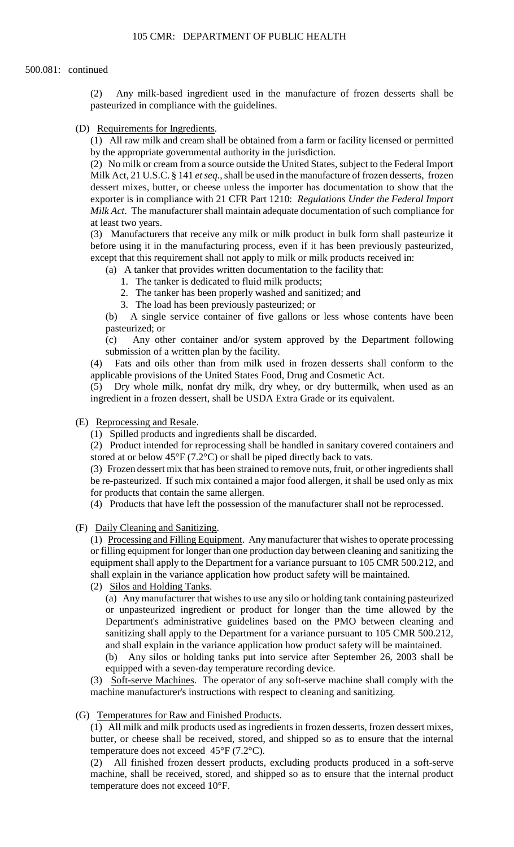#### 500.081: continued

(2) Any milk-based ingredient used in the manufacture of frozen desserts shall be pasteurized in compliance with the guidelines.

(D) Requirements for Ingredients.

(1) All raw milk and cream shall be obtained from a farm or facility licensed or permitted by the appropriate governmental authority in the jurisdiction.

(2) No milk or cream from a source outside the United States, subject to the Federal Import Milk Act, 21 U.S.C. § 141 *et seq*., shall be used in the manufacture of frozen desserts, frozen dessert mixes, butter, or cheese unless the importer has documentation to show that the exporter is in compliance with 21 CFR Part 1210: *Regulations Under the Federal Import Milk Act*. The manufacturer shall maintain adequate documentation of such compliance for at least two years.

 (3) Manufacturers that receive any milk or milk product in bulk form shall pasteurize it before using it in the manufacturing process, even if it has been previously pasteurized, except that this requirement shall not apply to milk or milk products received in:

(a) A tanker that provides written documentation to the facility that:

1. The tanker is dedicated to fluid milk products;

2. The tanker has been properly washed and sanitized; and

3. The load has been previously pasteurized; or

(b) A single service container of five gallons or less whose contents have been pasteurized; or

 $(c)$ Any other container and/or system approved by the Department following submission of a written plan by the facility.

(4) Fats and oils other than from milk used in frozen desserts shall conform to the applicable provisions of the United States Food, Drug and Cosmetic Act.

(5) Dry whole milk, nonfat dry milk, dry whey, or dry buttermilk, when used as an ingredient in a frozen dessert, shall be USDA Extra Grade or its equivalent.

(E) Reprocessing and Resale.

(1) Spilled products and ingredients shall be discarded.

(2) Product intended for reprocessing shall be handled in sanitary covered containers and stored at or below  $45^{\circ}F(7.2^{\circ}C)$  or shall be piped directly back to vats.

 (3) Frozen dessert mix that has been strained to remove nuts, fruit, or other ingredients shall be re-pasteurized. If such mix contained a major food allergen, it shall be used only as mix for products that contain the same allergen.

(4) Products that have left the possession of the manufacturer shall not be reprocessed.

(F) Daily Cleaning and Sanitizing.

 equipment shall apply to the Department for a variance pursuant to 105 CMR 500.212, and (1) Processing and Filling Equipment. Any manufacturer that wishes to operate processing or filling equipment for longer than one production day between cleaning and sanitizing the shall explain in the variance application how product safety will be maintained.

(2) Silos and Holding Tanks.

 (a) Any manufacturer that wishes to use any silo or holding tank containing pasteurized or unpasteurized ingredient or product for longer than the time allowed by the Department's administrative guidelines based on the PMO between cleaning and sanitizing shall apply to the Department for a variance pursuant to 105 CMR 500.212, and shall explain in the variance application how product safety will be maintained.

(b) Any silos or holding tanks put into service after September 26, 2003 shall be equipped with a seven-day temperature recording device.

(3) Soft-serve Machines. The operator of any soft-serve machine shall comply with the machine manufacturer's instructions with respect to cleaning and sanitizing.

(G) Temperatures for Raw and Finished Products.

 (1) All milk and milk products used as ingredients in frozen desserts, frozen dessert mixes, butter, or cheese shall be received, stored, and shipped so as to ensure that the internal temperature does not exceed  $45^{\circ}$ F (7.2°C).

(2) All finished frozen dessert products, excluding products produced in a soft-serve machine, shall be received, stored, and shipped so as to ensure that the internal product temperature does not exceed 10°F.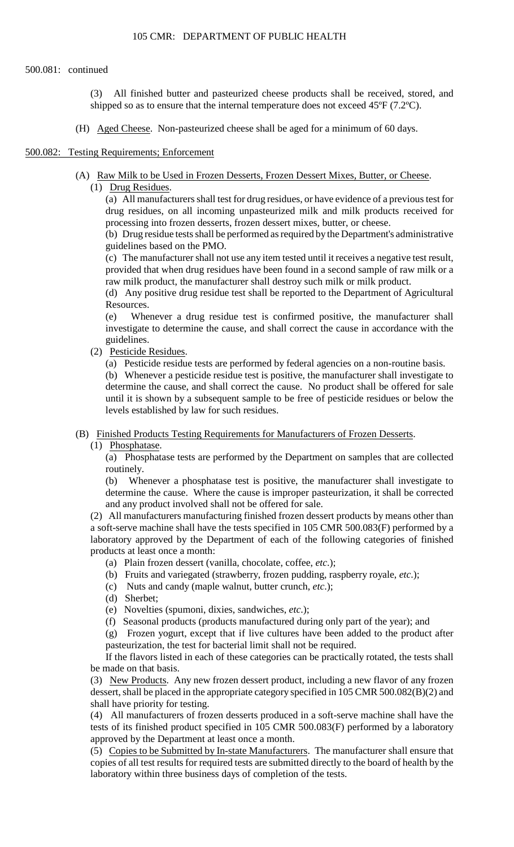#### 500.081: continued

(3) All finished butter and pasteurized cheese products shall be received, stored, and shipped so as to ensure that the internal temperature does not exceed 45ºF (7.2ºC).

(H) Aged Cheese. Non-pasteurized cheese shall be aged for a minimum of 60 days.

#### 500.082: Testing Requirements; Enforcement

- (A) Raw Milk to be Used in Frozen Desserts, Frozen Dessert Mixes, Butter, or Cheese.
	- (1) Drug Residues.

(a) All manufacturers shall test for drug residues, or have evidence of a previous test for drug residues, on all incoming unpasteurized milk and milk products received for processing into frozen desserts, frozen dessert mixes, butter, or cheese.

 (b) Drug residue tests shall be performed as required by the Department's administrative guidelines based on the PMO.

(c) The manufacturer shall not use any item tested until it receives a negative test result, provided that when drug residues have been found in a second sample of raw milk or a raw milk product, the manufacturer shall destroy such milk or milk product.

(d) Any positive drug residue test shall be reported to the Department of Agricultural Resources.

(e) Whenever a drug residue test is confirmed positive, the manufacturer shall investigate to determine the cause, and shall correct the cause in accordance with the guidelines.

(2) Pesticide Residues.

(a) Pesticide residue tests are performed by federal agencies on a non-routine basis.

 until it is shown by a subsequent sample to be free of pesticide residues or below the (b) Whenever a pesticide residue test is positive, the manufacturer shall investigate to determine the cause, and shall correct the cause. No product shall be offered for sale levels established by law for such residues.

(B) Finished Products Testing Requirements for Manufacturers of Frozen Desserts.

(1) Phosphatase.

 (a) Phosphatase tests are performed by the Department on samples that are collected routinely.

(b) Whenever a phosphatase test is positive, the manufacturer shall investigate to determine the cause. Where the cause is improper pasteurization, it shall be corrected and any product involved shall not be offered for sale.

(2) All manufacturers manufacturing finished frozen dessert products by means other than a soft-serve machine shall have the tests specified in 105 CMR 500.083(F) performed by a laboratory approved by the Department of each of the following categories of finished products at least once a month:

- (a) Plain frozen dessert (vanilla, chocolate, coffee, *etc*.);
- (b) Fruits and variegated (strawberry, frozen pudding, raspberry royale, *etc*.);
- (c) Nuts and candy (maple walnut, butter crunch, *etc*.);
- (d) Sherbet;
- (e) Novelties (spumoni, dixies, sandwiches, *etc*.);
- (f) Seasonal products (products manufactured during only part of the year); and

 (g) Frozen yogurt, except that if live cultures have been added to the product after pasteurization, the test for bacterial limit shall not be required.

 If the flavors listed in each of these categories can be practically rotated, the tests shall be made on that basis.

(3) New Products. Any new frozen dessert product, including a new flavor of any frozen dessert, shall be placed in the appropriate category specified in 105 CMR 500.082(B)(2) and shall have priority for testing.

(4) All manufacturers of frozen desserts produced in a soft-serve machine shall have the tests of its finished product specified in 105 CMR 500.083(F) performed by a laboratory approved by the Department at least once a month.

(5) Copies to be Submitted by In-state Manufacturers. The manufacturer shall ensure that copies of all test results for required tests are submitted directly to the board of health by the laboratory within three business days of completion of the tests.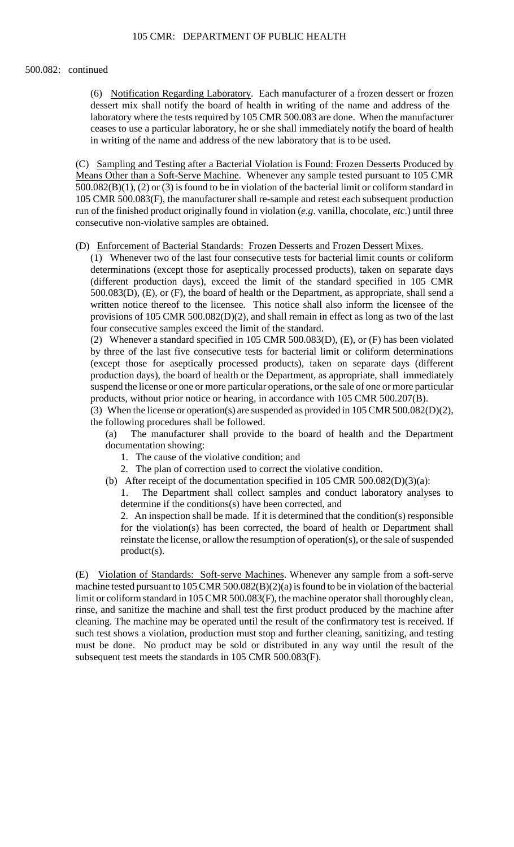#### 500.082: continued

 ceases to use a particular laboratory, he or she shall immediately notify the board of health (6) Notification Regarding Laboratory. Each manufacturer of a frozen dessert or frozen dessert mix shall notify the board of health in writing of the name and address of the laboratory where the tests required by 105 CMR 500.083 are done. When the manufacturer in writing of the name and address of the new laboratory that is to be used.

(C) Sampling and Testing after a Bacterial Violation is Found: Frozen Desserts Produced by Means Other than a Soft-Serve Machine. Whenever any sample tested pursuant to 105 CMR 500.082(B)(1), (2) or (3) is found to be in violation of the bacterial limit or coliform standard in 105 CMR 500.083(F), the manufacturer shall re-sample and retest each subsequent production run of the finished product originally found in violation (*e.g*. vanilla, chocolate, *etc*.) until three consecutive non-violative samples are obtained.

(D) Enforcement of Bacterial Standards: Frozen Desserts and Frozen Dessert Mixes.

 (1) Whenever two of the last four consecutive tests for bacterial limit counts or coliform determinations (except those for aseptically processed products), taken on separate days provisions of 105 CMR 500.082(D)(2), and shall remain in effect as long as two of the last (different production days), exceed the limit of the standard specified in 105 CMR 500.083(D), (E), or (F), the board of health or the Department, as appropriate, shall send a written notice thereof to the licensee. This notice shall also inform the licensee of the four consecutive samples exceed the limit of the standard.

 (2) Whenever a standard specified in 105 CMR 500.083(D), (E), or (F) has been violated production days), the board of health or the Department, as appropriate, shall immediately by three of the last five consecutive tests for bacterial limit or coliform determinations (except those for aseptically processed products), taken on separate days (different suspend the license or one or more particular operations, or the sale of one or more particular products, without prior notice or hearing, in accordance with 105 CMR 500.207(B).

(3) When the license or operation(s) are suspended as provided in 105 CMR 500.082(D)(2), the following procedures shall be followed.

 $(a)$ The manufacturer shall provide to the board of health and the Department documentation showing:

- 1. The cause of the violative condition; and
- 2. The plan of correction used to correct the violative condition.
- (b) After receipt of the documentation specified in 105 CMR 500.082(D)(3)(a):

 $1_{-}$ The Department shall collect samples and conduct laboratory analyses to determine if the conditions(s) have been corrected, and

 2. An inspection shall be made. If it is determined that the condition(s) responsible for the violation(s) has been corrected, the board of health or Department shall reinstate the license, or allow the resumption of operation(s), or the sale of suspended product(s).

(E) Violation of Standards: Soft-serve Machines. Whenever any sample from a soft-serve machine tested pursuant to 105 CMR 500.082(B)(2)(a) is found to be in violation of the bacterial limit or coliform standard in 105 CMR 500.083(F), the machine operator shall thoroughly clean, rinse, and sanitize the machine and shall test the first product produced by the machine after cleaning. The machine may be operated until the result of the confirmatory test is received. If such test shows a violation, production must stop and further cleaning, sanitizing, and testing must be done. No product may be sold or distributed in any way until the result of the subsequent test meets the standards in 105 CMR 500.083(F).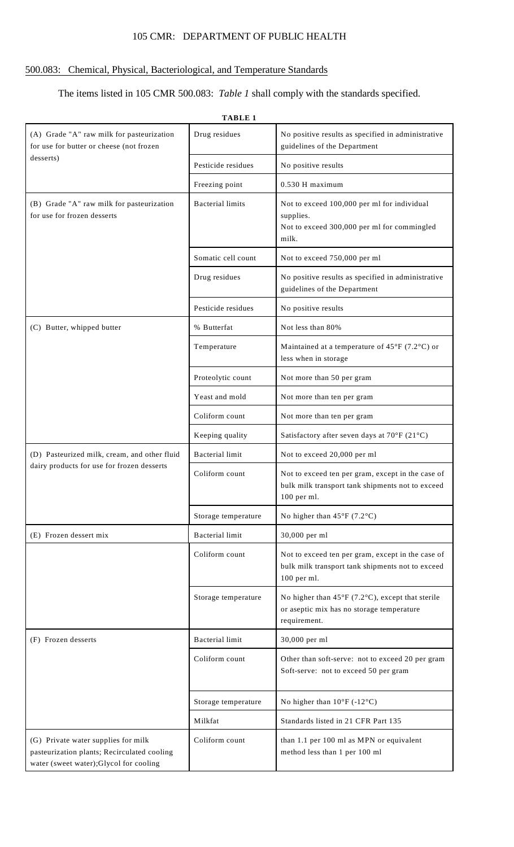# 105 CMR: DEPARTMENT OF PUBLIC HEALTH

# 500.083: Chemical, Physical, Bacteriological, and Temperature Standards

# The items listed in 105 CMR 500.083: *Table 1* shall comply with the standards specified.

| (A) Grade "A" raw milk for pasteurization<br>for use for butter or cheese (not frozen                                        | Drug residues           | No positive results as specified in administrative<br>guidelines of the Department                                                |  |
|------------------------------------------------------------------------------------------------------------------------------|-------------------------|-----------------------------------------------------------------------------------------------------------------------------------|--|
| desserts)                                                                                                                    | Pesticide residues      | No positive results                                                                                                               |  |
|                                                                                                                              | Freezing point          | 0.530 H maximum                                                                                                                   |  |
| (B) Grade "A" raw milk for pasteurization<br>for use for frozen desserts                                                     | <b>Bacterial limits</b> | Not to exceed 100,000 per ml for individual<br>supplies.<br>Not to exceed 300,000 per ml for commingled<br>milk.                  |  |
|                                                                                                                              | Somatic cell count      | Not to exceed 750,000 per ml                                                                                                      |  |
|                                                                                                                              | Drug residues           | No positive results as specified in administrative<br>guidelines of the Department                                                |  |
|                                                                                                                              | Pesticide residues      | No positive results                                                                                                               |  |
| (C) Butter, whipped butter                                                                                                   | % Butterfat             | Not less than 80%                                                                                                                 |  |
|                                                                                                                              | Temperature             | Maintained at a temperature of $45^{\circ}F$ (7.2°C) or<br>less when in storage                                                   |  |
|                                                                                                                              | Proteolytic count       | Not more than 50 per gram                                                                                                         |  |
|                                                                                                                              | Yeast and mold          | Not more than ten per gram                                                                                                        |  |
|                                                                                                                              | Coliform count          | Not more than ten per gram                                                                                                        |  |
|                                                                                                                              | Keeping quality         | Satisfactory after seven days at 70°F (21°C)                                                                                      |  |
| (D) Pasteurized milk, cream, and other fluid                                                                                 | <b>Bacterial limit</b>  | Not to exceed 20,000 per ml                                                                                                       |  |
| dairy products for use for frozen desserts                                                                                   | Coliform count          | Not to exceed ten per gram, except in the case of<br>bulk milk transport tank shipments not to exceed<br>100 per ml.              |  |
|                                                                                                                              | Storage temperature     | No higher than $45^{\circ}F(7.2^{\circ}C)$                                                                                        |  |
| (E) Frozen dessert mix                                                                                                       | <b>Bacterial</b> limit  | 30,000 per ml                                                                                                                     |  |
|                                                                                                                              | Coliform count          | Not to exceed ten per gram, except in the case of<br>bulk milk transport tank shipments not to exceed<br>100 per ml.              |  |
|                                                                                                                              | Storage temperature     | No higher than $45^{\circ}F$ (7.2 $^{\circ}C$ ), except that sterile<br>or aseptic mix has no storage temperature<br>requirement. |  |
| (F) Frozen desserts                                                                                                          | <b>Bacterial</b> limit  | 30,000 per ml                                                                                                                     |  |
|                                                                                                                              | Coliform count          | Other than soft-serve: not to exceed 20 per gram<br>Soft-serve: not to exceed 50 per gram                                         |  |
|                                                                                                                              | Storage temperature     | No higher than $10^{\circ}$ F (-12°C)                                                                                             |  |
|                                                                                                                              | Milkfat                 | Standards listed in 21 CFR Part 135                                                                                               |  |
| (G) Private water supplies for milk<br>pasteurization plants; Recirculated cooling<br>water (sweet water);Glycol for cooling | Coliform count          | than 1.1 per 100 ml as MPN or equivalent<br>method less than 1 per 100 ml                                                         |  |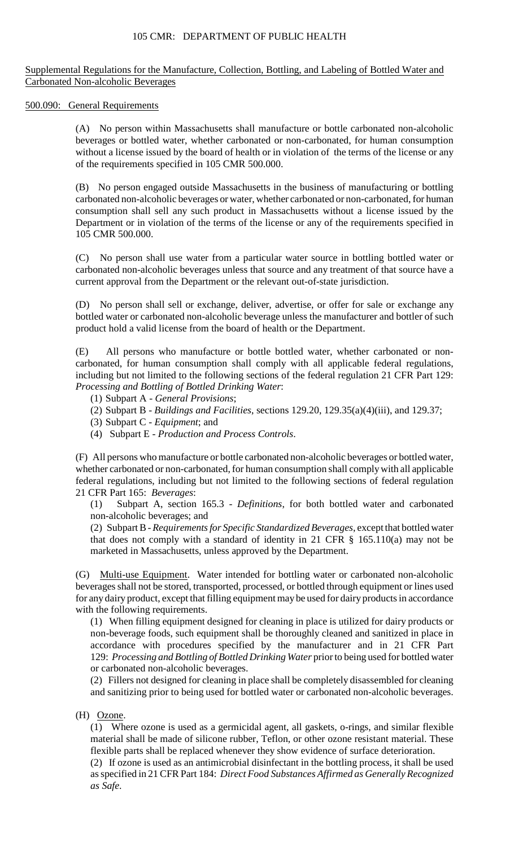# 105 CMR: DEPARTMENT OF PUBLIC HEALTH

Supplemental Regulations for the Manufacture, Collection, Bottling, and Labeling of Bottled Water and Carbonated Non-alcoholic Beverages

500.090: General Requirements

(A) No person within Massachusetts shall manufacture or bottle carbonated non-alcoholic beverages or bottled water, whether carbonated or non-carbonated, for human consumption without a license issued by the board of health or in violation of the terms of the license or any of the requirements specified in 105 CMR 500.000.

(B) No person engaged outside Massachusetts in the business of manufacturing or bottling carbonated non-alcoholic beverages or water, whether carbonated or non-carbonated, for human consumption shall sell any such product in Massachusetts without a license issued by the Department or in violation of the terms of the license or any of the requirements specified in 105 CMR 500.000.

 carbonated non-alcoholic beverages unless that source and any treatment of that source have a (C) No person shall use water from a particular water source in bottling bottled water or current approval from the Department or the relevant out-of-state jurisdiction.

(D) No person shall sell or exchange, deliver, advertise, or offer for sale or exchange any bottled water or carbonated non-alcoholic beverage unless the manufacturer and bottler of such product hold a valid license from the board of health or the Department.

(E) All persons who manufacture or bottle bottled water, whether carbonated or noncarbonated, for human consumption shall comply with all applicable federal regulations, including but not limited to the following sections of the federal regulation 21 CFR Part 129: *Processing and Bottling of Bottled Drinking Water*:

- (1) Subpart A *General Provisions*;
- (2) Subpart B *Buildings and Facilities*, sections 129.20, 129.35(a)(4)(iii), and 129.37;
- (3) Subpart C *Equipment*; and
- (4) Subpart E *Production and Process Controls*.

(F) All persons who manufacture or bottle carbonated non-alcoholic beverages or bottled water, whether carbonated or non-carbonated, for human consumption shall comply with all applicable federal regulations, including but not limited to the following sections of federal regulation 21 CFR Part 165: *Beverages*:

(1) Subpart A, section 165.3 - *Definitions*, for both bottled water and carbonated non-alcoholic beverages; and

 that does not comply with a standard of identity in 21 CFR § 165.110(a) may not be (2) Subpart B - *Requirements for Specific Standardized Beverages*, except that bottled water marketed in Massachusetts, unless approved by the Department.

(G) Multi-use Equipment. Water intended for bottling water or carbonated non-alcoholic beverages shall not be stored, transported, processed, or bottled through equipment or lines used for any dairy product, except that filling equipment may be used for dairy products in accordance with the following requirements.

 non-beverage foods, such equipment shall be thoroughly cleaned and sanitized in place in (1) When filling equipment designed for cleaning in place is utilized for dairy products or accordance with procedures specified by the manufacturer and in 21 CFR Part 129: *Processing and Bottling of Bottled Drinking Water* prior to being used for bottled water or carbonated non-alcoholic beverages.

(2) Fillers not designed for cleaning in place shall be completely disassembled for cleaning and sanitizing prior to being used for bottled water or carbonated non-alcoholic beverages.

(H) Ozone.

(1) Where ozone is used as a germicidal agent, all gaskets, o-rings, and similar flexible material shall be made of silicone rubber, Teflon, or other ozone resistant material. These flexible parts shall be replaced whenever they show evidence of surface deterioration.

(2) If ozone is used as an antimicrobial disinfectant in the bottling process, it shall be used as specified in 21 CFR Part 184: *Direct Food Substances Affirmed as Generally Recognized as Safe*.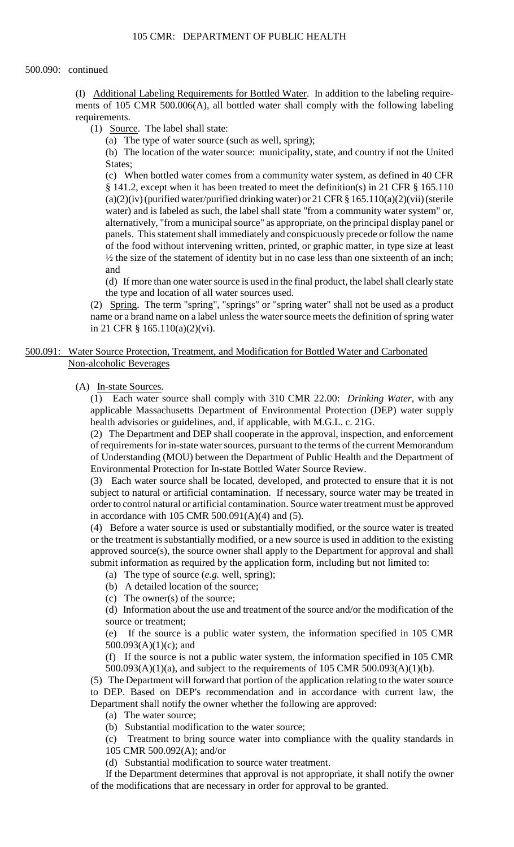(I) Additional Labeling Requirements for Bottled Water. In addition to the labeling requirements of 105 CMR 500.006(A), all bottled water shall comply with the following labeling requirements.

(1) Source. The label shall state:

(a) The type of water source (such as well, spring);

 (b) The location of the water source: municipality, state, and country if not the United States;

 (c) When bottled water comes from a community water system, as defined in 40 CFR (a)(2)(iv) (purified water/purified drinking water) or 21 CFR  $\S 165.110(a)(2)(vii)$  (sterile panels. This statement shall immediately and conspicuously precede or follow the name § 141.2, except when it has been treated to meet the definition(s) in 21 CFR § 165.110 water) and is labeled as such, the label shall state "from a community water system" or, alternatively, "from a municipal source" as appropriate, on the principal display panel or of the food without intervening written, printed, or graphic matter, in type size at least ½ the size of the statement of identity but in no case less than one sixteenth of an inch; and

(d) If more than one water source is used in the final product, the label shall clearly state the type and location of all water sources used.

 (2) Spring. The term "spring", "springs" or "spring water" shall not be used as a product name or a brand name on a label unless the water source meets the definition of spring water in 21 CFR § 165.110(a)(2)(vi).

500.091: Water Source Protection, Treatment, and Modification for Bottled Water and Carbonated Non-alcoholic Beverages

(A) In-state Sources.

 (1) Each water source shall comply with 310 CMR 22.00: *Drinking Water*, with any applicable Massachusetts Department of Environmental Protection (DEP) water supply health advisories or guidelines, and, if applicable, with M.G.L. c. 21G.

(2) The Department and DEP shall cooperate in the approval, inspection, and enforcement of requirements for in-state water sources, pursuant to the terms of the current Memorandum of Understanding (MOU) between the Department of Public Health and the Department of Environmental Protection for In-state Bottled Water Source Review.

(3) Each water source shall be located, developed, and protected to ensure that it is not subject to natural or artificial contamination. If necessary, source water may be treated in order to control natural or artificial contamination. Source water treatment must be approved in accordance with 105 CMR 500.091(A)(4) and (5).

 approved source(s), the source owner shall apply to the Department for approval and shall (4) Before a water source is used or substantially modified, or the source water is treated or the treatment is substantially modified, or a new source is used in addition to the existing submit information as required by the application form, including but not limited to:

(a) The type of source (*e.g.* well, spring);

(b) A detailed location of the source;

(c) The owner(s) of the source;

(d) Information about the use and treatment of the source and/or the modification of the source or treatment;

(e) If the source is a public water system, the information specified in 105 CMR 500.093(A)(1)(c); and

(f) If the source is not a public water system, the information specified in 105 CMR 500.093(A)(1)(a), and subject to the requirements of 105 CMR 500.093(A)(1)(b).

(5) The Department will forward that portion of the application relating to the water source to DEP. Based on DEP's recommendation and in accordance with current law, the Department shall notify the owner whether the following are approved:

(a) The water source;

(b) Substantial modification to the water source;

(c) Treatment to bring source water into compliance with the quality standards in 105 CMR 500.092(A); and/or

(d) Substantial modification to source water treatment.

If the Department determines that approval is not appropriate, it shall notify the owner of the modifications that are necessary in order for approval to be granted.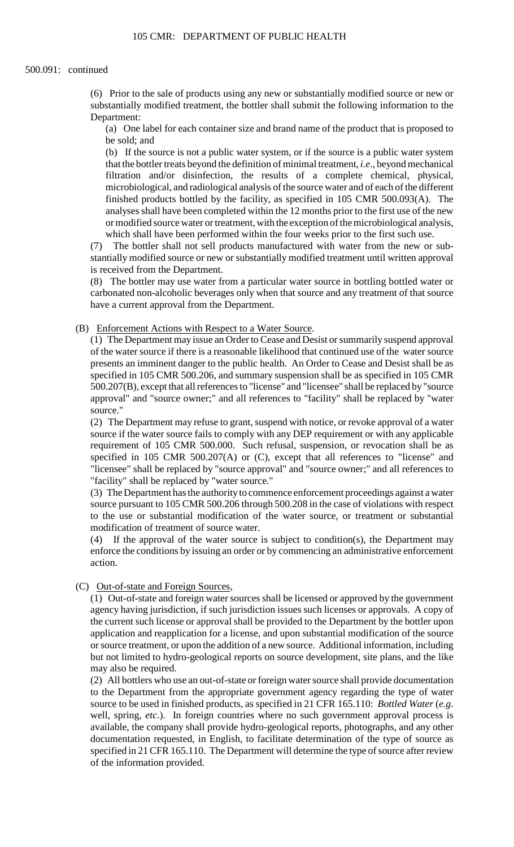(6) Prior to the sale of products using any new or substantially modified source or new or substantially modified treatment, the bottler shall submit the following information to the Department:

(a) One label for each container size and brand name of the product that is proposed to be sold; and

(b) If the source is not a public water system, or if the source is a public water system that the bottler treats beyond the definition of minimal treatment, *i.e*., beyond mechanical filtration and/or disinfection, the results of a complete chemical, physical, microbiological, and radiological analysis of the source water and of each of the different finished products bottled by the facility, as specified in 105 CMR 500.093(A). The analyses shall have been completed within the 12 months prior to the first use of the new or modified source water or treatment, with the exception of the microbiological analysis, which shall have been performed within the four weeks prior to the first such use.

 (7) The bottler shall not sell products manufactured with water from the new or substantially modified source or new or substantially modified treatment until written approval is received from the Department.

(8) The bottler may use water from a particular water source in bottling bottled water or carbonated non-alcoholic beverages only when that source and any treatment of that source have a current approval from the Department.

(B) Enforcement Actions with Respect to a Water Source.

(1) The Department may issue an Order to Cease and Desist or summarily suspend approval of the water source if there is a reasonable likelihood that continued use of the water source presents an imminent danger to the public health. An Order to Cease and Desist shall be as specified in 105 CMR 500.206, and summary suspension shall be as specified in 105 CMR 500.207(B), except that all references to "license" and "licensee" shall be replaced by "source approval" and "source owner;" and all references to "facility" shall be replaced by "water source."

 "licensee" shall be replaced by "source approval" and "source owner;" and all references to (2) The Department may refuse to grant, suspend with notice, or revoke approval of a water source if the water source fails to comply with any DEP requirement or with any applicable requirement of 105 CMR 500.000. Such refusal, suspension, or revocation shall be as specified in 105 CMR 500.207(A) or (C), except that all references to "license" and "facility" shall be replaced by "water source."

(3) The Department has the authority to commence enforcement proceedings against a water source pursuant to 105 CMR 500.206 through 500.208 in the case of violations with respect to the use or substantial modification of the water source, or treatment or substantial modification of treatment of source water.

 enforce the conditions by issuing an order or by commencing an administrative enforcement (4) If the approval of the water source is subject to condition(s), the Department may action.

# (C) Out-of-state and Foreign Sources,

(1) Out-of-state and foreign water sources shall be licensed or approved by the government agency having jurisdiction, if such jurisdiction issues such licenses or approvals. A copy of the current such license or approval shall be provided to the Department by the bottler upon application and reapplication for a license, and upon substantial modification of the source or source treatment, or upon the addition of a new source. Additional information, including but not limited to hydro-geological reports on source development, site plans, and the like may also be required.

(2) All bottlers who use an out-of-state or foreign water source shall provide documentation to the Department from the appropriate government agency regarding the type of water source to be used in finished products, as specified in 21 CFR 165.110: *Bottled Water* (*e.g*. well, spring, *etc*.). In foreign countries where no such government approval process is available, the company shall provide hydro-geological reports, photographs, and any other documentation requested, in English, to facilitate determination of the type of source as specified in 21 CFR 165.110. The Department will determine the type of source after review of the information provided.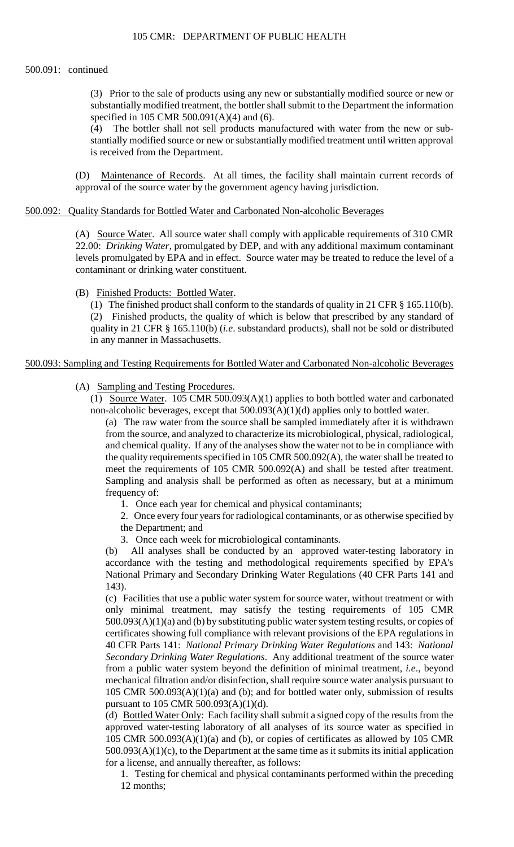#### 500.091: continued

(3) Prior to the sale of products using any new or substantially modified source or new or substantially modified treatment, the bottler shall submit to the Department the information specified in 105 CMR 500.091(A)(4) and (6).

(4) The bottler shall not sell products manufactured with water from the new or substantially modified source or new or substantially modified treatment until written approval is received from the Department.

(D) Maintenance of Records. At all times, the facility shall maintain current records of approval of the source water by the government agency having jurisdiction.

# 500.092: Quality Standards for Bottled Water and Carbonated Non-alcoholic Beverages

(A) Source Water. All source water shall comply with applicable requirements of 310 CMR 22.00: *Drinking Water*, promulgated by DEP, and with any additional maximum contaminant levels promulgated by EPA and in effect. Source water may be treated to reduce the level of a contaminant or drinking water constituent.

## (B) Finished Products: Bottled Water.

(1) The finished product shall conform to the standards of quality in 21 CFR § 165.110(b). (2) Finished products, the quality of which is below that prescribed by any standard of quality in 21 CFR § 165.110(b) (*i.e*. substandard products), shall not be sold or distributed in any manner in Massachusetts.

## 500.093: Sampling and Testing Requirements for Bottled Water and Carbonated Non-alcoholic Beverages

# (A) Sampling and Testing Procedures.

(1) Source Water. 105 CMR 500.093(A)(1) applies to both bottled water and carbonated non-alcoholic beverages, except that 500.093(A)(1)(d) applies only to bottled water.

 (a) The raw water from the source shall be sampled immediately after it is withdrawn and chemical quality. If any of the analyses show the water not to be in compliance with from the source, and analyzed to characterize its microbiological, physical, radiological, the quality requirements specified in 105 CMR 500.092(A), the water shall be treated to meet the requirements of 105 CMR 500.092(A) and shall be tested after treatment. Sampling and analysis shall be performed as often as necessary, but at a minimum frequency of:

1. Once each year for chemical and physical contaminants;

2. Once every four years for radiological contaminants, or as otherwise specified by

- the Department; and
- 3. Once each week for microbiological contaminants.

 (b) All analyses shall be conducted by an approved water-testing laboratory in accordance with the testing and methodological requirements specified by EPA's National Primary and Secondary Drinking Water Regulations (40 CFR Parts 141 and 143).

 only minimal treatment, may satisfy the testing requirements of 105 CMR mechanical filtration and/or disinfection, shall require source water analysis pursuant to (c) Facilities that use a public water system for source water, without treatment or with 500.093(A)(1)(a) and (b) by substituting public water system testing results, or copies of certificates showing full compliance with relevant provisions of the EPA regulations in 40 CFR Parts 141: *National Primary Drinking Water Regulations* and 143: *National Secondary Drinking Water Regulations*. Any additional treatment of the source water from a public water system beyond the definition of minimal treatment, *i.e*., beyond 105 CMR 500.093(A)(1)(a) and (b); and for bottled water only, submission of results pursuant to 105 CMR 500.093(A)(1)(d).

(d) Bottled Water Only: Each facility shall submit a signed copy of the results from the approved water-testing laboratory of all analyses of its source water as specified in 105 CMR 500.093(A)(1)(a) and (b), or copies of certificates as allowed by 105 CMR  $500.093(A)(1)(c)$ , to the Department at the same time as it submits its initial application for a license, and annually thereafter, as follows:

1. Testing for chemical and physical contaminants performed within the preceding 12 months;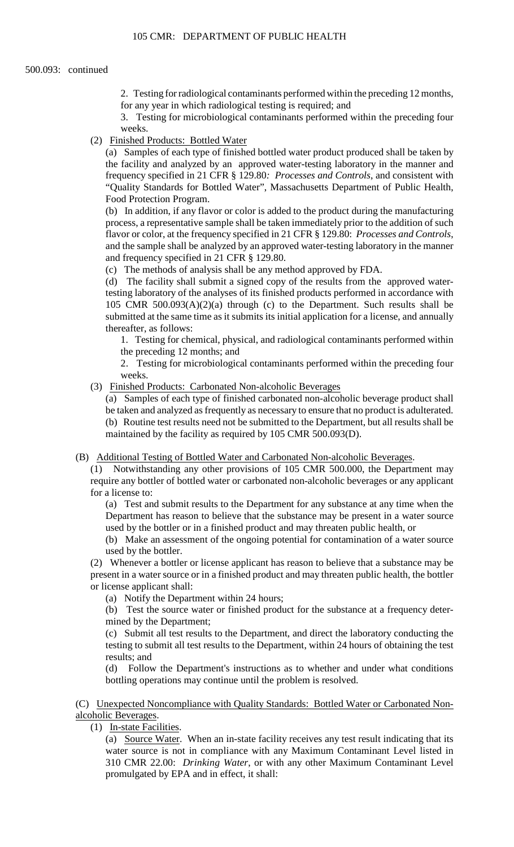2. Testing for radiological contaminants performed within the preceding 12 months, for any year in which radiological testing is required; and

3. Testing for microbiological contaminants performed within the preceding four weeks.

(2) Finished Products: Bottled Water

 (a) Samples of each type of finished bottled water product produced shall be taken by the facility and analyzed by an approved water-testing laboratory in the manner and frequency specified in 21 CFR § 129.80*: Processes and Controls*, and consistent with "Quality Standards for Bottled Water", Massachusetts Department of Public Health, Food Protection Program.

 flavor or color, at the frequency specified in 21 CFR § 129.80: *Processes and Controls*, and the sample shall be analyzed by an approved water-testing laboratory in the manner (b) In addition, if any flavor or color is added to the product during the manufacturing process, a representative sample shall be taken immediately prior to the addition of such and frequency specified in 21 CFR § 129.80.

(c) The methods of analysis shall be any method approved by FDA.

 (d) The facility shall submit a signed copy of the results from the approved water- submitted at the same time as it submits its initial application for a license, and annually testing laboratory of the analyses of its finished products performed in accordance with 105 CMR 500.093(A)(2)(a) through (c) to the Department. Such results shall be thereafter, as follows:

 1. Testing for chemical, physical, and radiological contaminants performed within the preceding 12 months; and

 2. Testing for microbiological contaminants performed within the preceding four weeks.

(3) Finished Products: Carbonated Non-alcoholic Beverages

(a) Samples of each type of finished carbonated non-alcoholic beverage product shall be taken and analyzed as frequently as necessary to ensure that no product is adulterated. (b) Routine test results need not be submitted to the Department, but all results shall be maintained by the facility as required by 105 CMR 500.093(D).

(B) Additional Testing of Bottled Water and Carbonated Non-alcoholic Beverages.

 (1) Notwithstanding any other provisions of 105 CMR 500.000, the Department may require any bottler of bottled water or carbonated non-alcoholic beverages or any applicant for a license to:

(a) Test and submit results to the Department for any substance at any time when the Department has reason to believe that the substance may be present in a water source used by the bottler or in a finished product and may threaten public health, or

(b) Make an assessment of the ongoing potential for contamination of a water source used by the bottler.

 present in a water source or in a finished product and may threaten public health, the bottler (2) Whenever a bottler or license applicant has reason to believe that a substance may be or license applicant shall:

(a) Notify the Department within 24 hours;

(b) Test the source water or finished product for the substance at a frequency determined by the Department;

 testing to submit all test results to the Department, within 24 hours of obtaining the test (c) Submit all test results to the Department, and direct the laboratory conducting the results; and

(d) Follow the Department's instructions as to whether and under what conditions bottling operations may continue until the problem is resolved.

(C) Unexpected Noncompliance with Quality Standards: Bottled Water or Carbonated Nonalcoholic Beverages.

(1) In-state Facilities.

(a) Source Water. When an in-state facility receives any test result indicating that its water source is not in compliance with any Maximum Contaminant Level listed in 310 CMR 22.00: *Drinking Water*, or with any other Maximum Contaminant Level promulgated by EPA and in effect, it shall: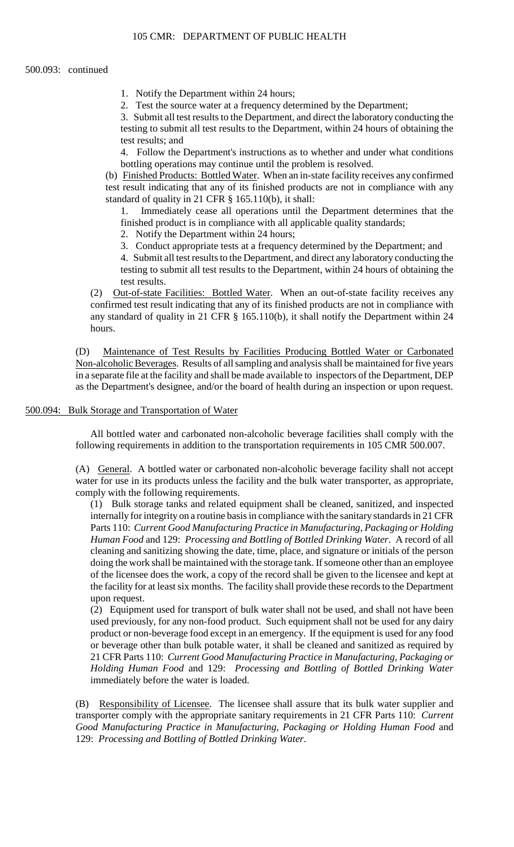- 1. Notify the Department within 24 hours;
- 2. Test the source water at a frequency determined by the Department;

3. Submit all test results to the Department, and direct the laboratory conducting the testing to submit all test results to the Department, within 24 hours of obtaining the test results; and

4. Follow the Department's instructions as to whether and under what conditions bottling operations may continue until the problem is resolved.

(b) Finished Products: Bottled Water. When an in-state facility receives any confirmed test result indicating that any of its finished products are not in compliance with any standard of quality in 21 CFR § 165.110(b), it shall:

1. Immediately cease all operations until the Department determines that the finished product is in compliance with all applicable quality standards;

2. Notify the Department within 24 hours;

3. Conduct appropriate tests at a frequency determined by the Department; and

 4. Submit all test results to the Department, and direct any laboratory conducting the testing to submit all test results to the Department, within 24 hours of obtaining the test results.

(2) Out-of-state Facilities: Bottled Water. When an out-of-state facility receives any confirmed test result indicating that any of its finished products are not in compliance with any standard of quality in 21 CFR § 165.110(b), it shall notify the Department within 24 hours.

 in a separate file at the facility and shall be made available to inspectors of the Department, DEP (D) Maintenance of Test Results by Facilities Producing Bottled Water or Carbonated Non-alcoholic Beverages. Results of all sampling and analysis shall be maintained for five years as the Department's designee, and/or the board of health during an inspection or upon request.

# 500.094: Bulk Storage and Transportation of Water

All bottled water and carbonated non-alcoholic beverage facilities shall comply with the following requirements in addition to the transportation requirements in 105 CMR 500.007.

(A) General. A bottled water or carbonated non-alcoholic beverage facility shall not accept water for use in its products unless the facility and the bulk water transporter, as appropriate, comply with the following requirements.

 internally for integrity on a routine basis in compliance with the sanitary standards in 21 CFR the facility for at least six months. The facility shall provide these records to the Department (1) Bulk storage tanks and related equipment shall be cleaned, sanitized, and inspected Parts 110: *Current Good Manufacturing Practice in Manufacturing, Packaging or Holding Human Food* and 129: *Processing and Bottling of Bottled Drinking Water*. A record of all cleaning and sanitizing showing the date, time, place, and signature or initials of the person doing the work shall be maintained with the storage tank. If someone other than an employee of the licensee does the work, a copy of the record shall be given to the licensee and kept at upon request.

 *Holding Human Food* and 129: *Processing and Bottling of Bottled Drinking Water*  (2) Equipment used for transport of bulk water shall not be used, and shall not have been used previously, for any non-food product. Such equipment shall not be used for any dairy product or non-beverage food except in an emergency. If the equipment is used for any food or beverage other than bulk potable water, it shall be cleaned and sanitized as required by 21 CFR Parts 110: *Current Good Manufacturing Practice in Manufacturing, Packaging or*  immediately before the water is loaded.

(B) Responsibility of Licensee. The licensee shall assure that its bulk water supplier and transporter comply with the appropriate sanitary requirements in 21 CFR Parts 110: *Current Good Manufacturing Practice in Manufacturing, Packaging or Holding Human Food* and 129: *Processing and Bottling of Bottled Drinking Water*.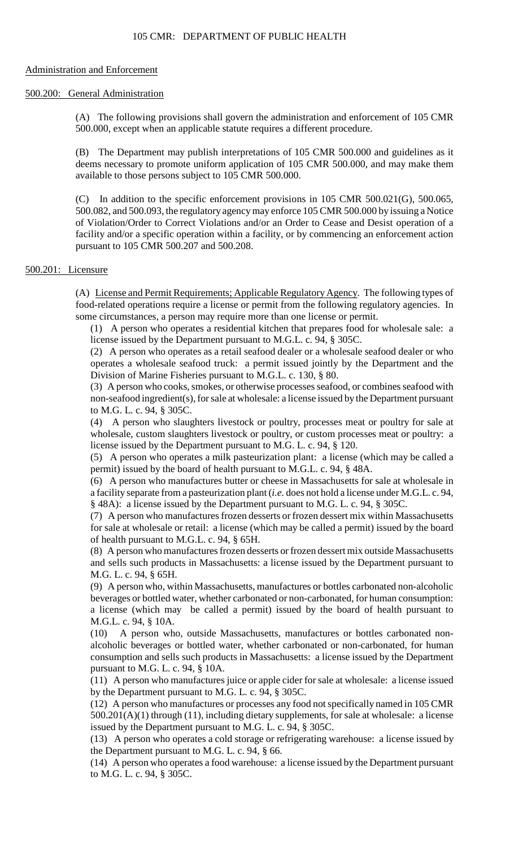#### Administration and Enforcement

#### 500.200: General Administration

(A) The following provisions shall govern the administration and enforcement of 105 CMR 500.000, except when an applicable statute requires a different procedure.

 deems necessary to promote uniform application of 105 CMR 500.000, and may make them (B) The Department may publish interpretations of 105 CMR 500.000 and guidelines as it available to those persons subject to 105 CMR 500.000.

 500.082, and 500.093, the regulatory agency may enforce 105 CMR 500.000 by issuing a Notice (C) In addition to the specific enforcement provisions in 105 CMR 500.021(G), 500.065, of Violation/Order to Correct Violations and/or an Order to Cease and Desist operation of a facility and/or a specific operation within a facility, or by commencing an enforcement action pursuant to 105 CMR 500.207 and 500.208.

# 500.201: Licensure

(A) License and Permit Requirements; Applicable Regulatory Agency. The following types of food-related operations require a license or permit from the following regulatory agencies. In some circumstances, a person may require more than one license or permit.

(1) A person who operates a residential kitchen that prepares food for wholesale sale: a license issued by the Department pursuant to M.G.L. c. 94, § 305C.

 operates a wholesale seafood truck: a permit issued jointly by the Department and the (2) A person who operates as a retail seafood dealer or a wholesale seafood dealer or who Division of Marine Fisheries pursuant to M.G.L. c. 130, § 80.

 (3) A person who cooks, smokes, or otherwise processes seafood, or combines seafood with non-seafood ingredient(s), for sale at wholesale: a license issued by the Department pursuant to M.G. L. c. 94, § 305C.

(4) A person who slaughters livestock or poultry, processes meat or poultry for sale at wholesale, custom slaughters livestock or poultry, or custom processes meat or poultry: a license issued by the Department pursuant to M.G. L. c. 94, § 120.

 (5) A person who operates a milk pasteurization plant: a license (which may be called a permit) issued by the board of health pursuant to M.G.L. c. 94, § 48A.

(6) A person who manufactures butter or cheese in Massachusetts for sale at wholesale in a facility separate from a pasteurization plant (*i.e.* does not hold a license under M.G.L. c. 94, § 48A): a license issued by the Department pursuant to M.G. L. c. 94, § 305C.

 (7) A person who manufactures frozen desserts or frozen dessert mix within Massachusetts for sale at wholesale or retail: a license (which may be called a permit) issued by the board of health pursuant to M.G.L. c. 94, § 65H.

 (8) A person who manufactures frozen desserts or frozen dessert mix outside Massachusetts and sells such products in Massachusetts: a license issued by the Department pursuant to M.G. L. c. 94, § 65H.

 (9) A person who, within Massachusetts, manufactures or bottles carbonated non-alcoholic beverages or bottled water, whether carbonated or non-carbonated, for human consumption: a license (which may be called a permit) issued by the board of health pursuant to M.G.L. c. 94, § 10A.

(10) A person who, outside Massachusetts, manufactures or bottles carbonated nonalcoholic beverages or bottled water, whether carbonated or non-carbonated, for human consumption and sells such products in Massachusetts: a license issued by the Department pursuant to M.G. L. c. 94, § 10A.

 (11) A person who manufactures juice or apple cider for sale at wholesale: a license issued by the Department pursuant to M.G. L. c. 94, § 305C.

 (12) A person who manufactures or processes any food not specifically named in 105 CMR 500.201(A)(1) through (11), including dietary supplements, for sale at wholesale: a license issued by the Department pursuant to M.G. L. c. 94, § 305C.

(13) A person who operates a cold storage or refrigerating warehouse: a license issued by the Department pursuant to M.G. L. c. 94, § 66.

(14) A person who operates a food warehouse: a license issued by the Department pursuant to M.G. L. c. 94, § 305C.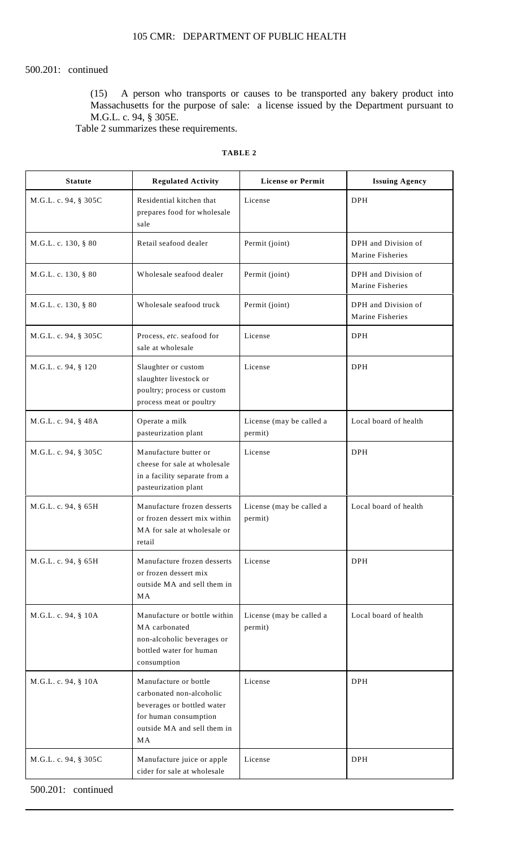# 500.201: continued

(15) A person who transports or causes to be transported any bakery product into Massachusetts for the purpose of sale: a license issued by the Department pursuant to M.G.L. c. 94, § 305E.

Table 2 summarizes these requirements.

# **TABLE 2**

| <b>Statute</b>       | <b>Regulated Activity</b>                                                                                                                     | <b>License or Permit</b>            | <b>Issuing Agency</b>                   |
|----------------------|-----------------------------------------------------------------------------------------------------------------------------------------------|-------------------------------------|-----------------------------------------|
| M.G.L. c. 94, § 305C | Residential kitchen that<br>prepares food for wholesale<br>sale                                                                               | License                             | <b>DPH</b>                              |
| M.G.L. c. 130, § 80  | Retail seafood dealer                                                                                                                         | Permit (joint)                      | DPH and Division of<br>Marine Fisheries |
| M.G.L. c. 130, § 80  | Wholesale seafood dealer                                                                                                                      | Permit (joint)                      | DPH and Division of<br>Marine Fisheries |
| M.G.L. c. 130, § 80  | Wholesale seafood truck                                                                                                                       | Permit (joint)                      | DPH and Division of<br>Marine Fisheries |
| M.G.L. c. 94, § 305C | Process, etc. seafood for<br>sale at wholesale                                                                                                | License                             | <b>DPH</b>                              |
| M.G.L. c. 94, § 120  | Slaughter or custom<br>slaughter livestock or<br>poultry; process or custom<br>process meat or poultry                                        | License                             | <b>DPH</b>                              |
| M.G.L. c. 94, § 48A  | Operate a milk<br>pasteurization plant                                                                                                        | License (may be called a<br>permit) | Local board of health                   |
| M.G.L. c. 94, § 305C | Manufacture butter or<br>cheese for sale at wholesale<br>in a facility separate from a<br>pasteurization plant                                | License                             | <b>DPH</b>                              |
| M.G.L. c. 94, § 65H  | Manufacture frozen desserts<br>or frozen dessert mix within<br>MA for sale at wholesale or<br>retail                                          | License (may be called a<br>permit) | Local board of health                   |
| M.G.L. c. 94, § 65H  | Manufacture frozen desserts<br>or frozen dessert mix<br>outside MA and sell them in<br>MA                                                     | License                             | <b>DPH</b>                              |
| M.G.L. c. 94, § 10A  | Manufacture or bottle within<br>MA carbonated<br>non-alcoholic beverages or<br>bottled water for human<br>consumption                         | License (may be called a<br>permit) | Local board of health                   |
| M.G.L. c. 94, § 10A  | Manufacture or bottle<br>carbonated non-alcoholic<br>beverages or bottled water<br>for human consumption<br>outside MA and sell them in<br>MA | License                             | <b>DPH</b>                              |
| M.G.L. c. 94, § 305C | Manufacture juice or apple<br>cider for sale at wholesale                                                                                     | License                             | <b>DPH</b>                              |

500.201: continued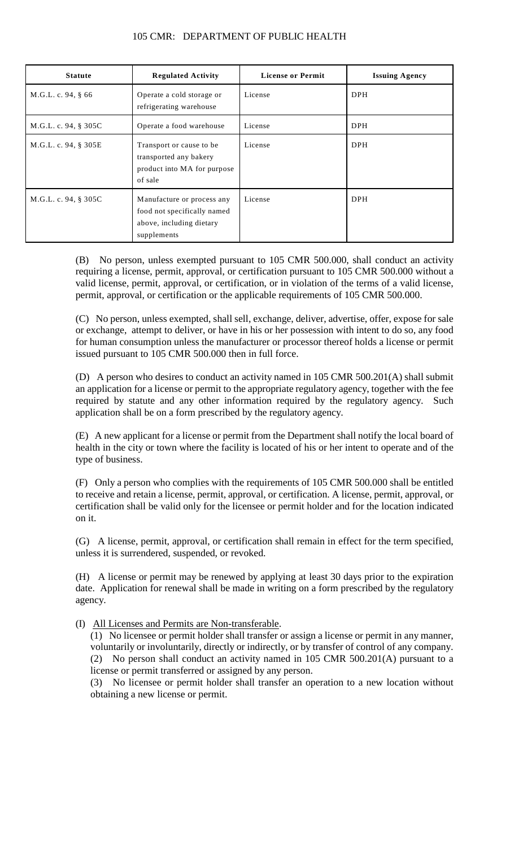| <b>Statute</b>       | <b>Regulated Activity</b>                                                                            | <b>License or Permit</b> | <b>Issuing Agency</b> |
|----------------------|------------------------------------------------------------------------------------------------------|--------------------------|-----------------------|
| M.G.L. c. 94, § 66   | Operate a cold storage or<br>refrigerating warehouse                                                 | License                  | <b>DPH</b>            |
| M.G.L. c. 94, § 305C | Operate a food warehouse                                                                             | License                  | <b>DPH</b>            |
| M.G.L. c. 94, § 305E | Transport or cause to be.<br>transported any bakery<br>product into MA for purpose<br>of sale        | License                  | <b>DPH</b>            |
| M.G.L. c. 94, § 305C | Manufacture or process any<br>food not specifically named<br>above, including dietary<br>supplements | License                  | <b>DPH</b>            |

# 105 CMR: DEPARTMENT OF PUBLIC HEALTH

(B) No person, unless exempted pursuant to 105 CMR 500.000, shall conduct an activity requiring a license, permit, approval, or certification pursuant to 105 CMR 500.000 without a valid license, permit, approval, or certification, or in violation of the terms of a valid license, permit, approval, or certification or the applicable requirements of 105 CMR 500.000.

(C) No person, unless exempted, shall sell, exchange, deliver, advertise, offer, expose for sale or exchange, attempt to deliver, or have in his or her possession with intent to do so, any food for human consumption unless the manufacturer or processor thereof holds a license or permit issued pursuant to 105 CMR 500.000 then in full force.

 (D) A person who desires to conduct an activity named in 105 CMR 500.201(A) shall submit an application for a license or permit to the appropriate regulatory agency, together with the fee required by statute and any other information required by the regulatory agency. Such application shall be on a form prescribed by the regulatory agency.

(E) A new applicant for a license or permit from the Department shall notify the local board of health in the city or town where the facility is located of his or her intent to operate and of the type of business.

(F) Only a person who complies with the requirements of 105 CMR 500.000 shall be entitled to receive and retain a license, permit, approval, or certification. A license, permit, approval, or certification shall be valid only for the licensee or permit holder and for the location indicated on it.

(G) A license, permit, approval, or certification shall remain in effect for the term specified, unless it is surrendered, suspended, or revoked.

(H) A license or permit may be renewed by applying at least 30 days prior to the expiration date. Application for renewal shall be made in writing on a form prescribed by the regulatory agency.

(I) All Licenses and Permits are Non-transferable.

 voluntarily or involuntarily, directly or indirectly, or by transfer of control of any company. (1) No licensee or permit holder shall transfer or assign a license or permit in any manner, (2) No person shall conduct an activity named in 105 CMR 500.201(A) pursuant to a license or permit transferred or assigned by any person.

(3) No licensee or permit holder shall transfer an operation to a new location without obtaining a new license or permit.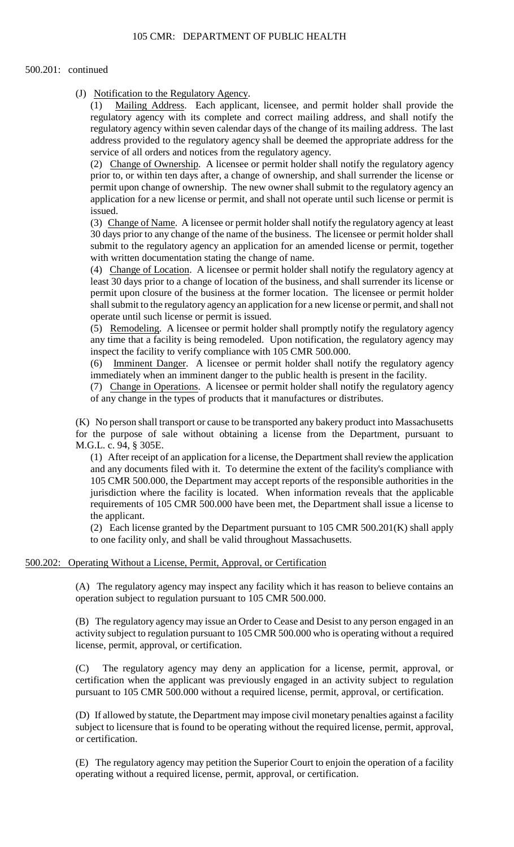#### 500.201: continued

(J) Notification to the Regulatory Agency.

(1) Mailing Address. Each applicant, licensee, and permit holder shall provide the regulatory agency with its complete and correct mailing address, and shall notify the regulatory agency within seven calendar days of the change of its mailing address. The last address provided to the regulatory agency shall be deemed the appropriate address for the service of all orders and notices from the regulatory agency.

 application for a new license or permit, and shall not operate until such license or permit is (2) Change of Ownership. A licensee or permit holder shall notify the regulatory agency prior to, or within ten days after, a change of ownership, and shall surrender the license or permit upon change of ownership. The new owner shall submit to the regulatory agency an issued.

 30 days prior to any change of the name of the business. The licensee or permit holder shall (3) Change of Name. A licensee or permit holder shall notify the regulatory agency at least submit to the regulatory agency an application for an amended license or permit, together with written documentation stating the change of name.

(4) Change of Location. A licensee or permit holder shall notify the regulatory agency at least 30 days prior to a change of location of the business, and shall surrender its license or permit upon closure of the business at the former location. The licensee or permit holder shall submit to the regulatory agency an application for a new license or permit, and shall not operate until such license or permit is issued.

(5) Remodeling. A licensee or permit holder shall promptly notify the regulatory agency any time that a facility is being remodeled. Upon notification, the regulatory agency may inspect the facility to verify compliance with 105 CMR 500.000.

(6) Imminent Danger. A licensee or permit holder shall notify the regulatory agency immediately when an imminent danger to the public health is present in the facility.

(7) Change in Operations. A licensee or permit holder shall notify the regulatory agency of any change in the types of products that it manufactures or distributes.

 (K) No person shall transport or cause to be transported any bakery product into Massachusetts for the purpose of sale without obtaining a license from the Department, pursuant to M.G.L. c. 94, § 305E.

 and any documents filed with it. To determine the extent of the facility's compliance with requirements of 105 CMR 500.000 have been met, the Department shall issue a license to (1) After receipt of an application for a license, the Department shall review the application 105 CMR 500.000, the Department may accept reports of the responsible authorities in the jurisdiction where the facility is located. When information reveals that the applicable the applicant.

(2) Each license granted by the Department pursuant to  $105$  CMR  $500.201(K)$  shall apply to one facility only, and shall be valid throughout Massachusetts.

## 500.202: Operating Without a License, Permit, Approval, or Certification

 (A) The regulatory agency may inspect any facility which it has reason to believe contains an operation subject to regulation pursuant to 105 CMR 500.000.

 (B) The regulatory agency may issue an Order to Cease and Desist to any person engaged in an activity subject to regulation pursuant to 105 CMR 500.000 who is operating without a required license, permit, approval, or certification.

(C) The regulatory agency may deny an application for a license, permit, approval, or certification when the applicant was previously engaged in an activity subject to regulation pursuant to 105 CMR 500.000 without a required license, permit, approval, or certification.

 subject to licensure that is found to be operating without the required license, permit, approval, (D) If allowed by statute, the Department may impose civil monetary penalties against a facility or certification.

 (E) The regulatory agency may petition the Superior Court to enjoin the operation of a facility operating without a required license, permit, approval, or certification.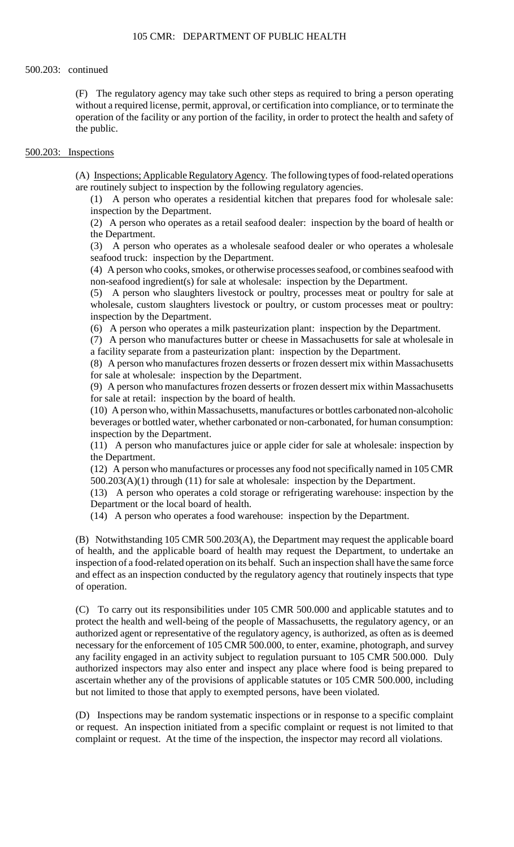(F) The regulatory agency may take such other steps as required to bring a person operating without a required license, permit, approval, or certification into compliance, or to terminate the operation of the facility or any portion of the facility, in order to protect the health and safety of the public.

#### 500.203: Inspections

(A) Inspections; Applicable Regulatory Agency. The following types of food-related operations are routinely subject to inspection by the following regulatory agencies.

(1) A person who operates a residential kitchen that prepares food for wholesale sale: inspection by the Department.

(2) A person who operates as a retail seafood dealer: inspection by the board of health or the Department.

(3) A person who operates as a wholesale seafood dealer or who operates a wholesale seafood truck: inspection by the Department.

(4) A person who cooks, smokes, or otherwise processes seafood, or combines seafood with non-seafood ingredient(s) for sale at wholesale: inspection by the Department.

(5) A person who slaughters livestock or poultry, processes meat or poultry for sale at wholesale, custom slaughters livestock or poultry, or custom processes meat or poultry: inspection by the Department.

(6) A person who operates a milk pasteurization plant: inspection by the Department.

(7) A person who manufactures butter or cheese in Massachusetts for sale at wholesale in a facility separate from a pasteurization plant: inspection by the Department.

(8) A person who manufactures frozen desserts or frozen dessert mix within Massachusetts for sale at wholesale: inspection by the Department.

(9) A person who manufactures frozen desserts or frozen dessert mix within Massachusetts for sale at retail: inspection by the board of health.

(10) A person who, within Massachusetts, manufactures or bottles carbonated non-alcoholic beverages or bottled water, whether carbonated or non-carbonated, for human consumption: inspection by the Department.

(11) A person who manufactures juice or apple cider for sale at wholesale: inspection by the Department.

(12) A person who manufactures or processes any food not specifically named in 105 CMR 500.203(A)(1) through (11) for sale at wholesale: inspection by the Department.

 (13) A person who operates a cold storage or refrigerating warehouse: inspection by the Department or the local board of health.

(14) A person who operates a food warehouse: inspection by the Department.

 and effect as an inspection conducted by the regulatory agency that routinely inspects that type (B) Notwithstanding 105 CMR 500.203(A), the Department may request the applicable board of health, and the applicable board of health may request the Department, to undertake an inspection of a food-related operation on its behalf. Such an inspection shall have the same force of operation.

 protect the health and well-being of the people of Massachusetts, the regulatory agency, or an (C) To carry out its responsibilities under 105 CMR 500.000 and applicable statutes and to authorized agent or representative of the regulatory agency, is authorized, as often as is deemed necessary for the enforcement of 105 CMR 500.000, to enter, examine, photograph, and survey any facility engaged in an activity subject to regulation pursuant to 105 CMR 500.000. Duly authorized inspectors may also enter and inspect any place where food is being prepared to ascertain whether any of the provisions of applicable statutes or 105 CMR 500.000, including but not limited to those that apply to exempted persons, have been violated.

(D) Inspections may be random systematic inspections or in response to a specific complaint or request. An inspection initiated from a specific complaint or request is not limited to that complaint or request. At the time of the inspection, the inspector may record all violations.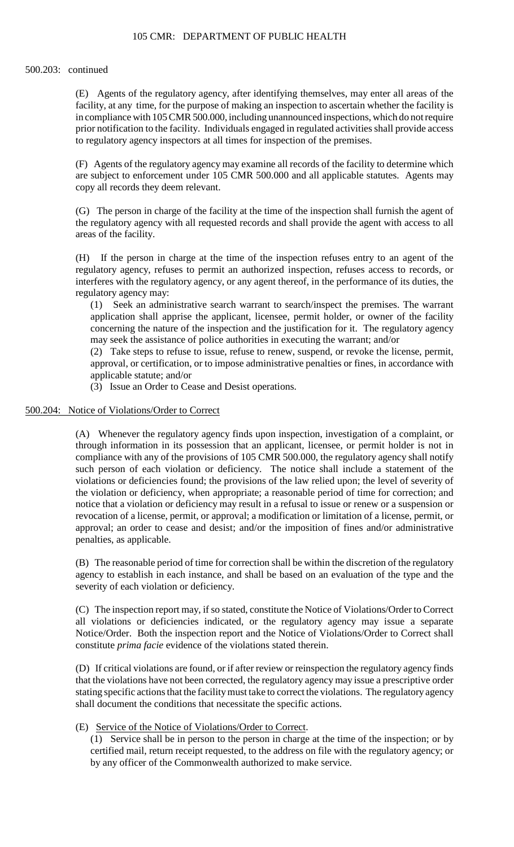facility, at any time, for the purpose of making an inspection to ascertain whether the facility is (E) Agents of the regulatory agency, after identifying themselves, may enter all areas of the in compliance with 105 CMR 500.000, including unannounced inspections, which do not require prior notification to the facility. Individuals engaged in regulated activities shall provide access to regulatory agency inspectors at all times for inspection of the premises.

 (F) Agents of the regulatory agency may examine all records of the facility to determine which are subject to enforcement under 105 CMR 500.000 and all applicable statutes. Agents may copy all records they deem relevant.

(G) The person in charge of the facility at the time of the inspection shall furnish the agent of the regulatory agency with all requested records and shall provide the agent with access to all areas of the facility.

 (H) If the person in charge at the time of the inspection refuses entry to an agent of the regulatory agency, refuses to permit an authorized inspection, refuses access to records, or interferes with the regulatory agency, or any agent thereof, in the performance of its duties, the regulatory agency may:

(1) Seek an administrative search warrant to search/inspect the premises. The warrant application shall apprise the applicant, licensee, permit holder, or owner of the facility concerning the nature of the inspection and the justification for it. The regulatory agency may seek the assistance of police authorities in executing the warrant; and/or

 approval, or certification, or to impose administrative penalties or fines, in accordance with (2) Take steps to refuse to issue, refuse to renew, suspend, or revoke the license, permit, applicable statute; and/or

(3) Issue an Order to Cease and Desist operations.

# 500.204: Notice of Violations/Order to Correct

 through information in its possession that an applicant, licensee, or permit holder is not in the violation or deficiency, when appropriate; a reasonable period of time for correction; and notice that a violation or deficiency may result in a refusal to issue or renew or a suspension or (A) Whenever the regulatory agency finds upon inspection, investigation of a complaint, or compliance with any of the provisions of 105 CMR 500.000, the regulatory agency shall notify such person of each violation or deficiency. The notice shall include a statement of the violations or deficiencies found; the provisions of the law relied upon; the level of severity of revocation of a license, permit, or approval; a modification or limitation of a license, permit, or approval; an order to cease and desist; and/or the imposition of fines and/or administrative penalties, as applicable.

(B) The reasonable period of time for correction shall be within the discretion of the regulatory agency to establish in each instance, and shall be based on an evaluation of the type and the severity of each violation or deficiency.

 Notice/Order. Both the inspection report and the Notice of Violations/Order to Correct shall (C) The inspection report may, if so stated, constitute the Notice of Violations/Order to Correct all violations or deficiencies indicated, or the regulatory agency may issue a separate constitute *prima facie* evidence of the violations stated therein.

 that the violations have not been corrected, the regulatory agency may issue a prescriptive order (D) If critical violations are found, or if after review or reinspection the regulatory agency finds stating specific actions that the facility must take to correct the violations. The regulatory agency shall document the conditions that necessitate the specific actions.

## (E) Service of the Notice of Violations/Order to Correct.

 (1) Service shall be in person to the person in charge at the time of the inspection; or by certified mail, return receipt requested, to the address on file with the regulatory agency; or by any officer of the Commonwealth authorized to make service.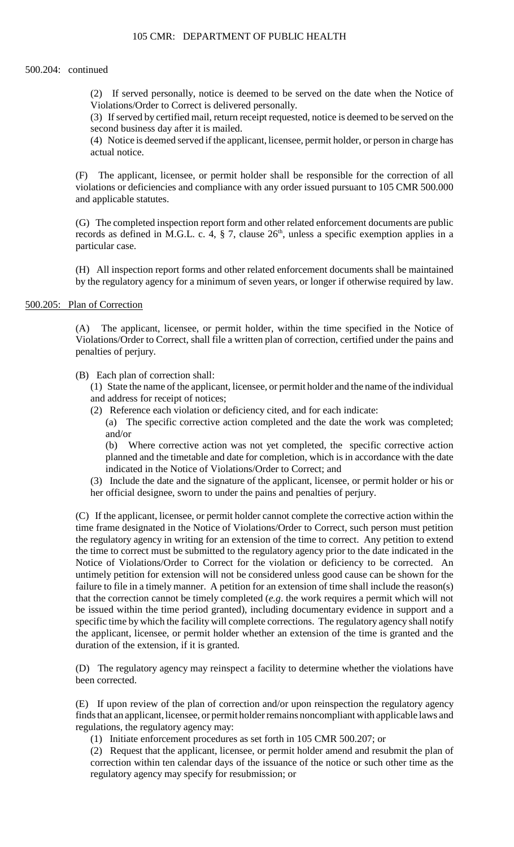#### 500.204: continued

(2) If served personally, notice is deemed to be served on the date when the Notice of Violations/Order to Correct is delivered personally.

(3) If served by certified mail, return receipt requested, notice is deemed to be served on the second business day after it is mailed.

(4) Notice is deemed served if the applicant, licensee, permit holder, or person in charge has actual notice.

 violations or deficiencies and compliance with any order issued pursuant to 105 CMR 500.000 (F) The applicant, licensee, or permit holder shall be responsible for the correction of all and applicable statutes.

 (G) The completed inspection report form and other related enforcement documents are public records as defined in M.G.L. c. 4,  $\S$  7, clause  $26<sup>th</sup>$ , unless a specific exemption applies in a particular case.

(H) All inspection report forms and other related enforcement documents shall be maintained by the regulatory agency for a minimum of seven years, or longer if otherwise required by law.

# 500.205: Plan of Correction

(A) The applicant, licensee, or permit holder, within the time specified in the Notice of Violations/Order to Correct, shall file a written plan of correction, certified under the pains and penalties of perjury.

## (B) Each plan of correction shall:

(1) State the name of the applicant, licensee, or permit holder and the name of the individual and address for receipt of notices;

(2) Reference each violation or deficiency cited, and for each indicate:

 (a) The specific corrective action completed and the date the work was completed; and/or

(b) Where corrective action was not yet completed, the specific corrective action planned and the timetable and date for completion, which is in accordance with the date indicated in the Notice of Violations/Order to Correct; and

(3) Include the date and the signature of the applicant, licensee, or permit holder or his or her official designee, sworn to under the pains and penalties of perjury.

 the regulatory agency in writing for an extension of the time to correct. Any petition to extend the time to correct must be submitted to the regulatory agency prior to the date indicated in the untimely petition for extension will not be considered unless good cause can be shown for the the applicant, licensee, or permit holder whether an extension of the time is granted and the (C) If the applicant, licensee, or permit holder cannot complete the corrective action within the time frame designated in the Notice of Violations/Order to Correct, such person must petition Notice of Violations/Order to Correct for the violation or deficiency to be corrected. An failure to file in a timely manner. A petition for an extension of time shall include the reason(s) that the correction cannot be timely completed (*e.g*. the work requires a permit which will not be issued within the time period granted), including documentary evidence in support and a specific time by which the facility will complete corrections. The regulatory agency shall notify duration of the extension, if it is granted.

(D) The regulatory agency may reinspect a facility to determine whether the violations have been corrected.

(E) If upon review of the plan of correction and/or upon reinspection the regulatory agency finds that an applicant, licensee, or permit holder remains noncompliant with applicable laws and regulations, the regulatory agency may:

(1) Initiate enforcement procedures as set forth in 105 CMR 500.207; or

 correction within ten calendar days of the issuance of the notice or such other time as the (2) Request that the applicant, licensee, or permit holder amend and resubmit the plan of regulatory agency may specify for resubmission; or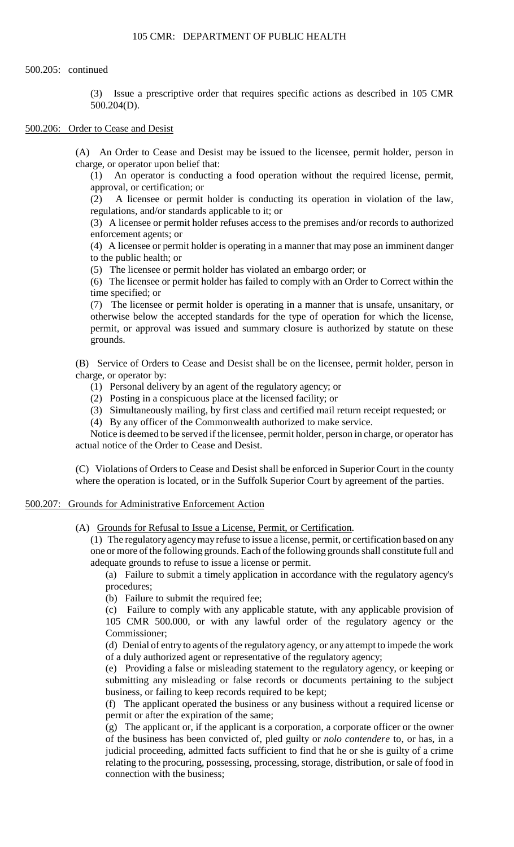#### 500.205: continued

 (3) Issue a prescriptive order that requires specific actions as described in 105 CMR 500.204(D).

### 500.206: Order to Cease and Desist

(A) An Order to Cease and Desist may be issued to the licensee, permit holder, person in charge, or operator upon belief that:

(1) An operator is conducting a food operation without the required license, permit, approval, or certification; or

(2) A licensee or permit holder is conducting its operation in violation of the law, regulations, and/or standards applicable to it; or

(3) A licensee or permit holder refuses access to the premises and/or records to authorized enforcement agents; or

(4) A licensee or permit holder is operating in a manner that may pose an imminent danger to the public health; or

(5) The licensee or permit holder has violated an embargo order; or

(6) The licensee or permit holder has failed to comply with an Order to Correct within the time specified; or

 (7) The licensee or permit holder is operating in a manner that is unsafe, unsanitary, or otherwise below the accepted standards for the type of operation for which the license, permit, or approval was issued and summary closure is authorized by statute on these grounds.

 (B) Service of Orders to Cease and Desist shall be on the licensee, permit holder, person in charge, or operator by:

- (1) Personal delivery by an agent of the regulatory agency; or
- (2) Posting in a conspicuous place at the licensed facility; or
- (3) Simultaneously mailing, by first class and certified mail return receipt requested; or
- (4) By any officer of the Commonwealth authorized to make service.

Notice is deemed to be served if the licensee, permit holder, person in charge, or operator has actual notice of the Order to Cease and Desist.

 (C) Violations of Orders to Cease and Desist shall be enforced in Superior Court in the county where the operation is located, or in the Suffolk Superior Court by agreement of the parties.

#### 500.207: Grounds for Administrative Enforcement Action

(A) Grounds for Refusal to Issue a License, Permit, or Certification.

(1) The regulatory agency may refuse to issue a license, permit, or certification based on any one or more of the following grounds. Each of the following grounds shall constitute full and adequate grounds to refuse to issue a license or permit.

 (a) Failure to submit a timely application in accordance with the regulatory agency's procedures;

(b) Failure to submit the required fee;

(c) Failure to comply with any applicable statute, with any applicable provision of 105 CMR 500.000, or with any lawful order of the regulatory agency or the Commissioner;

 (d) Denial of entry to agents of the regulatory agency, or any attempt to impede the work of a duly authorized agent or representative of the regulatory agency;

(e) Providing a false or misleading statement to the regulatory agency, or keeping or submitting any misleading or false records or documents pertaining to the subject business, or failing to keep records required to be kept;

(f) The applicant operated the business or any business without a required license or permit or after the expiration of the same;

(g) The applicant or, if the applicant is a corporation, a corporate officer or the owner of the business has been convicted of, pled guilty or *nolo contendere* to, or has, in a judicial proceeding, admitted facts sufficient to find that he or she is guilty of a crime relating to the procuring, possessing, processing, storage, distribution, or sale of food in connection with the business;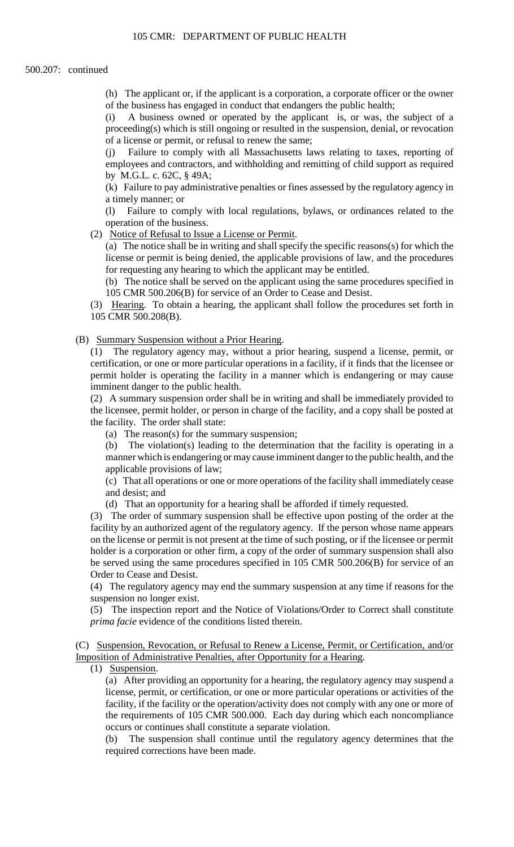(h) The applicant or, if the applicant is a corporation, a corporate officer or the owner of the business has engaged in conduct that endangers the public health;

(i) A business owned or operated by the applicant is, or was, the subject of a proceeding(s) which is still ongoing or resulted in the suspension, denial, or revocation of a license or permit, or refusal to renew the same;

(j) Failure to comply with all Massachusetts laws relating to taxes, reporting of employees and contractors, and withholding and remitting of child support as required by M.G.L. c. 62C, § 49A;

(k) Failure to pay administrative penalties or fines assessed by the regulatory agency in a timely manner; or

(l) Failure to comply with local regulations, bylaws, or ordinances related to the operation of the business.

(2) Notice of Refusal to Issue a License or Permit.

 license or permit is being denied, the applicable provisions of law, and the procedures (a) The notice shall be in writing and shall specify the specific reasons(s) for which the for requesting any hearing to which the applicant may be entitled.

(b) The notice shall be served on the applicant using the same procedures specified in 105 CMR 500.206(B) for service of an Order to Cease and Desist.

(3) Hearing. To obtain a hearing, the applicant shall follow the procedures set forth in 105 CMR 500.208(B).

(B) Summary Suspension without a Prior Hearing.

 (1) The regulatory agency may, without a prior hearing, suspend a license, permit, or certification, or one or more particular operations in a facility, if it finds that the licensee or permit holder is operating the facility in a manner which is endangering or may cause imminent danger to the public health.

 (2) A summary suspension order shall be in writing and shall be immediately provided to the licensee, permit holder, or person in charge of the facility, and a copy shall be posted at the facility. The order shall state:

(a) The reason(s) for the summary suspension;

(b) The violation(s) leading to the determination that the facility is operating in a manner which is endangering or may cause imminent danger to the public health, and the applicable provisions of law;

 (c) That all operations or one or more operations of the facility shall immediately cease and desist; and

(d) That an opportunity for a hearing shall be afforded if timely requested.

 facility by an authorized agent of the regulatory agency. If the person whose name appears on the license or permit is not present at the time of such posting, or if the licensee or permit (3) The order of summary suspension shall be effective upon posting of the order at the holder is a corporation or other firm, a copy of the order of summary suspension shall also be served using the same procedures specified in 105 CMR 500.206(B) for service of an Order to Cease and Desist.

 (4) The regulatory agency may end the summary suspension at any time if reasons for the suspension no longer exist.

(5) The inspection report and the Notice of Violations/Order to Correct shall constitute *prima facie* evidence of the conditions listed therein.

 (C) Suspension, Revocation, or Refusal to Renew a License, Permit, or Certification, and/or Imposition of Administrative Penalties, after Opportunity for a Hearing.

(1) Suspension.

 facility, if the facility or the operation/activity does not comply with any one or more of the requirements of 105 CMR 500.000. Each day during which each noncompliance (a) After providing an opportunity for a hearing, the regulatory agency may suspend a license, permit, or certification, or one or more particular operations or activities of the occurs or continues shall constitute a separate violation.

The suspension shall continue until the regulatory agency determines that the required corrections have been made.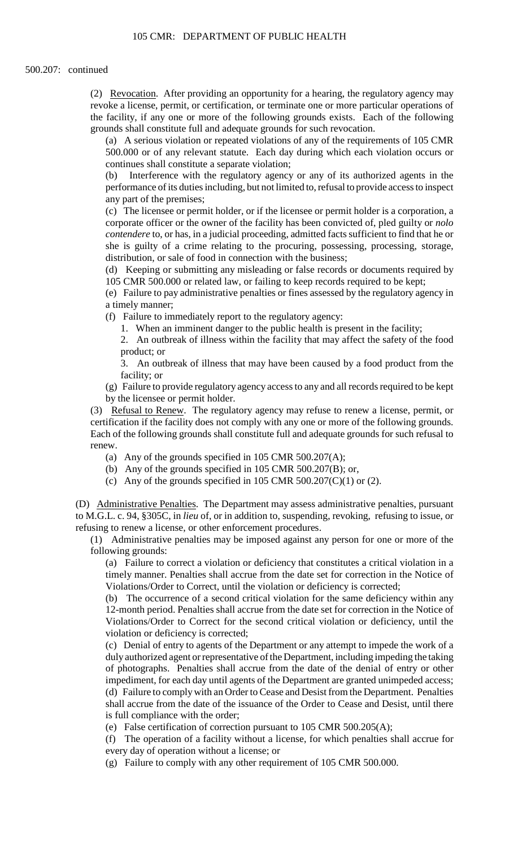(2) Revocation. After providing an opportunity for a hearing, the regulatory agency may revoke a license, permit, or certification, or terminate one or more particular operations of the facility, if any one or more of the following grounds exists. Each of the following grounds shall constitute full and adequate grounds for such revocation.

 (a) A serious violation or repeated violations of any of the requirements of 105 CMR 500.000 or of any relevant statute. Each day during which each violation occurs or continues shall constitute a separate violation;

(b) Interference with the regulatory agency or any of its authorized agents in the performance of its duties including, but not limited to, refusal to provide access to inspect any part of the premises;

(c) The licensee or permit holder, or if the licensee or permit holder is a corporation, a corporate officer or the owner of the facility has been convicted of, pled guilty or *nolo contendere* to, or has, in a judicial proceeding, admitted facts sufficient to find that he or she is guilty of a crime relating to the procuring, possessing, processing, storage, distribution, or sale of food in connection with the business;

(d) Keeping or submitting any misleading or false records or documents required by 105 CMR 500.000 or related law, or failing to keep records required to be kept;

(e) Failure to pay administrative penalties or fines assessed by the regulatory agency in a timely manner;

(f) Failure to immediately report to the regulatory agency:

1. When an imminent danger to the public health is present in the facility;

2. An outbreak of illness within the facility that may affect the safety of the food product; or

 3. An outbreak of illness that may have been caused by a food product from the facility; or

(g) Failure to provide regulatory agency access to any and all records required to be kept by the licensee or permit holder.

 Each of the following grounds shall constitute full and adequate grounds for such refusal to (3) Refusal to Renew. The regulatory agency may refuse to renew a license, permit, or certification if the facility does not comply with any one or more of the following grounds. renew.

- (a) Any of the grounds specified in 105 CMR 500.207(A);
- (b) Any of the grounds specified in 105 CMR 500.207(B); or,
- (c) Any of the grounds specified in 105 CMR 500.207(C)(1) or (2).

(D) Administrative Penalties. The Department may assess administrative penalties, pursuant to M.G.L. c. 94, §305C, in *lieu* of, or in addition to, suspending, revoking, refusing to issue, or refusing to renew a license, or other enforcement procedures.

(1) Administrative penalties may be imposed against any person for one or more of the following grounds:

 (a) Failure to correct a violation or deficiency that constitutes a critical violation in a timely manner. Penalties shall accrue from the date set for correction in the Notice of Violations/Order to Correct, until the violation or deficiency is corrected;

(b) The occurrence of a second critical violation for the same deficiency within any 12-month period. Penalties shall accrue from the date set for correction in the Notice of Violations/Order to Correct for the second critical violation or deficiency, until the violation or deficiency is corrected;

 shall accrue from the date of the issuance of the Order to Cease and Desist, until there (c) Denial of entry to agents of the Department or any attempt to impede the work of a duly authorized agent or representative of the Department, including impeding the taking of photographs. Penalties shall accrue from the date of the denial of entry or other impediment, for each day until agents of the Department are granted unimpeded access; (d) Failure to comply with an Order to Cease and Desist from the Department. Penalties is full compliance with the order;

(e) False certification of correction pursuant to 105 CMR 500.205(A);

(f) The operation of a facility without a license, for which penalties shall accrue for every day of operation without a license; or

(g) Failure to comply with any other requirement of 105 CMR 500.000.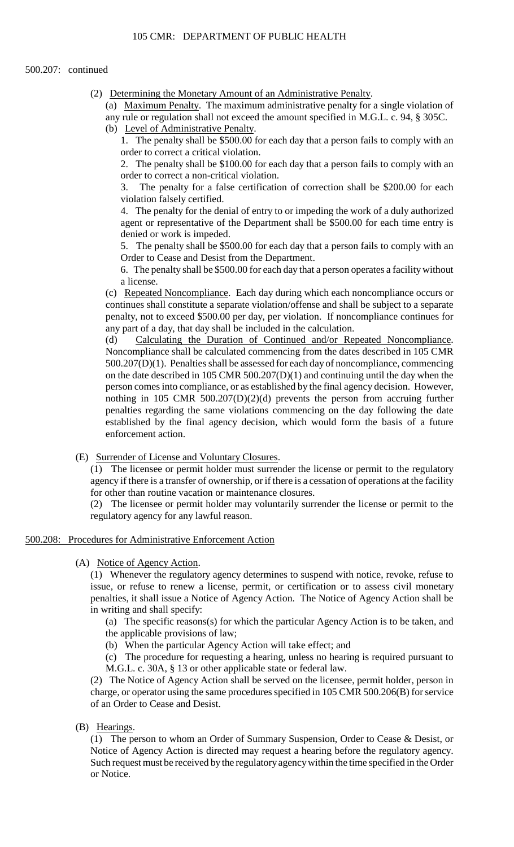(2) Determining the Monetary Amount of an Administrative Penalty.

(a) Maximum Penalty. The maximum administrative penalty for a single violation of any rule or regulation shall not exceed the amount specified in M.G.L. c. 94, § 305C.

(b) Level of Administrative Penalty.

 1. The penalty shall be \$500.00 for each day that a person fails to comply with an order to correct a critical violation.

2. The penalty shall be \$100.00 for each day that a person fails to comply with an order to correct a non-critical violation.

3. The penalty for a false certification of correction shall be \$200.00 for each violation falsely certified.

4. The penalty for the denial of entry to or impeding the work of a duly authorized agent or representative of the Department shall be \$500.00 for each time entry is denied or work is impeded.

5. The penalty shall be \$500.00 for each day that a person fails to comply with an Order to Cease and Desist from the Department.

6. The penalty shall be \$500.00 for each day that a person operates a facility without a license.

(c) Repeated Noncompliance. Each day during which each noncompliance occurs or continues shall constitute a separate violation/offense and shall be subject to a separate penalty, not to exceed \$500.00 per day, per violation. If noncompliance continues for any part of a day, that day shall be included in the calculation.

(d) Calculating the Duration of Continued and/or Repeated Noncompliance. Noncompliance shall be calculated commencing from the dates described in 105 CMR 500.207(D)(1). Penalties shall be assessed for each day of noncompliance, commencing on the date described in 105 CMR 500.207(D)(1) and continuing until the day when the person comes into compliance, or as established by the final agency decision. However, nothing in 105 CMR 500.207(D)(2)(d) prevents the person from accruing further penalties regarding the same violations commencing on the day following the date established by the final agency decision, which would form the basis of a future enforcement action.

(E) Surrender of License and Voluntary Closures.

 (1) The licensee or permit holder must surrender the license or permit to the regulatory agency if there is a transfer of ownership, or if there is a cessation of operations at the facility for other than routine vacation or maintenance closures.

(2) The licensee or permit holder may voluntarily surrender the license or permit to the regulatory agency for any lawful reason.

## 500.208: Procedures for Administrative Enforcement Action

(A) Notice of Agency Action.

(1) Whenever the regulatory agency determines to suspend with notice, revoke, refuse to issue, or refuse to renew a license, permit, or certification or to assess civil monetary penalties, it shall issue a Notice of Agency Action. The Notice of Agency Action shall be in writing and shall specify:

(a) The specific reasons(s) for which the particular Agency Action is to be taken, and the applicable provisions of law;

(b) When the particular Agency Action will take effect; and

(c) The procedure for requesting a hearing, unless no hearing is required pursuant to M.G.L. c. 30A, § 13 or other applicable state or federal law.

(2) The Notice of Agency Action shall be served on the licensee, permit holder, person in charge, or operator using the same procedures specified in 105 CMR 500.206(B) for service of an Order to Cease and Desist.

(B) Hearings.

(1) The person to whom an Order of Summary Suspension, Order to Cease & Desist, or Notice of Agency Action is directed may request a hearing before the regulatory agency. Such request must be received by the regulatory agency within the time specified in the Order or Notice.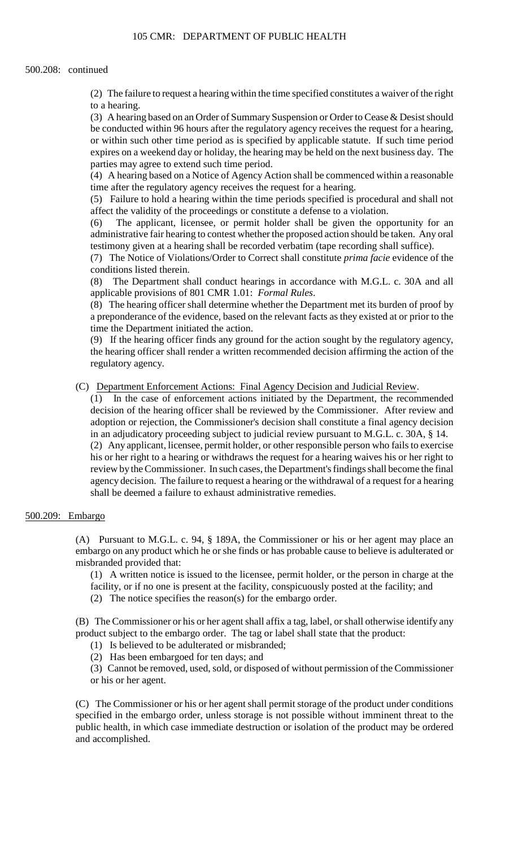(2) The failure to request a hearing within the time specified constitutes a waiver of the right to a hearing.

 (3) A hearing based on an Order of Summary Suspension or Order to Cease & Desist should be conducted within 96 hours after the regulatory agency receives the request for a hearing, or within such other time period as is specified by applicable statute. If such time period expires on a weekend day or holiday, the hearing may be held on the next business day. The parties may agree to extend such time period.

 (4) A hearing based on a Notice of Agency Action shall be commenced within a reasonable time after the regulatory agency receives the request for a hearing.

(5) Failure to hold a hearing within the time periods specified is procedural and shall not affect the validity of the proceedings or constitute a defense to a violation.

 administrative fair hearing to contest whether the proposed action should be taken. Any oral (6) The applicant, licensee, or permit holder shall be given the opportunity for an testimony given at a hearing shall be recorded verbatim (tape recording shall suffice).

(7) The Notice of Violations/Order to Correct shall constitute *prima facie* evidence of the conditions listed therein.

(8) The Department shall conduct hearings in accordance with M.G.L. c. 30A and all applicable provisions of 801 CMR 1.01: *Formal Rules*.

(8) The hearing officer shall determine whether the Department met its burden of proof by a preponderance of the evidence, based on the relevant facts as they existed at or prior to the time the Department initiated the action.

 (9) If the hearing officer finds any ground for the action sought by the regulatory agency, the hearing officer shall render a written recommended decision affirming the action of the regulatory agency.

(C) Department Enforcement Actions: Final Agency Decision and Judicial Review.

 decision of the hearing officer shall be reviewed by the Commissioner. After review and (2) Any applicant, licensee, permit holder, or other responsible person who fails to exercise his or her right to a hearing or withdraws the request for a hearing waives his or her right to agency decision. The failure to request a hearing or the withdrawal of a request for a hearing (1) In the case of enforcement actions initiated by the Department, the recommended adoption or rejection, the Commissioner's decision shall constitute a final agency decision in an adjudicatory proceeding subject to judicial review pursuant to M.G.L. c. 30A, § 14. review by the Commissioner. In such cases, the Department's findings shall become the final shall be deemed a failure to exhaust administrative remedies.

# 500.209: Embargo

 (A) Pursuant to M.G.L. c. 94, § 189A, the Commissioner or his or her agent may place an embargo on any product which he or she finds or has probable cause to believe is adulterated or misbranded provided that:

(1) A written notice is issued to the licensee, permit holder, or the person in charge at the facility, or if no one is present at the facility, conspicuously posted at the facility; and (2) The notice specifies the reason(s) for the embargo order.

(B) The Commissioner or his or her agent shall affix a tag, label, or shall otherwise identify any product subject to the embargo order. The tag or label shall state that the product:

(1) Is believed to be adulterated or misbranded;

(2) Has been embargoed for ten days; and

(3) Cannot be removed, used, sold, or disposed of without permission of the Commissioner or his or her agent.

(C) The Commissioner or his or her agent shall permit storage of the product under conditions specified in the embargo order, unless storage is not possible without imminent threat to the public health, in which case immediate destruction or isolation of the product may be ordered and accomplished.